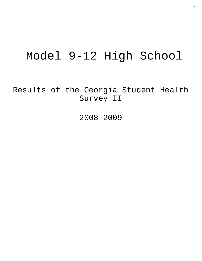# Model 9-12 High School

Results of the Georgia Student Health Survey II

2008-2009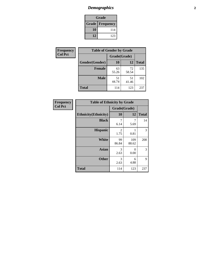# *Demographics* **2**

| Grade                    |     |  |  |  |
|--------------------------|-----|--|--|--|
| <b>Grade   Frequency</b> |     |  |  |  |
| 10                       | 114 |  |  |  |
| 12                       | 123 |  |  |  |

| <b>Frequency</b> | <b>Table of Gender by Grade</b> |              |             |              |  |  |
|------------------|---------------------------------|--------------|-------------|--------------|--|--|
| <b>Col Pct</b>   |                                 | Grade(Grade) |             |              |  |  |
|                  | Gender(Gender)                  | <b>10</b>    | 12          | <b>Total</b> |  |  |
|                  | <b>Female</b>                   | 63<br>55.26  | 72<br>58.54 | 135          |  |  |
|                  | <b>Male</b>                     | 51<br>44.74  | 51<br>41.46 | 102          |  |  |
|                  | <b>Total</b>                    | 114          | 123         | 237          |  |  |

| <b>Frequency</b> |
|------------------|
| <b>Col Pct</b>   |

| <b>Table of Ethnicity by Grade</b> |              |              |              |  |  |  |
|------------------------------------|--------------|--------------|--------------|--|--|--|
|                                    | Grade(Grade) |              |              |  |  |  |
| <b>Ethnicity</b> (Ethnicity)       | 10           | 12           | <b>Total</b> |  |  |  |
| <b>Black</b>                       | 7<br>6.14    | 7<br>5.69    | 14           |  |  |  |
| <b>Hispanic</b>                    | 2<br>1.75    | 0.81         | 3            |  |  |  |
| White                              | 99<br>86.84  | 109<br>88.62 | 208          |  |  |  |
| <b>Asian</b>                       | 3<br>2.63    | 0<br>0.00    | 3            |  |  |  |
| <b>Other</b>                       | 3<br>2.63    | 6<br>4.88    | 9            |  |  |  |
| <b>Total</b>                       | 114          | 123          | 237          |  |  |  |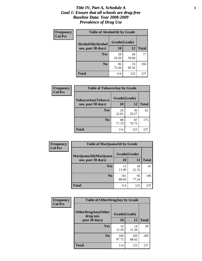### *Title IV, Part A, Schedule A* **3** *Goal 1: Ensure that all schools are drug-free Baseline Data: Year 2008-2009 Prevalence of Drug Use*

| Frequency<br><b>Col Pct</b> | <b>Table of AlcoholAlt by Grade</b> |              |             |              |  |  |
|-----------------------------|-------------------------------------|--------------|-------------|--------------|--|--|
|                             | AlcoholAlt(Alcohol                  | Grade(Grade) |             |              |  |  |
|                             | use, past 30 days)                  | <b>10</b>    | 12          | <b>Total</b> |  |  |
|                             | Yes                                 | 28<br>24.56  | 49<br>39.84 | 77           |  |  |
|                             | N <sub>0</sub>                      | 86<br>75.44  | 74<br>60.16 | 160          |  |  |
|                             | Total                               | 114          | 123         | 237          |  |  |

| Frequency<br><b>Col Pct</b> | <b>Table of TobaccoAny by Grade</b> |              |             |              |  |  |
|-----------------------------|-------------------------------------|--------------|-------------|--------------|--|--|
|                             | <b>TobaccoAny(Tobacco</b>           | Grade(Grade) |             |              |  |  |
|                             | use, past 30 days)                  | 10           | 12          | <b>Total</b> |  |  |
|                             | Yes                                 | 26<br>22.81  | 36<br>29.27 | 62           |  |  |
|                             | N <sub>0</sub>                      | 88<br>77.19  | 87<br>70.73 | 175          |  |  |
|                             | Total                               | 114          | 123         | 237          |  |  |

| Frequency<br><b>Col Pct</b> | <b>Table of MarijuanaAlt by Grade</b> |              |             |              |  |
|-----------------------------|---------------------------------------|--------------|-------------|--------------|--|
|                             | MarijuanaAlt(Marijuana                | Grade(Grade) |             |              |  |
|                             | use, past 30 days)                    | <b>10</b>    | 12          | <b>Total</b> |  |
|                             | <b>Yes</b>                            | 13<br>11.40  | 28<br>22.76 | 41           |  |
|                             | N <sub>0</sub>                        | 101<br>88.60 | 95<br>77.24 | 196          |  |
|                             | <b>Total</b>                          | 114          | 123         | 237          |  |

| Frequency      | <b>Table of OtherDrugAny by Grade</b>  |              |              |              |  |
|----------------|----------------------------------------|--------------|--------------|--------------|--|
| <b>Col Pct</b> | <b>OtherDrugAny(Other</b><br>drug use, | Grade(Grade) |              |              |  |
| past 30 days)  |                                        | 10           | 12           | <b>Total</b> |  |
|                | Yes                                    | 14<br>12.28  | 14<br>11.38  | 28           |  |
|                | N <sub>0</sub>                         | 100<br>87.72 | 109<br>88.62 | 209          |  |
|                | <b>Total</b>                           | 114          | 123          | 237          |  |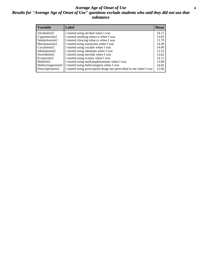### *Average Age of Onset of Use* **4** *Results for "Average Age of Onset of Use" questions exclude students who said they did not use that substance*

| <b>Variable</b>    | Label                                                              | <b>Mean</b> |
|--------------------|--------------------------------------------------------------------|-------------|
| Alcoholinit2       | I started using alcohol when I was                                 | 14.11       |
| Cigarettesinit2    | I started smoking tobacco when I was                               | 13.82       |
| Smokelessinit2     | I started chewing tobacco when I was                               | 13.79       |
| Marijuanainit2     | I started using marijuana when I was                               | 14.49       |
| Cocaineinit2       | I started using cocaine when I was                                 | 14.00       |
| Inhalantsinit2     | I started using inhalants when I was                               | 13.55       |
| Steroidsinit2      | I started using steroids when I was                                | 13.83       |
| Ecstasyinit2       | I started using ecstasy when I was                                 | 14.11       |
| Methinit2          | I started using methamphetamines when I was                        | 13.00       |
| Hallucinogensinit2 | I started using hallucinogens when I was                           | 14.83       |
| Prescriptioninit2  | I started using prescription drugs not prescribed to me when I was | 15.00       |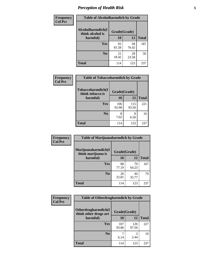# *Perception of Health Risk* **5**

| Frequency      | <b>Table of Alcoholharmdich by Grade</b> |              |             |              |  |
|----------------|------------------------------------------|--------------|-------------|--------------|--|
| <b>Col Pct</b> | Alcoholharmdich(I<br>think alcohol is    | Grade(Grade) |             |              |  |
|                | harmful)                                 | 10           | 12          | <b>Total</b> |  |
|                | <b>Yes</b>                               | 93<br>81.58  | 94<br>76.42 | 187          |  |
|                | N <sub>0</sub>                           | 21<br>18.42  | 29<br>23.58 | 50           |  |
|                | <b>Total</b>                             | 114          | 123         | 237          |  |

| Frequency      | <b>Table of Tobaccoharmdich by Grade</b> |              |              |              |  |
|----------------|------------------------------------------|--------------|--------------|--------------|--|
| <b>Col Pct</b> | Tobaccoharmdich(I<br>think tobacco is    | Grade(Grade) |              |              |  |
|                | harmful)                                 | 10           | 12           | <b>Total</b> |  |
|                | <b>Yes</b>                               | 106<br>92.98 | 115<br>93.50 | 221          |  |
|                | N <sub>0</sub>                           | 7.02         | 8<br>6.50    | 16           |  |
|                | <b>Total</b>                             | 114          | 123          | 237          |  |

| Frequency      | <b>Table of Marijuanaharmdich by Grade</b> |              |             |              |  |  |
|----------------|--------------------------------------------|--------------|-------------|--------------|--|--|
| <b>Col Pct</b> | Marijuanaharmdich(I<br>think marijuana is  | Grade(Grade) |             |              |  |  |
|                | harmful)                                   | 10           | 12          | <b>Total</b> |  |  |
|                | Yes                                        | 88<br>77.19  | 79<br>64.23 | 167          |  |  |
|                | N <sub>0</sub>                             | 26<br>22.81  | 44<br>35.77 | 70           |  |  |
|                | <b>Total</b>                               | 114          | 123         | 237          |  |  |

| <b>Frequency</b> | <b>Table of Otherdrugharmdich by Grade</b>                   |              |              |              |  |  |  |  |
|------------------|--------------------------------------------------------------|--------------|--------------|--------------|--|--|--|--|
| <b>Col Pct</b>   | Otherdrugharmdich(I<br>Grade(Grade)<br>think other drugs are |              |              |              |  |  |  |  |
|                  | harmful)                                                     | <b>10</b>    | 12           | <b>Total</b> |  |  |  |  |
|                  | <b>Yes</b>                                                   | 107<br>93.86 | 120<br>97.56 | 227          |  |  |  |  |
|                  | N <sub>0</sub>                                               | 6.14         | 3<br>2.44    | 10           |  |  |  |  |
|                  | <b>Total</b>                                                 | 114          | 123          | 237          |  |  |  |  |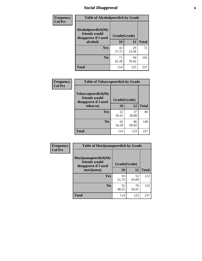# *Social Disapproval* **6**

| Frequency      | <b>Table of Alcoholpeerdich by Grade</b>                    |              |             |              |
|----------------|-------------------------------------------------------------|--------------|-------------|--------------|
| <b>Col Pct</b> | Alcoholpeerdich(My<br>friends would<br>disapprove if I used | Grade(Grade) |             |              |
|                | alcohol)                                                    | 10           | 12          | <b>Total</b> |
|                | <b>Yes</b>                                                  | 43<br>37.72  | 29<br>23.58 | 72           |
|                | N <sub>0</sub>                                              | 71<br>62.28  | 94<br>76.42 | 165          |
|                | <b>Total</b>                                                | 114          | 123         | 237          |

| <b>Frequency</b> |
|------------------|
| <b>Col Pct</b>   |

| <b>Table of Tobaccopeerdich by Grade</b>                    |              |             |              |  |  |  |  |
|-------------------------------------------------------------|--------------|-------------|--------------|--|--|--|--|
| Tobaccopeerdich(My<br>friends would<br>disapprove if I used | Grade(Grade) |             |              |  |  |  |  |
| tobacco)                                                    | 10           | 12          | <b>Total</b> |  |  |  |  |
| Yes                                                         | 52<br>45.61  | 37<br>30.08 | 89           |  |  |  |  |
| N <sub>0</sub>                                              | 62<br>54.39  | 86<br>69.92 | 148          |  |  |  |  |
| <b>Total</b>                                                | 114          | 123         | 237          |  |  |  |  |

| Frequency      | <b>Table of Marijuanapeerdich by Grade</b>                    |              |             |              |  |  |  |  |  |
|----------------|---------------------------------------------------------------|--------------|-------------|--------------|--|--|--|--|--|
| <b>Col Pct</b> | Marijuanapeerdich(My<br>friends would<br>disapprove if I used | Grade(Grade) |             |              |  |  |  |  |  |
|                | marijuana)                                                    | 10           | 12          | <b>Total</b> |  |  |  |  |  |
|                | <b>Yes</b>                                                    | 59<br>51.75  | 53<br>43.09 | 112          |  |  |  |  |  |
|                | N <sub>0</sub>                                                | 55<br>48.25  | 70<br>56.91 | 125          |  |  |  |  |  |
|                | <b>Total</b>                                                  | 114          | 123         | 237          |  |  |  |  |  |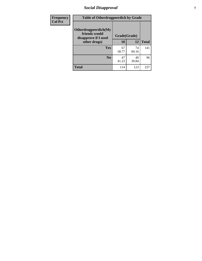# *Social Disapproval* **7**

| Frequency      | <b>Table of Otherdrugpeerdich by Grade</b>                    |              |             |              |  |  |  |  |
|----------------|---------------------------------------------------------------|--------------|-------------|--------------|--|--|--|--|
| <b>Col Pct</b> | Otherdrugpeerdich(My<br>friends would<br>disapprove if I used | Grade(Grade) |             |              |  |  |  |  |
|                | other drugs)                                                  | 10           | 12          | <b>Total</b> |  |  |  |  |
|                | Yes                                                           | 67<br>58.77  | 74<br>60.16 | 141          |  |  |  |  |
|                | N <sub>0</sub>                                                | 47<br>41.23  | 49<br>39.84 | 96           |  |  |  |  |
|                | <b>Total</b>                                                  | 114          | 123         | 237          |  |  |  |  |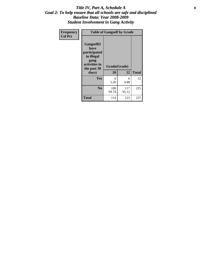### Title IV, Part A, Schedule A **8** *Goal 2: To help ensure that all schools are safe and disciplined Baseline Data: Year 2008-2009 Student Involvement in Gang Activity*

| Frequency      | <b>Table of Gangself by Grade</b>                                                                 |                    |              |              |
|----------------|---------------------------------------------------------------------------------------------------|--------------------|--------------|--------------|
| <b>Col Pct</b> | Gangself(I<br>have<br>participated<br>in illegal<br>gang<br>activities in<br>the past 30<br>days) | Grade(Grade)<br>10 | 12           | <b>Total</b> |
|                | Yes                                                                                               | 6<br>5.26          | 6<br>4.88    | 12           |
|                | N <sub>0</sub>                                                                                    | 108<br>94.74       | 117<br>95.12 | 225          |
|                | <b>Total</b>                                                                                      | 114                | 123          | 237          |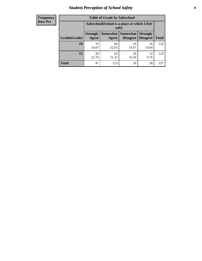# *Student Perception of School Safety* **9**

| <b>Frequency</b><br>Row Pct |
|-----------------------------|
|                             |

| <b>Table of Grade by Safeschool</b> |                                                                                                                                           |             |             |             |     |  |  |
|-------------------------------------|-------------------------------------------------------------------------------------------------------------------------------------------|-------------|-------------|-------------|-----|--|--|
|                                     | Safeschool (School is a place at which I feel<br>safe)                                                                                    |             |             |             |     |  |  |
| Grade(Grade)                        | <b>Somewhat</b><br><b>Somewhat</b><br><b>Strongly</b><br><b>Strongly</b><br><b>Disagree</b><br><b>Total</b><br>Agree<br>Disagree<br>Agree |             |             |             |     |  |  |
| <b>10</b>                           | 19<br>16.67                                                                                                                               | 60<br>52.63 | 19<br>16.67 | 16<br>14.04 | 114 |  |  |
| 12                                  | 28<br>22.76                                                                                                                               | 63<br>51.22 | 20<br>16.26 | 12<br>9.76  | 123 |  |  |
| <b>Total</b>                        | 47                                                                                                                                        | 123         | 39          | 28          | 237 |  |  |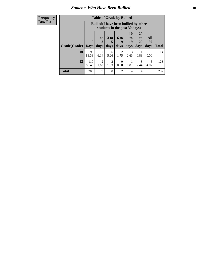### *Students Who Have Been Bullied* **10**

| <b>Frequency</b> |
|------------------|
| Row Pct          |

| <b>Table of Grade by Bullied</b> |                         |                                                                               |                              |                   |                        |                        |                   |              |
|----------------------------------|-------------------------|-------------------------------------------------------------------------------|------------------------------|-------------------|------------------------|------------------------|-------------------|--------------|
|                                  |                         | <b>Bullied</b> (I have been bullied by other<br>students in the past 30 days) |                              |                   |                        |                        |                   |              |
| Grade(Grade)                     | $\bf{0}$<br><b>Days</b> | 1 or<br>days                                                                  | 3 <sub>to</sub><br>5<br>days | 6 to<br>9<br>days | 10<br>to<br>19<br>days | 20<br>to<br>29<br>days | All<br>30<br>days | <b>Total</b> |
| 10                               | 95<br>83.33             | 7<br>6.14                                                                     | 6<br>5.26                    | 2<br>1.75         | 3<br>2.63              | 0.88                   | $\theta$<br>0.00  | 114          |
| 12                               | 110<br>89.43            | $\overline{2}$<br>1.63                                                        | 2<br>1.63                    | $\Omega$<br>0.00  | 0.81                   | 3<br>2.44              | 5<br>4.07         | 123          |
| <b>Total</b>                     | 205                     | 9                                                                             | 8                            | 2                 | 4                      | 4                      | 5                 | 237          |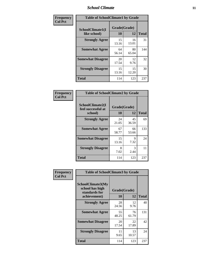### *School Climate* **11**

| Frequency      | <b>Table of SchoolClimate1 by Grade</b> |                    |             |              |  |  |  |
|----------------|-----------------------------------------|--------------------|-------------|--------------|--|--|--|
| <b>Col Pct</b> | SchoolClimate1(I<br>like school)        | Grade(Grade)<br>10 | 12          | <b>Total</b> |  |  |  |
|                | <b>Strongly Agree</b>                   | 15<br>13.16        | 16<br>13.01 | 31           |  |  |  |
|                | <b>Somewhat Agree</b>                   | 64<br>56.14        | 80<br>65.04 | 144          |  |  |  |
|                | <b>Somewhat Disagree</b>                | 20<br>17.54        | 12<br>9.76  | 32           |  |  |  |
|                | <b>Strongly Disagree</b>                | 15<br>13.16        | 15<br>12.20 | 30           |  |  |  |
|                | <b>Total</b>                            | 114                | 123         | 237          |  |  |  |

| Frequency      | <b>Table of SchoolClimate2 by Grade</b>           |                    |             |              |
|----------------|---------------------------------------------------|--------------------|-------------|--------------|
| <b>Col Pct</b> | SchoolClimate2(I<br>feel successful at<br>school) | Grade(Grade)<br>10 | 12          | <b>Total</b> |
|                | <b>Strongly Agree</b>                             | 24<br>21.05        | 45<br>36.59 | 69           |
|                | <b>Somewhat Agree</b>                             | 67<br>58.77        | 66<br>53.66 | 133          |
|                | <b>Somewhat Disagree</b>                          | 15<br>13.16        | 9<br>7.32   | 24           |
|                | <b>Strongly Disagree</b>                          | 8<br>7.02          | 3<br>2.44   | 11           |
|                | <b>Total</b>                                      | 114                | 123         | 237          |

| Frequency<br><b>Col Pct</b> | <b>Table of SchoolClimate3 by Grade</b>                      |              |             |              |  |
|-----------------------------|--------------------------------------------------------------|--------------|-------------|--------------|--|
|                             | <b>SchoolClimate3(My</b><br>school has high<br>standards for | Grade(Grade) |             |              |  |
|                             | achievement)                                                 | <b>10</b>    | 12          | <b>Total</b> |  |
|                             | <b>Strongly Agree</b>                                        | 28<br>24.56  | 12<br>9.76  | 40           |  |
|                             | <b>Somewhat Agree</b>                                        | 55<br>48.25  | 76<br>61.79 | 131          |  |
|                             | <b>Somewhat Disagree</b>                                     | 20<br>17.54  | 22<br>17.89 | 42           |  |
|                             | <b>Strongly Disagree</b>                                     | 11<br>9.65   | 13<br>10.57 | 24           |  |
|                             | Total                                                        | 114          | 123         | 237          |  |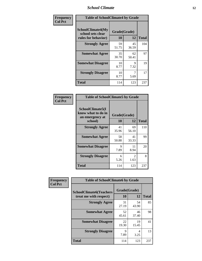### *School Climate* **12**

| Frequency      |                                                               | <b>Table of SchoolClimate4 by Grade</b> |             |              |  |
|----------------|---------------------------------------------------------------|-----------------------------------------|-------------|--------------|--|
| <b>Col Pct</b> | SchoolClimate4(My<br>school sets clear<br>rules for behavior) | Grade(Grade)<br>10                      | 12          | <b>Total</b> |  |
|                | <b>Strongly Agree</b>                                         | 59<br>51.75                             | 45<br>36.59 | 104          |  |
|                | <b>Somewhat Agree</b>                                         | 35<br>30.70                             | 62<br>50.41 | 97           |  |
|                | <b>Somewhat Disagree</b>                                      | 10<br>8.77                              | 9<br>7.32   | 19           |  |
|                | <b>Strongly Disagree</b>                                      | 10<br>8.77                              | 5.69        | 17           |  |
|                | <b>Total</b>                                                  | 114                                     | 123         | 237          |  |

| <b>Table of SchoolClimate5 by Grade</b>                              |                    |             |              |  |  |
|----------------------------------------------------------------------|--------------------|-------------|--------------|--|--|
| SchoolClimate5(I<br>know what to do in<br>an emergency at<br>school) | Grade(Grade)<br>10 | 12          | <b>Total</b> |  |  |
| <b>Strongly Agree</b>                                                | 41<br>35.96        | 69<br>56.10 | 110          |  |  |
| <b>Somewhat Agree</b>                                                | 58<br>50.88        | 41<br>33.33 | 99           |  |  |
| <b>Somewhat Disagree</b>                                             | 9<br>7.89          | 11<br>8.94  | 20           |  |  |
| <b>Strongly Disagree</b>                                             | 6<br>5.26          | 2<br>1.63   | 8            |  |  |
| <b>Total</b>                                                         | 114                | 123         | 237          |  |  |

| Frequency      | <b>Table of SchoolClimate6 by Grade</b>                  |                    |             |              |  |
|----------------|----------------------------------------------------------|--------------------|-------------|--------------|--|
| <b>Col Pct</b> | <b>SchoolClimate6(Teachers</b><br>treat me with respect) | Grade(Grade)<br>10 | 12          | <b>Total</b> |  |
|                | <b>Strongly Agree</b>                                    | 31<br>27.19        | 54<br>43.90 | 85           |  |
|                | <b>Somewhat Agree</b>                                    | 52<br>45.61        | 46<br>37.40 | 98           |  |
|                | <b>Somewhat Disagree</b>                                 | 22<br>19.30        | 19<br>15.45 | 41           |  |
|                | <b>Strongly Disagree</b>                                 | 9<br>7.89          | 4<br>3.25   | 13           |  |
|                | <b>Total</b>                                             | 114                | 123         | 237          |  |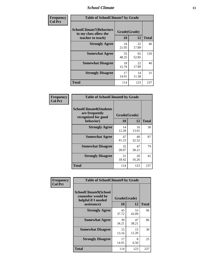### *School Climate* **13**

| Frequency      | <b>Table of SchoolClimate7 by Grade</b>                                       |                           |             |              |
|----------------|-------------------------------------------------------------------------------|---------------------------|-------------|--------------|
| <b>Col Pct</b> | <b>SchoolClimate7(Behaviors</b><br>in my class allow the<br>teacher to teach) | Grade(Grade)<br><b>10</b> | 12          | <b>Total</b> |
|                | <b>Strongly Agree</b>                                                         | 24<br>21.05               | 22<br>17.89 | 46           |
|                | <b>Somewhat Agree</b>                                                         | 55<br>48.25               | 65<br>52.85 | 120          |
|                | <b>Somewhat Disagree</b>                                                      | 18<br>15.79               | 22<br>17.89 | 40           |
|                | <b>Strongly Disagree</b>                                                      | 17<br>14.91               | 14<br>11.38 | 31           |
|                | <b>Total</b>                                                                  | 114                       | 123         | 237          |

| Frequency      | <b>Table of SchoolClimate8 by Grade</b>                                              |                    |             |              |
|----------------|--------------------------------------------------------------------------------------|--------------------|-------------|--------------|
| <b>Col Pct</b> | <b>SchoolClimate8(Students</b><br>are frequently<br>recognized for good<br>behavior) | Grade(Grade)<br>10 | 12          | <b>Total</b> |
|                | <b>Strongly Agree</b>                                                                | 14<br>12.28        | 16<br>13.01 | 30           |
|                | <b>Somewhat Agree</b>                                                                | 47<br>41.23        | 40<br>32.52 | 87           |
|                | <b>Somewhat Disagree</b>                                                             | 32<br>28.07        | 47<br>38.21 | 79           |
|                | <b>Strongly Disagree</b>                                                             | 21<br>18.42        | 20<br>16.26 | 41           |
|                | <b>Total</b>                                                                         | 114                | 123         | 237          |

| Frequency      | <b>Table of SchoolClimate9 by Grade</b>                                           |                    |             |              |
|----------------|-----------------------------------------------------------------------------------|--------------------|-------------|--------------|
| <b>Col Pct</b> | SchoolClimate9(School<br>counselor would be<br>helpful if I needed<br>assistance) | Grade(Grade)<br>10 | 12          | <b>Total</b> |
|                | <b>Strongly Agree</b>                                                             | 43<br>37.72        | 53<br>43.09 | 96           |
|                | <b>Somewhat Agree</b>                                                             | 39<br>34.21        | 47<br>38.21 | 86           |
|                | <b>Somewhat Disagree</b>                                                          | 15<br>13.16        | 15<br>12.20 | 30           |
|                | <b>Strongly Disagree</b>                                                          | 17<br>14.91        | 8<br>6.50   | 25           |
|                | <b>Total</b>                                                                      | 114                | 123         | 237          |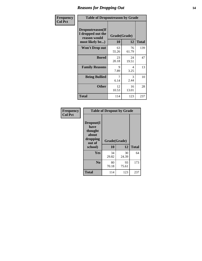### *Reasons for Dropping Out* **14**

| Frequency      | <b>Table of Dropoutreason by Grade</b>                                   |             |                    |              |
|----------------|--------------------------------------------------------------------------|-------------|--------------------|--------------|
| <b>Col Pct</b> | Dropoutreason(If<br>I dropped out the<br>reason would<br>most likely be) | 10          | Grade(Grade)<br>12 | <b>Total</b> |
|                | Won't Drop out                                                           | 63<br>55.26 | 76<br>61.79        | 139          |
|                | <b>Bored</b>                                                             | 23<br>20.18 | 24<br>19.51        | 47           |
|                | <b>Family Reasons</b>                                                    | 9<br>7.89   | 4<br>3.25          | 13           |
|                | <b>Being Bullied</b>                                                     | 7<br>6.14   | 3<br>2.44          | 10           |
|                | <b>Other</b>                                                             | 12<br>10.53 | 16<br>13.01        | 28           |
|                | Total                                                                    | 114         | 123                | 237          |

| Frequency      | <b>Table of Dropout by Grade</b>                            |              |             |              |  |
|----------------|-------------------------------------------------------------|--------------|-------------|--------------|--|
| <b>Col Pct</b> | Dropout(I<br>have<br>thought<br>about<br>dropping<br>out of | Grade(Grade) |             |              |  |
|                | school)                                                     | 10           | 12          | <b>Total</b> |  |
|                | Yes                                                         | 34<br>29.82  | 30<br>24.39 | 64           |  |
|                | N <sub>0</sub>                                              | 80<br>70.18  | 93<br>75.61 | 173          |  |
|                | <b>Total</b>                                                | 114          | 123         | 237          |  |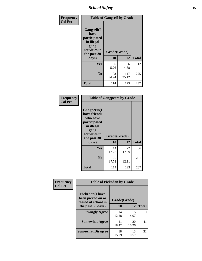*School Safety* **15**

| Frequency      | <b>Table of Gangself by Grade</b>                                                                 |                          |              |              |
|----------------|---------------------------------------------------------------------------------------------------|--------------------------|--------------|--------------|
| <b>Col Pct</b> | Gangself(I<br>have<br>participated<br>in illegal<br>gang<br>activities in<br>the past 30<br>days) | Grade(Grade)<br>10<br>12 |              | <b>Total</b> |
|                | Yes                                                                                               | 6<br>5.26                | 6<br>4.88    | 12           |
|                | N <sub>0</sub>                                                                                    | 108<br>94.74             | 117<br>95.12 | 225          |
|                | <b>Total</b>                                                                                      | 114                      | 123          | 237          |

| Frequency      | <b>Table of Gangpeers by Grade</b>                                                                                     |                    |              |              |
|----------------|------------------------------------------------------------------------------------------------------------------------|--------------------|--------------|--------------|
| <b>Col Pct</b> | Gangpeers(I<br>have friends<br>who have<br>participated<br>in illegal<br>gang<br>activities in<br>the past 30<br>days) | Grade(Grade)<br>10 | 12           | <b>Total</b> |
|                | Yes                                                                                                                    | 14<br>12.28        | 22<br>17.89  | 36           |
|                | N <sub>0</sub>                                                                                                         | 100<br>87.72       | 101<br>82.11 | 201          |
|                | <b>Total</b>                                                                                                           | 114                | 123          | 237          |

| Frequency      | <b>Table of Pickedon by Grade</b>                                  |              |             |              |  |  |  |  |  |  |
|----------------|--------------------------------------------------------------------|--------------|-------------|--------------|--|--|--|--|--|--|
| <b>Col Pct</b> | <b>Pickedon(I have</b><br>been picked on or<br>teased at school in | Grade(Grade) |             |              |  |  |  |  |  |  |
|                | the past 30 days)                                                  | 10           | 12          | <b>Total</b> |  |  |  |  |  |  |
|                | <b>Strongly Agree</b>                                              | 14<br>12.28  | 5<br>4.07   | 19           |  |  |  |  |  |  |
|                | <b>Somewhat Agree</b>                                              | 21<br>18.42  | 20<br>16.26 | 41           |  |  |  |  |  |  |
|                | <b>Somewhat Disagree</b>                                           | 18<br>15.79  | 13<br>10.57 | 31           |  |  |  |  |  |  |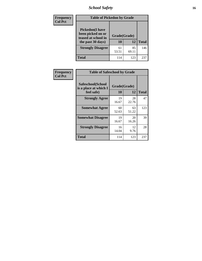# *School Safety* **16**

| <b>Frequency</b> | <b>Table of Pickedon by Grade</b>                                                        |                    |              |     |  |  |  |  |  |  |
|------------------|------------------------------------------------------------------------------------------|--------------------|--------------|-----|--|--|--|--|--|--|
| <b>Col Pct</b>   | <b>Pickedon</b> (I have<br>been picked on or<br>teased at school in<br>the past 30 days) | Grade(Grade)<br>10 | <b>Total</b> |     |  |  |  |  |  |  |
|                  | <b>Strongly Disagree</b>                                                                 | 61<br>53.51        | 85<br>69.11  | 146 |  |  |  |  |  |  |
|                  | Total                                                                                    | 114                | 123          | 23' |  |  |  |  |  |  |

| Frequency      | <b>Table of Safeschool by Grade</b>                      |                    |              |     |  |  |  |  |  |  |
|----------------|----------------------------------------------------------|--------------------|--------------|-----|--|--|--|--|--|--|
| <b>Col Pct</b> | Safeschool(School<br>is a place at which I<br>feel safe) | Grade(Grade)<br>10 | <b>Total</b> |     |  |  |  |  |  |  |
|                | <b>Strongly Agree</b>                                    | 19<br>16.67        | 28<br>22.76  | 47  |  |  |  |  |  |  |
|                | <b>Somewhat Agree</b>                                    | 60<br>52.63        | 63<br>51.22  | 123 |  |  |  |  |  |  |
|                | <b>Somewhat Disagree</b>                                 | 19<br>16.67        | 20<br>16.26  | 39  |  |  |  |  |  |  |
|                | <b>Strongly Disagree</b>                                 | 16<br>14.04        | 12<br>9.76   | 28  |  |  |  |  |  |  |
|                | <b>Total</b>                                             | 114                | 123          | 237 |  |  |  |  |  |  |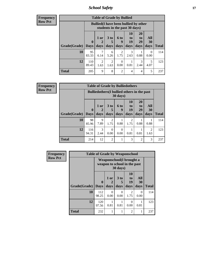*School Safety* **17**

| Frequency      |
|----------------|
| <b>Row Pct</b> |

| <b>Table of Grade by Bullied</b> |              |                                                                                                                                     |           |                        |           |           |           |                     |  |  |  |
|----------------------------------|--------------|-------------------------------------------------------------------------------------------------------------------------------------|-----------|------------------------|-----------|-----------|-----------|---------------------|--|--|--|
|                                  |              | <b>Bullied</b> (I have been bullied by other<br>students in the past 30 days)                                                       |           |                        |           |           |           |                     |  |  |  |
|                                  | $\mathbf{0}$ | 10<br>20<br><b>All</b><br>3 <sub>to</sub><br>$1$ or<br><b>6 to</b><br>to<br>to<br>19<br>5<br>29<br>30<br>$\mathcal{D}_{\cdot}$<br>9 |           |                        |           |           |           |                     |  |  |  |
| Grade(Grade)<br>10               | Days<br>95   | days                                                                                                                                | days<br>6 | days<br>$\overline{2}$ | days<br>3 | days      | days<br>0 | <b>Total</b><br>114 |  |  |  |
|                                  | 83.33        | 6.14                                                                                                                                | 5.26      | 1.75                   | 2.63      | 0.88      | 0.00      |                     |  |  |  |
| 12                               | 110<br>89.43 | 2<br>1.63                                                                                                                           | 2<br>1.63 | $\Omega$<br>0.00       | 0.81      | 3<br>2.44 | 5<br>4.07 | 123                 |  |  |  |
| Total                            | 205          | 9                                                                                                                                   | 8         | $\overline{2}$         | 4         | 4         | 5         | 237                 |  |  |  |

| <b>Frequency</b> |
|------------------|
| <b>Row Pct</b>   |

|                                                                         | <b>Table of Grade by Bulliedothers</b> |              |                                                                         |                        |           |                        |                |                                                                                                                                                                         |              |  |  |  |
|-------------------------------------------------------------------------|----------------------------------------|--------------|-------------------------------------------------------------------------|------------------------|-----------|------------------------|----------------|-------------------------------------------------------------------------------------------------------------------------------------------------------------------------|--------------|--|--|--|
|                                                                         |                                        |              | <b>Bulliedothers</b> (I bullied others in the past<br>$30 \text{ days}$ |                        |           |                        |                |                                                                                                                                                                         |              |  |  |  |
| 10<br>3 <sub>to</sub><br>1 or<br>6 to<br>to<br>19<br>$\bf{0}$<br>9<br>5 |                                        |              |                                                                         |                        |           | 20<br>to<br>29         | All<br>30      |                                                                                                                                                                         |              |  |  |  |
|                                                                         | Grade(Grade)   Days                    |              | days                                                                    | days                   | days      | days                   | days           | days                                                                                                                                                                    | <b>Total</b> |  |  |  |
|                                                                         | 10                                     | 98<br>85.96  | 9<br>7.89                                                               | $\overline{2}$<br>1.75 | 0.88      | $\overline{2}$<br>1.75 | 0.88           | 0.88                                                                                                                                                                    | 114          |  |  |  |
|                                                                         | 12                                     | 116<br>94.31 | 3<br>2.44                                                               | $\Omega$<br>0.00       | 0<br>0.00 | 0.81                   | 0.81           | $\mathcal{D}_{\mathcal{A}}^{\mathcal{A}}(\mathcal{A})=\mathcal{D}_{\mathcal{A}}^{\mathcal{A}}(\mathcal{A})\mathcal{D}_{\mathcal{A}}^{\mathcal{A}}(\mathcal{A})$<br>1.63 | 123          |  |  |  |
|                                                                         | <b>Total</b>                           | 214          | 12                                                                      | $\overline{2}$         |           | 3                      | $\overline{c}$ | 3                                                                                                                                                                       | 237          |  |  |  |

| Frequency      | <b>Table of Grade by Weaponschool</b> |                         |                                                                  |                              |                               |                   |              |  |  |  |
|----------------|---------------------------------------|-------------------------|------------------------------------------------------------------|------------------------------|-------------------------------|-------------------|--------------|--|--|--|
| <b>Row Pct</b> |                                       |                         | <b>Weaponschool</b> (I brought a<br>weapon to school in the past | 30 days)                     |                               |                   |              |  |  |  |
|                | Grade(Grade)                          | $\bf{0}$<br><b>Days</b> | 1 or<br>2<br>days                                                | 3 <sub>to</sub><br>5<br>days | <b>10</b><br>to<br>19<br>days | All<br>30<br>days | <b>Total</b> |  |  |  |
|                | 10                                    | 112<br>98.25            | 0<br>0.00                                                        | 0<br>0.00                    | 2<br>1.75                     | 0<br>0.00         | 114          |  |  |  |
|                | 12                                    | 120<br>97.56            | 0.81                                                             | 0.81                         | $\Omega$<br>0.00              | 0.81              | 123          |  |  |  |
|                | <b>Total</b>                          | 232                     |                                                                  |                              | $\overline{2}$                | 1                 | 237          |  |  |  |

ł,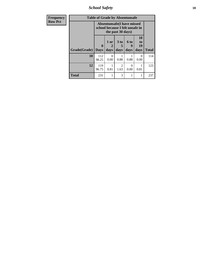*School Safety* **18**

| <b>Frequency</b> | <b>Table of Grade by Absentunsafe</b> |                                                                      |                   |                                     |                   |                        |              |  |  |  |
|------------------|---------------------------------------|----------------------------------------------------------------------|-------------------|-------------------------------------|-------------------|------------------------|--------------|--|--|--|
| <b>Row Pct</b>   |                                       | <b>Absentunsafe(I have missed</b><br>school because I felt unsafe in |                   |                                     |                   |                        |              |  |  |  |
|                  | Grade(Grade)                          | 0<br><b>Days</b>                                                     | 1 or<br>2<br>days | 3 to<br>5<br>days                   | 6 to<br>9<br>days | 10<br>to<br>19<br>days | <b>Total</b> |  |  |  |
|                  | 10                                    | 112<br>98.25                                                         | 0<br>0.00         | 0.88                                | 0.88              | 0<br>0.00              | 114          |  |  |  |
|                  | 12                                    | 119<br>96.75                                                         | 0.81              | $\mathcal{D}_{\mathcal{A}}$<br>1.63 | ∩<br>0.00         | 0.81                   | 123          |  |  |  |
|                  | <b>Total</b>                          | 231                                                                  | 1                 | 3                                   | 1                 |                        | 237          |  |  |  |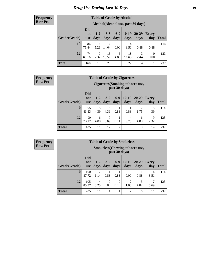# *Drug Use During Last 30 Days* **19**

#### **Frequency Row Pct**

| <b>Table of Grade by Alcohol</b> |                                 |                                     |                 |                 |                 |               |              |       |  |  |  |
|----------------------------------|---------------------------------|-------------------------------------|-----------------|-----------------|-----------------|---------------|--------------|-------|--|--|--|
|                                  |                                 | Alcohol (Alcohol use, past 30 days) |                 |                 |                 |               |              |       |  |  |  |
| Grade(Grade)                     | <b>Did</b><br>not<br><b>use</b> | $1 - 2$<br>days                     | $3 - 5$<br>days | $6 - 9$<br>days | $10-19$<br>days | 20-29<br>days | Every<br>day | Total |  |  |  |
| 10                               | 86<br>75.44                     | 6<br>5.26                           | 16<br>14.04     | 0<br>0.00       | 4<br>3.51       | 0.88          | 0.88         | 114   |  |  |  |
| 12                               | 74<br>60.16                     | 9<br>7.32                           | 13<br>10.57     | 6<br>4.88       | 18<br>14.63     | 3<br>2.44     | 0<br>0.00    | 123   |  |  |  |
| <b>Total</b>                     | 160                             | 15                                  | 29              | 6               | 22              | 4             | 1            | 237   |  |  |  |

#### **Frequency Row Pct**

| <b>Table of Grade by Cigarettes</b> |                                                                                                                                                   |                                                   |           |                |           |                        |           |              |  |  |
|-------------------------------------|---------------------------------------------------------------------------------------------------------------------------------------------------|---------------------------------------------------|-----------|----------------|-----------|------------------------|-----------|--------------|--|--|
|                                     |                                                                                                                                                   | Cigarettes (Smoking tobacco use,<br>past 30 days) |           |                |           |                        |           |              |  |  |
| Grade(Grade)                        | <b>Did</b><br>$6-9$<br>$10-19$<br>20-29<br>$3 - 5$<br>$1 - 2$<br><b>Every</b><br>not<br>days<br>days<br>days<br>days<br>day<br>days<br><b>use</b> |                                                   |           |                |           |                        |           | <b>Total</b> |  |  |
| 10                                  | 95<br>83.33                                                                                                                                       | 5<br>4.39                                         | 5<br>4.39 | 0.88           | 0.88      | $\mathfrak{D}$<br>1.75 | 5<br>4.39 | 114          |  |  |
| 12                                  | 90<br>73.17                                                                                                                                       | 6<br>4.88                                         | 7<br>5.69 | 0.81           | 4<br>3.25 | 6<br>4.88              | 9<br>7.32 | 123          |  |  |
| <b>Total</b>                        | 185                                                                                                                                               | 11                                                | 12        | $\overline{c}$ | 5         | 8                      | 14        | 237          |  |  |

| <b>Table of Grade by Smokeless</b> |                                 |                                                         |                 |                  |                        |                   |                     |              |  |  |
|------------------------------------|---------------------------------|---------------------------------------------------------|-----------------|------------------|------------------------|-------------------|---------------------|--------------|--|--|
|                                    |                                 | <b>Smokeless</b> (Chewing tobacco use,<br>past 30 days) |                 |                  |                        |                   |                     |              |  |  |
| Grade(Grade)                       | <b>Did</b><br>not<br><b>use</b> | $1 - 2$<br>days                                         | $3 - 5$<br>days | $6 - 9$<br>days  | $10-19$<br>days        | $20 - 29$<br>days | <b>Every</b><br>day | <b>Total</b> |  |  |
| 10                                 | 100<br>87.72                    | 7<br>6.14                                               | 0.88            | 0.88             | 0<br>0.00              | 0.88              | 4<br>3.51           | 114          |  |  |
| 12                                 | 105<br>85.37                    | 4<br>3.25                                               | 0<br>0.00       | $\Omega$<br>0.00 | $\overline{2}$<br>1.63 | 4.07              | 5.69                | 123          |  |  |
| <b>Total</b>                       | 205                             | 11                                                      |                 |                  | $\overline{2}$         | 6                 | 11                  | 237          |  |  |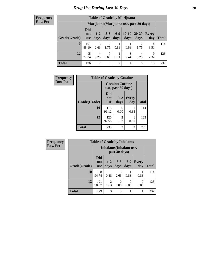| <b>Table of Grade by Marijuana</b> |                          |                                                                                                                  |                        |                |      |           |           |     |  |
|------------------------------------|--------------------------|------------------------------------------------------------------------------------------------------------------|------------------------|----------------|------|-----------|-----------|-----|--|
|                                    |                          | Marijuana (Marijuana use, past 30 days)                                                                          |                        |                |      |           |           |     |  |
| Grade(Grade)                       | Did<br>not<br><b>use</b> | $10-19$<br>$6-9$<br>20-29<br>$3 - 5$<br>$1 - 2$<br>Every<br>days<br>days<br>days<br>days<br>day<br>Total<br>days |                        |                |      |           |           |     |  |
| 10                                 | 101<br>88.60             | 3<br>2.63                                                                                                        | $\overline{2}$<br>1.75 | 0.88           | 0.88 | ∍<br>1.75 | 4<br>3.51 | 114 |  |
| 12                                 | 95<br>77.24              | 3<br>4<br>9<br>$\overline{4}$<br>0.81<br>2.44<br>7.32<br>3.25<br>5.69<br>3.25                                    |                        |                |      |           |           |     |  |
| <b>Total</b>                       | 196                      | $\mathcal{I}$                                                                                                    | 9                      | $\overline{c}$ | 4    | 6         | 13        | 237 |  |

| Frequency      | <b>Table of Grade by Cocaine</b> |                                 |                                               |                     |              |  |  |
|----------------|----------------------------------|---------------------------------|-----------------------------------------------|---------------------|--------------|--|--|
| <b>Row Pct</b> |                                  |                                 | <b>Cocaine</b> (Cocaine<br>use, past 30 days) |                     |              |  |  |
|                | Grade(Grade)                     | <b>Did</b><br>not<br><b>use</b> | $1 - 2$<br>days                               | <b>Every</b><br>day | <b>Total</b> |  |  |
|                | 10                               | 113<br>99.12                    | 0<br>0.00                                     | 0.88                | 114          |  |  |
|                | 12                               | 120<br>97.56                    | $\overline{c}$<br>1.63                        | 0.81                | 123          |  |  |
|                | <b>Total</b>                     | 233                             | 2                                             | $\overline{2}$      | 237          |  |  |

| <b>Frequency</b> | <b>Table of Grade by Inhalants</b> |                          |                                                  |                  |               |                     |              |  |
|------------------|------------------------------------|--------------------------|--------------------------------------------------|------------------|---------------|---------------------|--------------|--|
| <b>Row Pct</b>   |                                    |                          | <b>Inhalants</b> (Inhalant use,<br>past 30 days) |                  |               |                     |              |  |
|                  | Grade(Grade)                       | Did<br>not<br><b>use</b> | $1 - 2$<br>days                                  | $3 - 5$<br>days  | $6-9$<br>days | <b>Every</b><br>day | <b>Total</b> |  |
|                  | 10                                 | 108<br>94.74             | 0.88                                             | 3<br>2.63        | 0.88          | 0.88                | 114          |  |
|                  | 12                                 | 121<br>98.37             | $\overline{2}$<br>1.63                           | $\Omega$<br>0.00 | 0<br>0.00     | $\Omega$<br>0.00    | 123          |  |
|                  | <b>Total</b>                       | 229                      | 3                                                | 3                |               |                     | 237          |  |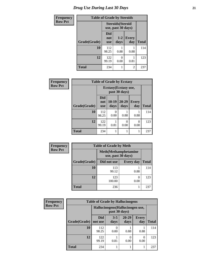| <b>Frequency</b> | <b>Table of Grade by Steroids</b> |                          |                                                |                     |              |  |  |
|------------------|-----------------------------------|--------------------------|------------------------------------------------|---------------------|--------------|--|--|
| <b>Row Pct</b>   |                                   |                          | <b>Steroids</b> (Steroid<br>use, past 30 days) |                     |              |  |  |
|                  | Grade(Grade)                      | Did<br>not<br><b>use</b> | $1 - 2$<br>days                                | <b>Every</b><br>day | <b>Total</b> |  |  |
|                  | 10                                | 112<br>98.25             | 0.88                                           | 0.88                | 114          |  |  |
|                  | 12                                | 122<br>99.19             | 0<br>0.00                                      | 0.81                | 123          |  |  |
|                  | <b>Total</b>                      | 234                      |                                                | 2                   | 237          |  |  |

| Frequency      |              | <b>Table of Grade by Ecstasy</b>       |                 |                   |                     |              |  |
|----------------|--------------|----------------------------------------|-----------------|-------------------|---------------------|--------------|--|
| <b>Row Pct</b> |              | Ecstasy (Ecstasy use,<br>past 30 days) |                 |                   |                     |              |  |
|                | Grade(Grade) | Did<br>not<br><b>use</b>               | $10-19$<br>days | $20 - 29$<br>days | <b>Every</b><br>day | <b>Total</b> |  |
|                | 10           | 112<br>98.25                           | 0<br>0.00       | 0.88              | 0.88                | 114          |  |
|                | 12           | 122<br>99.19                           | 0.81            | 0<br>0.00         | $\Omega$<br>0.00    | 123          |  |
|                | <b>Total</b> | 234                                    |                 |                   |                     | 237          |  |

| Frequency      |              | <b>Table of Grade by Meth</b>                      |                  |              |
|----------------|--------------|----------------------------------------------------|------------------|--------------|
| <b>Row Pct</b> |              | <b>Meth</b> (Methamphetamine<br>use, past 30 days) |                  |              |
|                | Grade(Grade) | Did not use                                        | <b>Every day</b> | <b>Total</b> |
|                | 10           | 113<br>99.12                                       | 0.88             | 114          |
|                | 12           | 123<br>100.00                                      | 0<br>0.00        | 123          |
|                | <b>Total</b> | 236                                                |                  | 237          |

| <b>Frequency</b> | <b>Table of Grade by Hallucinogens</b> |                                                   |                 |                   |                     |       |  |
|------------------|----------------------------------------|---------------------------------------------------|-----------------|-------------------|---------------------|-------|--|
| <b>Row Pct</b>   |                                        | Hallucinogens (Hallucinogen use,<br>past 30 days) |                 |                   |                     |       |  |
|                  | Grade(Grade)                           | <b>Did</b><br>not use                             | $3 - 5$<br>days | $20 - 29$<br>days | <b>Every</b><br>day | Total |  |
|                  | 10                                     | 112<br>98.25                                      | $_{0}$<br>0.00  | 0.88              | 0.88                | 114   |  |
|                  | 12                                     | 122<br>99.19                                      | 0.81            | $\Omega$<br>0.00  | $\Omega$<br>0.00    | 123   |  |
|                  | <b>Total</b>                           | 234                                               |                 |                   |                     | 237   |  |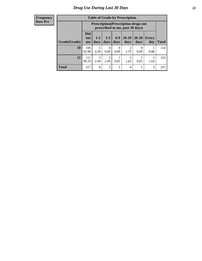| <b>Table of Grade by Prescription</b> |                                 |                                                                                                                               |           |                  |           |                  |      |     |  |
|---------------------------------------|---------------------------------|-------------------------------------------------------------------------------------------------------------------------------|-----------|------------------|-----------|------------------|------|-----|--|
|                                       |                                 | <b>Prescription</b> (Prescription drugs not<br>prescribed to me, past 30 days)                                                |           |                  |           |                  |      |     |  |
| Grade(Grade)                          | <b>Did</b><br>not<br><b>use</b> | $10-19$<br>$6 - 9$<br>$20 - 29$<br>$3 - 5$<br>$1 - 2$<br><b>Every</b><br>days<br>days<br>days<br>Total<br>days<br>day<br>days |           |                  |           |                  |      |     |  |
| 10                                    | 106<br>92.98                    | 5<br>4.39                                                                                                                     | 0<br>0.00 | $\Omega$<br>0.00 | 2<br>1.75 | $\Omega$<br>0.00 | 0.88 | 114 |  |
| 12                                    | 111<br>90.24                    | 3<br>3<br>2<br>$\mathfrak{D}$<br>0.81<br>0.81<br>2.44<br>1.63<br>2.44<br>1.63                                                 |           |                  |           |                  |      |     |  |
| <b>Total</b>                          | 217                             | 8                                                                                                                             | 3         |                  | 4         |                  | 3    | 237 |  |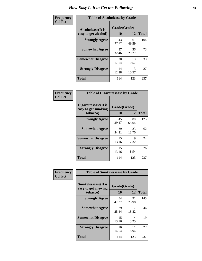| Frequency      |                                                   | <b>Table of Alcoholease by Grade</b> |             |              |  |  |  |  |
|----------------|---------------------------------------------------|--------------------------------------|-------------|--------------|--|--|--|--|
| <b>Col Pct</b> | <b>Alcoholease</b> (It is<br>easy to get alcohol) | Grade(Grade)<br>10                   | 12          | <b>Total</b> |  |  |  |  |
|                | <b>Strongly Agree</b>                             | 43<br>37.72                          | 61<br>49.59 | 104          |  |  |  |  |
|                | <b>Somewhat Agree</b>                             | 37<br>32.46                          | 36<br>29.27 | 73           |  |  |  |  |
|                | <b>Somewhat Disagree</b>                          | 20<br>17.54                          | 13<br>10.57 | 33           |  |  |  |  |
|                | <b>Strongly Disagree</b>                          | 14<br>12.28                          | 13<br>10.57 | 27           |  |  |  |  |
|                | <b>Total</b>                                      | 114                                  | 123         | 237          |  |  |  |  |

| Frequency      |                                                          | <b>Table of Cigarettesease by Grade</b> |             |              |  |  |
|----------------|----------------------------------------------------------|-----------------------------------------|-------------|--------------|--|--|
| <b>Col Pct</b> | Cigarettesease (It is<br>easy to get smoking<br>tobacco) | Grade(Grade)<br>10                      | 12          | <b>Total</b> |  |  |
|                | <b>Strongly Agree</b>                                    | 45<br>39.47                             | 80<br>65.04 | 125          |  |  |
|                | <b>Somewhat Agree</b>                                    | 39<br>34.21                             | 23<br>18.70 | 62           |  |  |
|                | <b>Somewhat Disagree</b>                                 | 15<br>13.16                             | 9<br>7.32   | 24           |  |  |
|                | <b>Strongly Disagree</b>                                 | 15<br>13.16                             | 11<br>8.94  | 26           |  |  |
|                | <b>Total</b>                                             | 114                                     | 123         | 237          |  |  |

| Frequency      | <b>Table of Smokelessease by Grade</b>                         |             |                    |              |  |  |  |
|----------------|----------------------------------------------------------------|-------------|--------------------|--------------|--|--|--|
| <b>Col Pct</b> | <b>Smokelessease</b> (It is<br>easy to get chewing<br>tobacco) | 10          | Grade(Grade)<br>12 | <b>Total</b> |  |  |  |
|                | <b>Strongly Agree</b>                                          | 54<br>47.37 | 91<br>73.98        | 145          |  |  |  |
|                | <b>Somewhat Agree</b>                                          | 29<br>25.44 | 17<br>13.82        | 46           |  |  |  |
|                | <b>Somewhat Disagree</b>                                       | 15<br>13.16 | 4<br>3.25          | 19           |  |  |  |
|                | <b>Strongly Disagree</b>                                       | 16<br>14.04 | 11<br>8.94         | 27           |  |  |  |
|                | <b>Total</b>                                                   | 114         | 123                | 237          |  |  |  |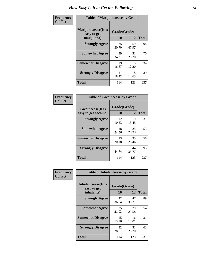| Frequency      | <b>Table of Marijuanaease by Grade</b>            |                           |             |              |  |
|----------------|---------------------------------------------------|---------------------------|-------------|--------------|--|
| <b>Col Pct</b> | Marijuanaease (It is<br>easy to get<br>marijuana) | Grade(Grade)<br><b>10</b> | 12          | <b>Total</b> |  |
|                | <b>Strongly Agree</b>                             | 35<br>30.70               | 59<br>47.97 | 94           |  |
|                | <b>Somewhat Agree</b>                             | 39<br>34.21               | 31<br>25.20 | 70           |  |
|                | <b>Somewhat Disagree</b>                          | 19<br>16.67               | 15<br>12.20 | 34           |  |
|                | <b>Strongly Disagree</b>                          | 21<br>18.42               | 18<br>14.63 | 39           |  |
|                | <b>Total</b>                                      | 114                       | 123         | 237          |  |

| <b>Table of Cocaineease by Grade</b>              |                    |             |              |  |  |  |  |  |  |  |  |
|---------------------------------------------------|--------------------|-------------|--------------|--|--|--|--|--|--|--|--|
| <b>Cocaineease</b> (It is<br>easy to get cocaine) | Grade(Grade)<br>10 | 12          | <b>Total</b> |  |  |  |  |  |  |  |  |
| <b>Strongly Agree</b>                             | 12<br>10.53        | 19<br>15.45 | 31           |  |  |  |  |  |  |  |  |
| <b>Somewhat Agree</b>                             | 28<br>24.56        | 25<br>20.33 | 53           |  |  |  |  |  |  |  |  |
| <b>Somewhat Disagree</b>                          | 23<br>20.18        | 35<br>28.46 | 58           |  |  |  |  |  |  |  |  |
| <b>Strongly Disagree</b>                          | 51<br>44.74        | 44<br>35.77 | 95           |  |  |  |  |  |  |  |  |
| <b>Total</b>                                      | 114                | 123         | 237          |  |  |  |  |  |  |  |  |

| Frequency      | <b>Table of Inhalantsease by Grade</b>                   |                    |             |              |
|----------------|----------------------------------------------------------|--------------------|-------------|--------------|
| <b>Col Pct</b> | <b>Inhalantsease</b> (It is<br>easy to get<br>inhalants) | Grade(Grade)<br>10 | 12          | <b>Total</b> |
|                | <b>Strongly Agree</b>                                    | 42<br>36.84        | 47<br>38.21 | 89           |
|                | <b>Somewhat Agree</b>                                    | 25<br>21.93        | 29<br>23.58 | 54           |
|                | <b>Somewhat Disagree</b>                                 | 15<br>13.16        | 16<br>13.01 | 31           |
|                | <b>Strongly Disagree</b>                                 | 32<br>28.07        | 31<br>25.20 | 63           |
|                | <b>Total</b>                                             | 114                | 123         | 237          |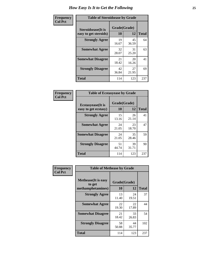| Frequency      | <b>Table of Steroidsease by Grade</b>               |                    |             |              |  |  |  |  |  |  |  |  |
|----------------|-----------------------------------------------------|--------------------|-------------|--------------|--|--|--|--|--|--|--|--|
| <b>Col Pct</b> | <b>Steroidsease</b> (It is<br>easy to get steroids) | Grade(Grade)<br>10 | 12          | <b>Total</b> |  |  |  |  |  |  |  |  |
|                | <b>Strongly Agree</b>                               | 19<br>16.67        | 45<br>36.59 | 64           |  |  |  |  |  |  |  |  |
|                | <b>Somewhat Agree</b>                               | 32<br>28.07        | 31<br>25.20 | 63           |  |  |  |  |  |  |  |  |
|                | <b>Somewhat Disagree</b>                            | 21<br>18.42        | 20<br>16.26 | 41           |  |  |  |  |  |  |  |  |
|                | <b>Strongly Disagree</b>                            | 42<br>36.84        | 27<br>21.95 | 69           |  |  |  |  |  |  |  |  |
|                | Total                                               | 114                | 123         | 237          |  |  |  |  |  |  |  |  |

| Frequency      | <b>Table of Ecstasyease by Grade</b>              |                    |              |     |
|----------------|---------------------------------------------------|--------------------|--------------|-----|
| <b>Col Pct</b> | <b>Ecstasyease</b> (It is<br>easy to get ecstasy) | Grade(Grade)<br>10 | <b>Total</b> |     |
|                | <b>Strongly Agree</b>                             | 15<br>13.16        | 26<br>21.14  | 41  |
|                | <b>Somewhat Agree</b>                             | 24<br>21.05        | 23<br>18.70  | 47  |
|                | <b>Somewhat Disagree</b>                          | 24<br>21.05        | 35<br>28.46  | 59  |
|                | <b>Strongly Disagree</b>                          | 51<br>44.74        | 39<br>31.71  | 90  |
|                | <b>Total</b>                                      | 114                | 123          | 237 |

| Frequency      | <b>Table of Methease by Grade</b>                          |                    |             |              |
|----------------|------------------------------------------------------------|--------------------|-------------|--------------|
| <b>Col Pct</b> | <b>Methease</b> (It is easy<br>to get<br>methamphetamines) | Grade(Grade)<br>10 | 12          | <b>Total</b> |
|                | <b>Strongly Agree</b>                                      | 13<br>11.40        | 24<br>19.51 | 37           |
|                | <b>Somewhat Agree</b>                                      | 22<br>19.30        | 22<br>17.89 | 44           |
|                | <b>Somewhat Disagree</b>                                   | 21<br>18.42        | 33<br>26.83 | 54           |
|                | <b>Strongly Disagree</b>                                   | 58<br>50.88        | 44<br>35.77 | 102          |
|                | <b>Total</b>                                               | 114                | 123         | 237          |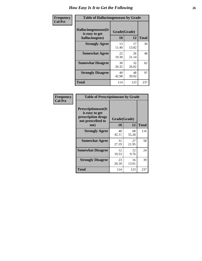| <b>Frequency</b> | <b>Table of Hallucinogensease by Grade</b>               |                    |             |              |
|------------------|----------------------------------------------------------|--------------------|-------------|--------------|
| <b>Col Pct</b>   | Hallucinogensease(It<br>is easy to get<br>hallucinogens) | Grade(Grade)<br>10 | 12          | <b>Total</b> |
|                  | <b>Strongly Agree</b>                                    | 13<br>11.40        | 17<br>13.82 | 30           |
|                  | <b>Somewhat Agree</b>                                    | 22<br>19.30        | 26<br>21.14 | 48           |
|                  | <b>Somewhat Disagree</b>                                 | 30<br>26.32        | 32<br>26.02 | 62           |
|                  | <b>Strongly Disagree</b>                                 | 49<br>42.98        | 48<br>39.02 | 97           |
|                  | <b>Total</b>                                             | 114                | 123         | 237          |

| <b>Table of Prescriptionease by Grade</b>                                                |              |             |              |  |  |  |  |  |  |  |  |
|------------------------------------------------------------------------------------------|--------------|-------------|--------------|--|--|--|--|--|--|--|--|
| <b>Prescriptionease</b> (It<br>is easy to get<br>prescription drugs<br>not prescribed to | Grade(Grade) |             |              |  |  |  |  |  |  |  |  |
| me)                                                                                      | 10           | 12          | <b>Total</b> |  |  |  |  |  |  |  |  |
| <b>Strongly Agree</b>                                                                    | 48<br>42.11  | 68<br>55.28 | 116          |  |  |  |  |  |  |  |  |
| <b>Somewhat Agree</b>                                                                    | 31<br>27.19  | 27<br>21.95 | 58           |  |  |  |  |  |  |  |  |
| <b>Somewhat Disagree</b>                                                                 | 12<br>10.53  | 12<br>9.76  | 24           |  |  |  |  |  |  |  |  |
| <b>Strongly Disagree</b>                                                                 | 23<br>20.18  | 16<br>13.01 | 39           |  |  |  |  |  |  |  |  |
| Total                                                                                    | 114          | 123         | 237          |  |  |  |  |  |  |  |  |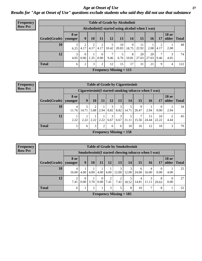*Age at Onset of Use* **27** *Results for "Age at Onset of Use" questions exclude students who said they did not use that substance*

| <b>Frequency</b> | <b>Table of Grade by Alcoholinit</b> |                        |                        |           |                  |                        |                                                  |            |             |             |           |                       |              |
|------------------|--------------------------------------|------------------------|------------------------|-----------|------------------|------------------------|--------------------------------------------------|------------|-------------|-------------|-----------|-----------------------|--------------|
| <b>Row Pct</b>   |                                      |                        |                        |           |                  |                        | Alcoholinit (I started using alcohol when I was) |            |             |             |           |                       |              |
|                  | Grade(Grade)                         | <b>8 or</b><br>younger | 9                      | 10        | 11               | 12                     | 13                                               | 14         | 15          | 16          | 17        | <b>18 or</b><br>older | <b>Total</b> |
|                  | 10                                   | 3<br>6.25              | $\overline{2}$<br>4.17 | 2<br>4.17 | 4.17             | 5<br>10.42             | 10<br>20.83                                      | 9<br>18.75 | 11<br>22.92 | 2.08        | 2<br>4.17 | 2.08                  | 48           |
|                  | 12                                   | 3<br>4.05              | $\Omega$<br>0.00       | 1.35      | $\theta$<br>0.00 | $\overline{7}$<br>9.46 | 5<br>6.76                                        | 8<br>10.81 | 20<br>27.03 | 20<br>27.03 | 7<br>9.46 | 4.05                  | 74           |
|                  | <b>Total</b>                         | 6                      | $\overline{2}$         | 3         | 2                | 12                     | 15                                               | 17         | 31          | 21          | 9         | 4                     | 122          |
|                  |                                      |                        |                        |           |                  |                        | Frequency Missing $= 115$                        |            |             |             |           |                       |              |

| <b>Frequency</b> |
|------------------|
| <b>Row Pct</b>   |

|                      | <b>Table of Grade by Cigarettesinit</b> |                                                      |      |      |           |           |                           |            |             |                  |                        |              |  |  |
|----------------------|-----------------------------------------|------------------------------------------------------|------|------|-----------|-----------|---------------------------|------------|-------------|------------------|------------------------|--------------|--|--|
|                      |                                         | Cigarettesinit(I started smoking tobacco when I was) |      |      |           |           |                           |            |             |                  |                        |              |  |  |
| $ $ Grade(Grade) $ $ | 8 or<br>younger                         | 9                                                    | 10   | 11   | 12        | 13        | 14                        | <b>15</b>  | 16          | 17               | <b>18 or</b><br>older  | <b>Total</b> |  |  |
| 10                   | $\overline{4}$<br>11.76                 | 5<br>14.71                                           | 5.88 | 2.94 | 3<br>8.82 | 3<br>8.82 | 5<br>14.71                | 9<br>26.47 | 2.94        | $\Omega$<br>0.00 | 2.94                   | 34           |  |  |
| 12                   | 2.22                                    | 2.22                                                 | 2.22 | 2.22 | 3<br>6.67 | 3<br>6.67 | 5<br>11.11                | 7<br>15.56 | 11<br>24.44 | 10<br>22.22      | $\mathfrak{D}$<br>4.44 | 45           |  |  |
| Total                | 5                                       | 6                                                    | 3    | 2    | 6         | 6         | 10                        | 16         | 12          | 10               | 3                      | 79           |  |  |
|                      |                                         |                                                      |      |      |           |           | Frequency Missing $= 158$ |            |             |                  |                        |              |  |  |

| <b>Table of Grade by Smokelessinit</b> |                 |                                                      |      |                  |           |                           |            |            |            |                  |                       |              |  |  |
|----------------------------------------|-----------------|------------------------------------------------------|------|------------------|-----------|---------------------------|------------|------------|------------|------------------|-----------------------|--------------|--|--|
|                                        |                 | Smokelessinit (I started chewing tobacco when I was) |      |                  |           |                           |            |            |            |                  |                       |              |  |  |
| Grade(Grade)                           | 8 or<br>younger | 9                                                    | 10   | <b>11</b>        | 12        | 13                        | 14         | 15         | 16         | 17               | <b>18 or</b><br>older | <b>Total</b> |  |  |
| 10                                     | 4<br>16.00      | 4.00                                                 | 4.00 | 4.00             | 4.00      | 3<br>12.00                | 3<br>12.00 | 6<br>24.00 | 4<br>16.00 | $\Omega$<br>0.00 | 4.00                  | 25           |  |  |
| 12                                     | 7.41            | $\Omega$<br>0.00                                     | 3.70 | $\theta$<br>0.00 | 2<br>7.41 | 2<br>7.41                 | 18.52      | 4<br>14.81 | 3<br>11.11 | 8<br>29.63       | 0<br>0.00             | 27           |  |  |
| <b>Total</b>                           | 6               | 1                                                    | 2    |                  | 3         | 5                         | 8          | 10         |            | 8                |                       | 52           |  |  |
|                                        |                 |                                                      |      |                  |           | Frequency Missing $= 185$ |            |            |            |                  |                       |              |  |  |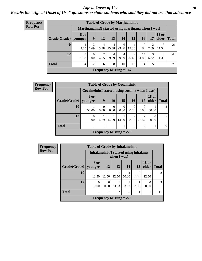#### *Age at Onset of Use* **28**

### *Results for "Age at Onset of Use" questions exclude students who said they did not use that substance*

| Frequency      |              |                 |                |                        | <b>Table of Grade by Marijuanainit</b>               |                        |                 |                  |           |                               |    |
|----------------|--------------|-----------------|----------------|------------------------|------------------------------------------------------|------------------------|-----------------|------------------|-----------|-------------------------------|----|
| <b>Row Pct</b> |              |                 |                |                        | Marijuanainit (I started using marijuana when I was) |                        |                 |                  |           |                               |    |
|                | Grade(Grade) | 8 or<br>younger | 9              | 12                     | 13                                                   | <b>14</b>              | 15 <sup>1</sup> | 16               | 17        | <b>18 or</b><br>older   Total |    |
|                | 10           | 3.85            | 7.69           | 4<br>15.38             | 4<br>15.38                                           | 6<br>23.08             | 4<br>15.38      | $\theta$<br>0.00 | 7.69      | 3<br>11.54                    | 26 |
|                | 12           | 3<br>6.82       | 0<br>0.00      | $\overline{2}$<br>4.55 | 4<br>9.09                                            | $\overline{4}$<br>9.09 | Q<br>20.45      | 14<br>31.82      | 3<br>6.82 | 5<br>11.36                    | 44 |
|                | <b>Total</b> | $\overline{4}$  | $\mathfrak{D}$ | 6                      | 8                                                    | 10                     | 13              | 14               | 5         | 8                             | 70 |
|                |              |                 |                |                        | <b>Frequency Missing = 167</b>                       |                        |                 |                  |           |                               |    |

| <b>Frequency</b> |                        |                                                  | <b>Table of Grade by Cocaineinit</b> |                  |                  |                  |       |                       |       |
|------------------|------------------------|--------------------------------------------------|--------------------------------------|------------------|------------------|------------------|-------|-----------------------|-------|
| <b>Row Pct</b>   |                        | Cocaineinit (I started using cocaine when I was) |                                      |                  |                  |                  |       |                       |       |
|                  | Grade(Grade)   younger | 8 or                                             | 9                                    | <b>10</b>        | 15               | 16 <sup>1</sup>  | 17    | <b>18 or</b><br>older | Total |
|                  | 10                     | 50.00                                            | $\Omega$<br>0.00                     | $\Omega$<br>0.00 | $\Omega$<br>0.00 | $\theta$<br>0.00 | 0.00  | 50.00                 | 2     |
|                  | 12                     | 0<br>0.00                                        | 14.29                                | 14.29            | 14.29            | 28.57            | 28.57 | 0.00                  | 7     |
|                  | <b>Total</b>           |                                                  |                                      |                  | 1                | 2                | っ     |                       | 9     |
|                  |                        |                                                  | Frequency Missing $= 228$            |                  |                  |                  |       |                       |       |

| Frequency      | <b>Table of Grade by Inhalantsinit</b> |                  |                                                         |               |                           |                 |                       |              |  |  |
|----------------|----------------------------------------|------------------|---------------------------------------------------------|---------------|---------------------------|-----------------|-----------------------|--------------|--|--|
| <b>Row Pct</b> |                                        |                  | Inhalantsinit (I started using inhalants<br>when I was) |               |                           |                 |                       |              |  |  |
|                | Grade(Grade)   younger                 | 8 or             | 12                                                      | <b>13</b>     | 14                        | 15 <sup>1</sup> | <b>18 or</b><br>older | <b>Total</b> |  |  |
|                | 10                                     | 12.50            | 12.50                                                   | 12.50         | 4<br>50.00                | 0.00            | 12.50                 | 8            |  |  |
|                | 12                                     | $\Omega$<br>0.00 | 0.00                                                    | 33.33         | 33.33                     | 33.33           | 0.00                  | 3            |  |  |
|                | <b>Total</b>                           |                  |                                                         | $\mathcal{D}$ | 5                         |                 |                       | 11           |  |  |
|                |                                        |                  |                                                         |               | Frequency Missing $= 226$ |                 |                       |              |  |  |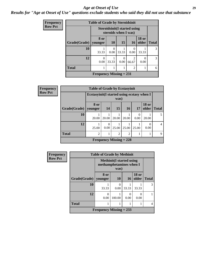#### *Age at Onset of Use* **29**

*Results for "Age at Onset of Use" questions exclude students who said they did not use that substance*

| <b>Frequency</b> |              | <b>Table of Grade by Steroidsinit</b> |                      |           |                                      |                       |              |
|------------------|--------------|---------------------------------------|----------------------|-----------|--------------------------------------|-----------------------|--------------|
| <b>Row Pct</b>   |              |                                       | steroids when I was) |           | <b>Steroidsinit (I started using</b> |                       |              |
|                  | Grade(Grade) | 8 or<br>vounger                       | 10                   | 15        | 16                                   | <b>18 or</b><br>older | <b>Total</b> |
|                  | 10           | 33.33                                 | 0<br>0.00            | 33.33     | 0.00                                 | 33.33                 | 3            |
|                  | 12           | $\Omega$<br>0.00                      | 33.33                | 0<br>0.00 | 2<br>66.67                           | 0.00                  | 3            |
|                  | <b>Total</b> |                                       |                      |           | $\mathcal{D}_{\mathcal{L}}$          | 1                     | 6            |
|                  |              | <b>Frequency Missing = 231</b>        |                      |           |                                      |                       |              |

| Frequency | <b>Table of Grade by Ecstasyinit</b> |                                             |                  |                |                           |           |                       |              |  |  |
|-----------|--------------------------------------|---------------------------------------------|------------------|----------------|---------------------------|-----------|-----------------------|--------------|--|--|
| Row Pct   |                                      | Ecstasyinit (I started using ecstasy when I |                  | was)           |                           |           |                       |              |  |  |
|           | <b>Grade</b> (Grade)                 | 8 or<br>younger                             | 14               | 15             | <b>16</b>                 | 17        | <b>18 or</b><br>older | <b>Total</b> |  |  |
|           | 10                                   | 20.00                                       | 20.00            | 20.00          | 20.00                     | 0<br>0.00 | 20.00                 |              |  |  |
|           | 12                                   | 25.00                                       | $\Omega$<br>0.00 | 25.00          | 25.00                     | 25.00     | 0<br>0.00             | 4            |  |  |
|           | <b>Total</b>                         | $\mathfrak{D}$                              |                  | $\overline{2}$ | $\overline{2}$            | 1         |                       | 9            |  |  |
|           |                                      |                                             |                  |                | Frequency Missing $= 228$ |           |                       |              |  |  |

| <b>Frequency</b> | <b>Table of Grade by Methinit</b> |                           |                                          |                 |                       |              |  |  |  |  |
|------------------|-----------------------------------|---------------------------|------------------------------------------|-----------------|-----------------------|--------------|--|--|--|--|
| <b>Row Pct</b>   |                                   | methamphetamines when I   | <b>Methinit</b> (I started using<br>was) |                 |                       |              |  |  |  |  |
|                  | Grade(Grade)                      | 8 or<br>younger           | 10                                       | 16 <sup>1</sup> | <b>18 or</b><br>older | <b>Total</b> |  |  |  |  |
|                  | 10                                | 33.33                     | 0<br>0.00                                | 33.33           | 33.33                 | 3            |  |  |  |  |
|                  | 12                                | 0<br>0.00                 | 100.00                                   | 0.00            | 0.00                  |              |  |  |  |  |
|                  | <b>Total</b>                      |                           |                                          |                 |                       | 4            |  |  |  |  |
|                  |                                   | Frequency Missing $= 233$ |                                          |                 |                       |              |  |  |  |  |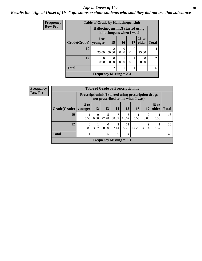#### Age at Onset of Use **30**

### *Results for "Age at Onset of Use" questions exclude students who said they did not use that substance*

| Frequency      |              | <b>Table of Grade by Hallucinogensinit</b> |                           |                           |       |                          |              |
|----------------|--------------|--------------------------------------------|---------------------------|---------------------------|-------|--------------------------|--------------|
| <b>Row Pct</b> |              | Hallucinogensinit (I started using         |                           | hallucinogens when I was) |       |                          |              |
|                | Grade(Grade) | 8 or<br>vounger                            | <b>15</b>                 | 16                        | 17    | <b>18 or</b><br>older    | <b>Total</b> |
|                | 10           | 25.00                                      | $\mathfrak{D}$<br>50.00   | 0.00                      | 0.00  | 25.00                    | 4            |
|                | 12           | 0<br>0.00                                  | $\mathbf{\Omega}$<br>0.00 | 50.00                     | 50.00 | $\left( \right)$<br>0.00 | 2            |
|                | <b>Total</b> |                                            | $\overline{2}$            |                           |       |                          | 6            |
|                |              | Frequency Missing $= 231$                  |                           |                           |       |                          |              |

| <b>Frequency</b> |                                |                                                              |                  |                  |            | <b>Table of Grade by Prescriptioninit</b> |                         |                  |                       |              |
|------------------|--------------------------------|--------------------------------------------------------------|------------------|------------------|------------|-------------------------------------------|-------------------------|------------------|-----------------------|--------------|
| <b>Row Pct</b>   |                                | <b>Prescriptioninit (I started using prescription drugs)</b> |                  |                  |            | not prescribed to me when I was)          |                         |                  |                       |              |
|                  | Grade(Grade)   younger         | 8 or                                                         | <b>12</b>        | 13               | <b>14</b>  | 15                                        | <b>16</b>               | 17               | <b>18 or</b><br>older | <b>Total</b> |
|                  | 10                             | 5.56                                                         | $\Omega$<br>0.00 | 5<br>27.78       | 7<br>38.89 | 3<br>16.67                                | 5.56                    | $\Omega$<br>0.00 | 5.56                  | 18           |
|                  | 12                             | $\Omega$<br>0.00                                             | 3.57             | $\theta$<br>0.00 | っ<br>7.14  | 11<br>39.29                               | $\overline{4}$<br>14.29 | 9<br>32.14       | 3.57                  | 28           |
|                  | <b>Total</b>                   |                                                              |                  | 5                | 9          | 14                                        | 5                       | 9                | 2                     | 46           |
|                  | <b>Frequency Missing = 191</b> |                                                              |                  |                  |            |                                           |                         |                  |                       |              |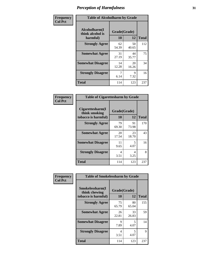| Frequency      | <b>Table of Alcoholharm by Grade</b>          |                    |             |              |  |  |
|----------------|-----------------------------------------------|--------------------|-------------|--------------|--|--|
| <b>Col Pct</b> | Alcoholharm(I<br>think alcohol is<br>harmful) | Grade(Grade)<br>10 | 12          | <b>Total</b> |  |  |
|                | <b>Strongly Agree</b>                         | 62<br>54.39        | 50<br>40.65 | 112          |  |  |
|                | <b>Somewhat Agree</b>                         | 31<br>27.19        | 44<br>35.77 | 75           |  |  |
|                | <b>Somewhat Disagree</b>                      | 14<br>12.28        | 20<br>16.26 | 34           |  |  |
|                | <b>Strongly Disagree</b>                      | 7<br>6.14          | 9<br>7.32   | 16           |  |  |
|                | <b>Total</b>                                  | 114                | 123         | 237          |  |  |

| <b>Table of Cigarettesharm by Grade</b>                  |                    |             |              |  |  |  |  |  |
|----------------------------------------------------------|--------------------|-------------|--------------|--|--|--|--|--|
| Cigarettesharm(I<br>think smoking<br>tobacco is harmful) | Grade(Grade)<br>10 | 12          | <b>Total</b> |  |  |  |  |  |
| <b>Strongly Agree</b>                                    | 79<br>69.30        | 91<br>73.98 | 170          |  |  |  |  |  |
| <b>Somewhat Agree</b>                                    | 20<br>17.54        | 23<br>18.70 | 43           |  |  |  |  |  |
| <b>Somewhat Disagree</b>                                 | 11<br>9.65         | 5<br>4.07   | 16           |  |  |  |  |  |
| <b>Strongly Disagree</b>                                 | 4<br>3.51          | 4<br>3.25   | 8            |  |  |  |  |  |
| <b>Total</b>                                             | 114                | 123         | 237          |  |  |  |  |  |

| Frequency      | <b>Table of Smokelessharm by Grade</b>                  |                    |             |              |
|----------------|---------------------------------------------------------|--------------------|-------------|--------------|
| <b>Col Pct</b> | Smokelessharm(I<br>think chewing<br>tobacco is harmful) | Grade(Grade)<br>10 | 12          | <b>Total</b> |
|                | <b>Strongly Agree</b>                                   | 75<br>65.79        | 80<br>65.04 | 155          |
|                | <b>Somewhat Agree</b>                                   | 26<br>22.81        | 33<br>26.83 | 59           |
|                | <b>Somewhat Disagree</b>                                | 9<br>7.89          | 5<br>4.07   | 14           |
|                | <b>Strongly Disagree</b>                                | 4<br>3.51          | 5<br>4.07   | 9            |
|                | <b>Total</b>                                            | 114                | 123         | 237          |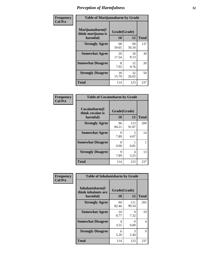| Frequency      |                                                   | <b>Table of Marijuanaharm by Grade</b> |             |              |  |  |  |  |
|----------------|---------------------------------------------------|----------------------------------------|-------------|--------------|--|--|--|--|
| <b>Col Pct</b> | Marijuanaharm(I<br>think marijuana is<br>harmful) | Grade(Grade)<br>10                     | 12          | <b>Total</b> |  |  |  |  |
|                | <b>Strongly Agree</b>                             | 68<br>59.65                            | 69<br>56.10 | 137          |  |  |  |  |
|                | <b>Somewhat Agree</b>                             | 20<br>17.54                            | 10<br>8.13  | 30           |  |  |  |  |
|                | <b>Somewhat Disagree</b>                          | 8<br>7.02                              | 12<br>9.76  | 20           |  |  |  |  |
|                | <b>Strongly Disagree</b>                          | 18<br>15.79                            | 32<br>26.02 | 50           |  |  |  |  |
|                | <b>Total</b>                                      | 114                                    | 123         | 237          |  |  |  |  |

| <b>Table of Cocaineharm by Grade</b>          |                    |              |              |  |  |  |  |  |
|-----------------------------------------------|--------------------|--------------|--------------|--|--|--|--|--|
| Cocaineharm(I<br>think cocaine is<br>harmful) | Grade(Grade)<br>10 | 12           | <b>Total</b> |  |  |  |  |  |
| <b>Strongly Agree</b>                         | 96<br>84.21        | 113<br>91.87 | 209          |  |  |  |  |  |
| <b>Somewhat Agree</b>                         | 9<br>7.89          | 5<br>4.07    | 14           |  |  |  |  |  |
| <b>Somewhat Disagree</b>                      | 0<br>0.00          | 0.81         | 1            |  |  |  |  |  |
| <b>Strongly Disagree</b>                      | 9<br>7.89          | 4<br>3.25    | 13           |  |  |  |  |  |
| <b>Total</b>                                  | 114                | 123          | 237          |  |  |  |  |  |

| Frequency      | <b>Table of Inhalantsharm by Grade</b>              |                    |                           |              |
|----------------|-----------------------------------------------------|--------------------|---------------------------|--------------|
| <b>Col Pct</b> | Inhalantsharm(I)<br>think inhalants are<br>harmful) | Grade(Grade)<br>10 | 12                        | <b>Total</b> |
|                | <b>Strongly Agree</b>                               | 94<br>82.46        | 111<br>90.24              | 205          |
|                | <b>Somewhat Agree</b>                               | 10<br>8.77         | 9<br>7.32                 | 19           |
|                | <b>Somewhat Disagree</b>                            | 4<br>3.51          | $\mathbf{\Omega}$<br>0.00 | 4            |
|                | <b>Strongly Disagree</b>                            | 6<br>5.26          | 3<br>2.44                 | 9            |
|                | <b>Total</b>                                        | 114                | 123                       | 237          |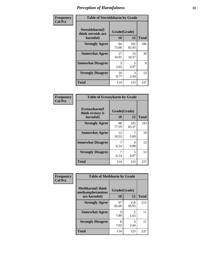| Frequency      | <b>Table of Steroidsharm by Grade</b>            |                    |              |              |
|----------------|--------------------------------------------------|--------------------|--------------|--------------|
| <b>Col Pct</b> | Steroidsharm(I<br>think steroids are<br>harmful) | Grade(Grade)<br>10 | 12           | <b>Total</b> |
|                | <b>Strongly Agree</b>                            | 84<br>73.68        | 102<br>82.93 | 186          |
|                | <b>Somewhat Agree</b>                            | 17<br>14.91        | 13<br>10.57  | 30           |
|                | <b>Somewhat Disagree</b>                         | 3<br>2.63          | 5<br>4.07    | 8            |
|                | <b>Strongly Disagree</b>                         | 10<br>8.77         | 3<br>2.44    | 13           |
|                | <b>Total</b>                                     | 114                | 123          | 237          |

| <b>Table of Ecstasyharm by Grade</b>          |                    |              |     |  |  |
|-----------------------------------------------|--------------------|--------------|-----|--|--|
| Ecstasyharm(I<br>think ecstasy is<br>harmful) | Grade(Grade)<br>10 | <b>Total</b> |     |  |  |
| <b>Strongly Agree</b>                         | 88<br>77.19        | 105<br>85.37 | 193 |  |  |
| <b>Somewhat Agree</b>                         | 12<br>10.53        | 5.69         | 19  |  |  |
| <b>Somewhat Disagree</b>                      | 7<br>6.14          | 6<br>4.88    | 13  |  |  |
| <b>Strongly Disagree</b>                      | 7<br>6.14          | 5<br>4.07    | 12  |  |  |
| Total                                         | 114                | 123          | 237 |  |  |

| Frequency      | <b>Table of Methharm by Grade</b>            |              |                        |              |
|----------------|----------------------------------------------|--------------|------------------------|--------------|
| <b>Col Pct</b> | <b>Methharm</b> (I think<br>methamphetamines | Grade(Grade) |                        |              |
|                | are harmful)                                 | 10           | 12                     | <b>Total</b> |
|                | <b>Strongly Agree</b>                        | 97<br>85.09  | 118<br>95.93           | 215          |
|                | <b>Somewhat Agree</b>                        | Q<br>7.89    | $\mathfrak{D}$<br>1.63 | 11           |
|                | <b>Strongly Disagree</b>                     | 8<br>7.02    | 3<br>2.44              | 11           |
|                | Total                                        | 114          | 123                    | 237          |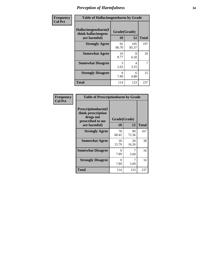| Frequency      | <b>Table of Hallucinogensharm by Grade</b>                 |                    |              |                |
|----------------|------------------------------------------------------------|--------------------|--------------|----------------|
| <b>Col Pct</b> | Hallucinogensharm(I<br>think hallucinogens<br>are harmful) | Grade(Grade)<br>10 | 12           | <b>Total</b>   |
|                | <b>Strongly Agree</b>                                      | 92<br>80.70        | 105<br>85.37 | 197            |
|                | <b>Somewhat Agree</b>                                      | 10<br>8.77         | 8<br>6.50    | 18             |
|                | <b>Somewhat Disagree</b>                                   | 3<br>2.63          | 4<br>3.25    | $\overline{7}$ |
|                | <b>Strongly Disagree</b>                                   | 9<br>7.89          | 6<br>4.88    | 15             |
|                | <b>Total</b>                                               | 114                | 123          | 237            |

| <b>Table of Prescriptionharm by Grade</b>                                                 |                    |             |              |  |
|-------------------------------------------------------------------------------------------|--------------------|-------------|--------------|--|
| Prescriptionharm(I<br>think prescription<br>drugs not<br>prescribed to me<br>are harmful) | Grade(Grade)<br>10 | 12          | <b>Total</b> |  |
| <b>Strongly Agree</b>                                                                     | 78<br>68.42        | 89<br>72.36 | 167          |  |
| <b>Somewhat Agree</b>                                                                     | 18<br>15.79        | 20<br>16.26 | 38           |  |
| <b>Somewhat Disagree</b>                                                                  | Q<br>7.89          | 5.69        | 16           |  |
| <b>Strongly Disagree</b>                                                                  | 9<br>7.89          | 7<br>5.69   | 16           |  |
| Total                                                                                     | 114                | 123         | 237          |  |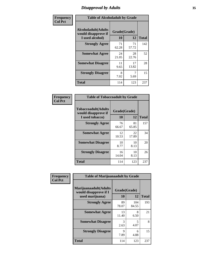# *Disapproval by Adults* **35**

| Frequency      | <b>Table of Alcoholadult by Grade</b>                                 |                    |             |              |
|----------------|-----------------------------------------------------------------------|--------------------|-------------|--------------|
| <b>Col Pct</b> | <b>Alcoholadult</b> (Adults<br>would disapprove if<br>I used alcohol) | Grade(Grade)<br>10 | 12          | <b>Total</b> |
|                | <b>Strongly Agree</b>                                                 | 71<br>62.28        | 71<br>57.72 | 142          |
|                | <b>Somewhat Agree</b>                                                 | 24<br>21.05        | 28<br>22.76 | 52           |
|                | <b>Somewhat Disagree</b>                                              | 11<br>9.65         | 17<br>13.82 | 28           |
|                | <b>Strongly Disagree</b>                                              | 8<br>7.02          | 5.69        | 15           |
|                | <b>Total</b>                                                          | 114                | 123         | 237          |

| <b>Table of Tobaccoadult by Grade</b>                                 |                    |             |              |  |  |
|-----------------------------------------------------------------------|--------------------|-------------|--------------|--|--|
| <b>Tobaccoadult</b> (Adults<br>would disapprove if<br>I used tobacco) | Grade(Grade)<br>10 | 12          | <b>Total</b> |  |  |
| <b>Strongly Agree</b>                                                 | 76<br>66.67        | 81<br>65.85 | 157          |  |  |
| <b>Somewhat Agree</b>                                                 | 12<br>10.53        | 22<br>17.89 | 34           |  |  |
| <b>Somewhat Disagree</b>                                              | 10<br>8.77         | 10<br>8.13  | 20           |  |  |
| <b>Strongly Disagree</b>                                              | 16<br>14.04        | 10<br>8.13  | 26           |  |  |
| Total                                                                 | 114                | 123         | 237          |  |  |

| Frequency      | <b>Table of Marijuanaadult by Grade</b>                           |                    |              |              |  |
|----------------|-------------------------------------------------------------------|--------------------|--------------|--------------|--|
| <b>Col Pct</b> | Marijuanaadult(Adults<br>would disapprove if I<br>used marijuana) | Grade(Grade)<br>10 | 12           | <b>Total</b> |  |
|                | <b>Strongly Agree</b>                                             | 89<br>78.07        | 104<br>84.55 | 193          |  |
|                | <b>Somewhat Agree</b>                                             | 13<br>11.40        | 8<br>6.50    | 21           |  |
|                | <b>Somewhat Disagree</b>                                          | 3<br>2.63          | 5<br>4.07    | 8            |  |
|                | <b>Strongly Disagree</b>                                          | 9<br>7.89          | 6<br>4.88    | 15           |  |
|                | <b>Total</b>                                                      | 114                | 123          | 237          |  |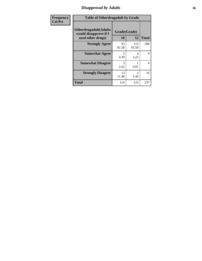# *Disapproval by Adults* **36**

| <b>Frequency</b> | <b>Table of Otherdrugadult by Grade</b>                                     |                    |              |                |
|------------------|-----------------------------------------------------------------------------|--------------------|--------------|----------------|
| <b>Col Pct</b>   | <b>Otherdrugadult</b> (Adults<br>would disapprove if I<br>used other drugs) | Grade(Grade)<br>10 | 12           | <b>Total</b>   |
|                  | <b>Strongly Agree</b>                                                       | 93<br>81.58        | 115<br>93.50 | 208            |
|                  | <b>Somewhat Agree</b>                                                       | 5<br>4.39          | 4<br>3.25    | 9              |
|                  | <b>Somewhat Disagree</b>                                                    | 3<br>2.63          | 0.81         | $\overline{4}$ |
|                  | <b>Strongly Disagree</b>                                                    | 13<br>11.40        | 3<br>2.44    | 16             |
|                  | <b>Total</b>                                                                | 114                | 123          | 237            |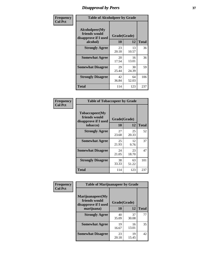# *Disapproval by Peers* **37**

| Frequency      | <b>Table of Alcoholpeer by Grade</b>                    |              |             |              |  |
|----------------|---------------------------------------------------------|--------------|-------------|--------------|--|
| <b>Col Pct</b> | Alcoholpeer(My<br>friends would<br>disapprove if I used | Grade(Grade) |             |              |  |
|                | alcohol)                                                | 10           | 12          | <b>Total</b> |  |
|                | <b>Strongly Agree</b>                                   | 23<br>20.18  | 13<br>10.57 | 36           |  |
|                | <b>Somewhat Agree</b>                                   | 20<br>17.54  | 16<br>13.01 | 36           |  |
|                | <b>Somewhat Disagree</b>                                | 29<br>25.44  | 30<br>24.39 | 59           |  |
|                | <b>Strongly Disagree</b>                                | 42<br>36.84  | 64<br>52.03 | 106          |  |
|                | Total                                                   | 114          | 123         | 237          |  |

| Frequency      | <b>Table of Tobaccopeer by Grade</b>                                |                    |             |              |  |
|----------------|---------------------------------------------------------------------|--------------------|-------------|--------------|--|
| <b>Col Pct</b> | Tobaccopeer(My<br>friends would<br>disapprove if I used<br>tobacco) | Grade(Grade)<br>10 | 12          | <b>Total</b> |  |
|                | <b>Strongly Agree</b>                                               | 27<br>23.68        | 25<br>20.33 | 52           |  |
|                | <b>Somewhat Agree</b>                                               | 25<br>21.93        | 12<br>9.76  | 37           |  |
|                | <b>Somewhat Disagree</b>                                            | 24<br>21.05        | 23<br>18.70 | 47           |  |
|                | <b>Strongly Disagree</b>                                            | 38<br>33.33        | 63<br>51.22 | 101          |  |
|                | Total                                                               | 114                | 123         | 237          |  |

| Frequency<br><b>Col Pct</b> | <b>Table of Marijuanapeer by Grade</b>                    |              |             |              |
|-----------------------------|-----------------------------------------------------------|--------------|-------------|--------------|
|                             | Marijuanapeer(My<br>friends would<br>disapprove if I used | Grade(Grade) |             |              |
|                             | marijuana)                                                | <b>10</b>    | 12          | <b>Total</b> |
|                             | <b>Strongly Agree</b>                                     | 40<br>35.09  | 37<br>30.08 | 77           |
|                             | <b>Somewhat Agree</b>                                     | 19<br>16.67  | 16<br>13.01 | 35           |
|                             | <b>Somewhat Disagree</b>                                  | 23<br>20.18  | 19<br>15.45 | 42           |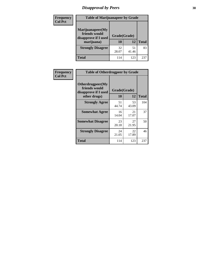# *Disapproval by Peers* **38**

| <b>Frequency</b> | <b>Table of Marijuanapeer by Grade</b>                                  |                    |             |              |  |
|------------------|-------------------------------------------------------------------------|--------------------|-------------|--------------|--|
| <b>Col Pct</b>   | Marijuanapeer(My<br>friends would<br>disapprove if I used<br>marijuana) | Grade(Grade)<br>10 | 12          | <b>Total</b> |  |
|                  | <b>Strongly Disagree</b>                                                | 32<br>28.07        | 51<br>41.46 | 83           |  |
|                  | <b>Total</b>                                                            | 114                | 123         | 237          |  |

| Frequency      | <b>Table of Otherdrugpeer by Grade</b>                                    |                           |             |              |
|----------------|---------------------------------------------------------------------------|---------------------------|-------------|--------------|
| <b>Col Pct</b> | Otherdrugpeer(My<br>friends would<br>disapprove if I used<br>other drugs) | Grade(Grade)<br><b>10</b> | 12          | <b>Total</b> |
|                | <b>Strongly Agree</b>                                                     | 51<br>44.74               | 53<br>43.09 | 104          |
|                | <b>Somewhat Agree</b>                                                     | 16<br>14.04               | 21<br>17.07 | 37           |
|                | <b>Somewhat Disagree</b>                                                  | 23<br>20.18               | 27<br>21.95 | 50           |
|                | <b>Strongly Disagree</b>                                                  | 24<br>21.05               | 22<br>17.89 | 46           |
|                | <b>Total</b>                                                              | 114                       | 123         | 237          |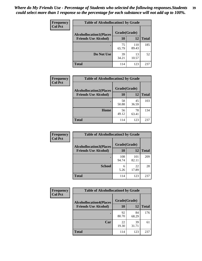| Frequency      | <b>Table of Alcohollocation1 by Grade</b> |              |              |              |
|----------------|-------------------------------------------|--------------|--------------|--------------|
| <b>Col Pct</b> | <b>Alcohollocation1(Places</b>            | Grade(Grade) |              |              |
|                | <b>Friends Use Alcohol)</b>               | 10           | 12           | <b>Total</b> |
|                |                                           | 75<br>65.79  | 110<br>89.43 | 185          |
|                | Do Not Use                                | 39<br>34.21  | 13<br>10.57  | 52           |
|                | <b>Total</b>                              | 114          | 123          | 237          |

| Frequency      | <b>Table of Alcohollocation2 by Grade</b>                     |                    |             |              |
|----------------|---------------------------------------------------------------|--------------------|-------------|--------------|
| <b>Col Pct</b> | <b>Alcohollocation2(Places</b><br><b>Friends Use Alcohol)</b> | Grade(Grade)<br>10 | <b>12</b>   | <b>Total</b> |
|                |                                                               | 58<br>50.88        | 45<br>36.59 | 103          |
|                | Home                                                          | 56<br>49.12        | 78<br>63.41 | 134          |
|                | <b>Total</b>                                                  | 114                | 123         | 237          |

| Frequency<br><b>Col Pct</b> | <b>Table of Alcohollocation 3 by Grade</b>                    |                    |              |              |
|-----------------------------|---------------------------------------------------------------|--------------------|--------------|--------------|
|                             | <b>Alcohollocation3(Places</b><br><b>Friends Use Alcohol)</b> | Grade(Grade)<br>10 | 12           | <b>Total</b> |
|                             |                                                               | 108<br>94.74       | 101<br>82.11 | 209          |
|                             | <b>School</b>                                                 | 6<br>5.26          | 22<br>17.89  | 28           |
|                             | <b>Total</b>                                                  | 114                | 123          | 237          |

| <b>Frequency</b> | <b>Table of Alcohollocation4 by Grade</b> |              |             |              |  |
|------------------|-------------------------------------------|--------------|-------------|--------------|--|
| <b>Col Pct</b>   | <b>Alcohollocation4(Places</b>            | Grade(Grade) |             |              |  |
|                  | <b>Friends Use Alcohol)</b>               | 10           | 12          | <b>Total</b> |  |
|                  |                                           | 92<br>80.70  | 84<br>68.29 | 176          |  |
|                  | Car                                       | 22<br>19.30  | 39<br>31.71 | 61           |  |
|                  | <b>Total</b>                              | 114          | 123         | 237          |  |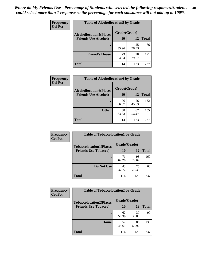| Frequency<br><b>Col Pct</b> | <b>Table of Alcohollocation5 by Grade</b> |              |             |              |
|-----------------------------|-------------------------------------------|--------------|-------------|--------------|
|                             | <b>Alcohollocation5(Places</b>            | Grade(Grade) |             |              |
|                             | <b>Friends Use Alcohol)</b>               | 10           | 12          | <b>Total</b> |
|                             |                                           | 41<br>35.96  | 25<br>20.33 | 66           |
|                             | <b>Friend's House</b>                     | 73<br>64.04  | 98<br>79.67 | 171          |
|                             | <b>Total</b>                              | 114          | 123         | 237          |

| <b>Frequency</b> | <b>Table of Alcohollocation6 by Grade</b> |              |             |              |
|------------------|-------------------------------------------|--------------|-------------|--------------|
| <b>Col Pct</b>   | <b>Alcohollocation6(Places</b>            | Grade(Grade) |             |              |
|                  | <b>Friends Use Alcohol)</b>               | 10           | 12          | <b>Total</b> |
|                  |                                           | 76<br>66.67  | 56<br>45.53 | 132          |
|                  | <b>Other</b>                              | 38<br>33.33  | 67<br>54.47 | 105          |
|                  | <b>Total</b>                              | 114          | 123         | 237          |

| Frequency      | <b>Table of Tobaccolocation1 by Grade</b> |              |             |              |
|----------------|-------------------------------------------|--------------|-------------|--------------|
| <b>Col Pct</b> | <b>Tobaccolocation1(Places</b>            | Grade(Grade) |             |              |
|                | <b>Friends Use Tobacco)</b>               | 10           | 12          | <b>Total</b> |
|                |                                           | 71<br>62.28  | 98<br>79.67 | 169          |
|                | Do Not Use                                | 43<br>37.72  | 25<br>20.33 | 68           |
|                | <b>Total</b>                              | 114          | 123         | 237          |

| <b>Frequency</b> | <b>Table of Tobaccolocation2 by Grade</b> |              |             |              |  |
|------------------|-------------------------------------------|--------------|-------------|--------------|--|
| <b>Col Pct</b>   | <b>Tobaccolocation2(Places</b>            | Grade(Grade) |             |              |  |
|                  | <b>Friends Use Tobacco)</b>               | 10           | 12          | <b>Total</b> |  |
|                  |                                           | 62<br>54.39  | 37<br>30.08 | 99           |  |
|                  | Home                                      | 52<br>45.61  | 86<br>69.92 | 138          |  |
|                  | <b>Total</b>                              | 114          | 123         | 237          |  |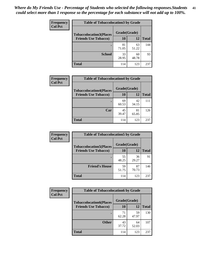| Frequency      | <b>Table of Tobaccolocation 3 by Grade</b> |              |             |              |
|----------------|--------------------------------------------|--------------|-------------|--------------|
| <b>Col Pct</b> | <b>Tobaccolocation3(Places</b>             | Grade(Grade) |             |              |
|                | <b>Friends Use Tobacco)</b>                | 10           | 12          | <b>Total</b> |
|                |                                            | 81<br>71.05  | 63<br>51.22 | 144          |
|                | <b>School</b>                              | 33<br>28.95  | 60<br>48.78 | 93           |
|                | <b>Total</b>                               | 114          | 123         | 237          |

| Frequency      | <b>Table of Tobaccolocation4 by Grade</b>                     |                           |             |              |
|----------------|---------------------------------------------------------------|---------------------------|-------------|--------------|
| <b>Col Pct</b> | <b>Tobaccolocation4(Places</b><br><b>Friends Use Tobacco)</b> | Grade(Grade)<br><b>10</b> | 12          | <b>Total</b> |
|                |                                                               | 69<br>60.53               | 42<br>34.15 | 111          |
|                | Car                                                           | 45<br>39.47               | 81<br>65.85 | 126          |
|                | <b>Total</b>                                                  | 114                       | 123         | 237          |

| Frequency      | <b>Table of Tobaccolocation5 by Grade</b> |              |             |              |
|----------------|-------------------------------------------|--------------|-------------|--------------|
| <b>Col Pct</b> | <b>Tobaccolocation5(Places</b>            | Grade(Grade) |             |              |
|                | <b>Friends Use Tobacco)</b>               | 10           | <b>12</b>   | <b>Total</b> |
|                |                                           | 55<br>48.25  | 36<br>29.27 | 91           |
|                | <b>Friend's House</b>                     | 59<br>51.75  | 87<br>70.73 | 146          |
|                | <b>Total</b>                              | 114          | 123         | 237          |

| <b>Frequency</b> | <b>Table of Tobaccolocation6 by Grade</b> |              |             |              |  |
|------------------|-------------------------------------------|--------------|-------------|--------------|--|
| <b>Col Pct</b>   | <b>Tobaccolocation6(Places</b>            | Grade(Grade) |             |              |  |
|                  | <b>Friends Use Tobacco)</b>               | 10           | 12          | <b>Total</b> |  |
|                  |                                           | 71<br>62.28  | 59<br>47.97 | 130          |  |
|                  | <b>Other</b>                              | 43<br>37.72  | 64<br>52.03 | 107          |  |
|                  | <b>Total</b>                              | 114          | 123         | 237          |  |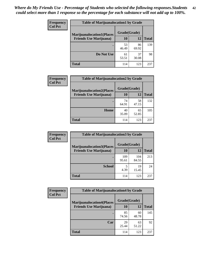| <b>Frequency</b> | <b>Table of Marijuanalocation1 by Grade</b> |              |             |              |
|------------------|---------------------------------------------|--------------|-------------|--------------|
| <b>Col Pct</b>   | <b>Marijuanalocation1(Places</b>            | Grade(Grade) |             |              |
|                  | <b>Friends Use Marijuana</b> )              | <b>10</b>    | 12          | <b>Total</b> |
|                  |                                             | 53<br>46.49  | 86<br>69.92 | 139          |
|                  | Do Not Use                                  | 61<br>53.51  | 37<br>30.08 | 98           |
|                  | <b>Total</b>                                | 114          | 123         | 237          |

| <b>Frequency</b> | <b>Table of Marijuanalocation2 by Grade</b>                        |                    |             |              |
|------------------|--------------------------------------------------------------------|--------------------|-------------|--------------|
| <b>Col Pct</b>   | <b>Marijuanalocation2(Places</b><br><b>Friends Use Marijuana</b> ) | Grade(Grade)<br>10 | 12          | <b>Total</b> |
|                  |                                                                    | 74<br>64.91        | 58<br>47.15 | 132          |
|                  | <b>Home</b>                                                        | 40<br>35.09        | 65<br>52.85 | 105          |
|                  | <b>Total</b>                                                       | 114                | 123         | 237          |

| Frequency      | <b>Table of Marijuanalocation3 by Grade</b> |              |              |              |
|----------------|---------------------------------------------|--------------|--------------|--------------|
| <b>Col Pct</b> | <b>Marijuanalocation3</b> (Places           | Grade(Grade) |              |              |
|                | <b>Friends Use Marijuana</b> )              | 10           | 12           | <b>Total</b> |
|                |                                             | 109<br>95.61 | 104<br>84.55 | 213          |
|                | <b>School</b>                               | 4.39         | 19<br>15.45  | 24           |
|                | <b>Total</b>                                | 114          | 123          | 237          |

| <b>Frequency</b> | <b>Table of Marijuanalocation4 by Grade</b> |              |             |              |  |
|------------------|---------------------------------------------|--------------|-------------|--------------|--|
| <b>Col Pct</b>   | <b>Marijuanalocation4(Places</b>            | Grade(Grade) |             |              |  |
|                  | <b>Friends Use Marijuana</b> )              | <b>10</b>    | 12          | <b>Total</b> |  |
|                  |                                             | 85<br>74.56  | 60<br>48.78 | 145          |  |
|                  | Car                                         | 29<br>25.44  | 63<br>51.22 | 92           |  |
|                  | <b>Total</b>                                | 114          | 123         | 237          |  |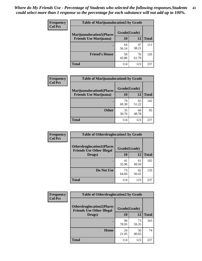| <b>Frequency</b> | <b>Table of Marijuanalocation5 by Grade</b> |              |             |              |
|------------------|---------------------------------------------|--------------|-------------|--------------|
| <b>Col Pct</b>   | <b>Marijuanalocation5(Places</b>            | Grade(Grade) |             |              |
|                  | <b>Friends Use Marijuana</b> )              | 10           | 12          | <b>Total</b> |
|                  |                                             | 64<br>56.14  | 47<br>38.21 | 111          |
|                  | <b>Friend's House</b>                       | 50<br>43.86  | 76<br>61.79 | 126          |
|                  | <b>Total</b>                                | 114          | 123         | 237          |

| <b>Frequency</b> | <b>Table of Marijuanalocation6 by Grade</b>                        |                    |             |              |
|------------------|--------------------------------------------------------------------|--------------------|-------------|--------------|
| <b>Col Pct</b>   | <b>Marijuanalocation6(Places</b><br><b>Friends Use Marijuana</b> ) | Grade(Grade)<br>10 | 12          | <b>Total</b> |
|                  |                                                                    | 79<br>69.30        | 63<br>51.22 | 142          |
|                  | <b>Other</b>                                                       | 35<br>30.70        | 60<br>48.78 | 95           |
|                  | <b>Total</b>                                                       | 114                | 123         | 237          |

| Frequency      | <b>Table of Otherdruglocation1 by Grade</b>                          |              |             |              |
|----------------|----------------------------------------------------------------------|--------------|-------------|--------------|
| <b>Col Pct</b> | <b>Otherdruglocation1(Places</b><br><b>Friends Use Other Illegal</b> | Grade(Grade) |             |              |
|                | Drugs)                                                               | 10           | 12          | <b>Total</b> |
|                |                                                                      | 41<br>35.96  | 61<br>49.59 | 102          |
|                | Do Not Use                                                           | 73<br>64.04  | 62<br>50.41 | 135          |
|                | <b>Total</b>                                                         | 114          | 123         | 237          |

| <b>Frequency</b> | <b>Table of Otherdruglocation2 by Grade</b>                           |              |             |              |
|------------------|-----------------------------------------------------------------------|--------------|-------------|--------------|
| <b>Col Pct</b>   | <b>Otherdruglocation2(Places)</b><br><b>Friends Use Other Illegal</b> | Grade(Grade) |             |              |
|                  | Drugs)                                                                | 10           | 12          | <b>Total</b> |
|                  |                                                                       | 90<br>78.95  | 73<br>59.35 | 163          |
|                  | Home                                                                  | 24<br>21.05  | 50<br>40.65 | 74           |
|                  | <b>Total</b>                                                          | 114          | 123         | 237          |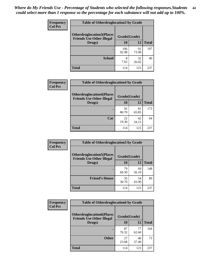| <b>Frequency</b> | <b>Table of Otherdruglocation3 by Grade</b>                          |              |             |              |
|------------------|----------------------------------------------------------------------|--------------|-------------|--------------|
| <b>Col Pct</b>   | <b>Otherdruglocation3(Places</b><br><b>Friends Use Other Illegal</b> | Grade(Grade) |             |              |
|                  | Drugs)                                                               | 10           | 12          | <b>Total</b> |
|                  |                                                                      | 106<br>92.98 | 91<br>73.98 | 197          |
|                  | <b>School</b>                                                        | 8<br>7.02    | 32<br>26.02 | 40           |
|                  | <b>Total</b>                                                         | 114          | 123         | 237          |

| <b>Frequency</b> | <b>Table of Otherdruglocation4 by Grade</b>                          |              |             |              |
|------------------|----------------------------------------------------------------------|--------------|-------------|--------------|
| <b>Col Pct</b>   | <b>Otherdruglocation4(Places</b><br><b>Friends Use Other Illegal</b> | Grade(Grade) |             |              |
|                  | Drugs)                                                               | 10           | 12          | <b>Total</b> |
|                  |                                                                      | 92<br>80.70  | 81<br>65.85 | 173          |
|                  | Car                                                                  | 22<br>19.30  | 42<br>34.15 | 64           |
|                  | <b>Total</b>                                                         | 114          | 123         | 237          |

| <b>Frequency</b> | <b>Table of Otherdruglocation5 by Grade</b>                          |              |             |              |
|------------------|----------------------------------------------------------------------|--------------|-------------|--------------|
| <b>Col Pct</b>   | <b>Otherdruglocation5(Places</b><br><b>Friends Use Other Illegal</b> | Grade(Grade) |             |              |
|                  | Drugs)                                                               | 10           | 12          | <b>Total</b> |
|                  |                                                                      | 79<br>69.30  | 69<br>56.10 | 148          |
|                  | <b>Friend's House</b>                                                | 35<br>30.70  | 54<br>43.90 | 89           |
|                  | <b>Total</b>                                                         | 114          | 123         | 237          |

| <b>Frequency</b> | <b>Table of Otherdruglocation6 by Grade</b>                          |              |             |              |
|------------------|----------------------------------------------------------------------|--------------|-------------|--------------|
| <b>Col Pct</b>   | <b>Otherdruglocation6(Places</b><br><b>Friends Use Other Illegal</b> | Grade(Grade) |             |              |
|                  | Drugs)                                                               | 10           | 12          | <b>Total</b> |
|                  |                                                                      | 87<br>76.32  | 77<br>62.60 | 164          |
|                  | <b>Other</b>                                                         | 27<br>23.68  | 46<br>37.40 | 73           |
|                  | <b>Total</b>                                                         | 114          | 123         | 237          |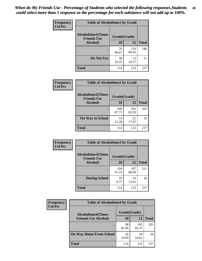| Frequency      | <b>Table of Alcoholtime1 by Grade</b>           |              |              |              |
|----------------|-------------------------------------------------|--------------|--------------|--------------|
| <b>Col Pct</b> | <b>Alcoholtime1(Times</b><br><b>Friends Use</b> | Grade(Grade) |              |              |
|                | Alcohol)                                        | 10           | 12           | <b>Total</b> |
|                |                                                 | 76<br>66.67  | 110<br>89.43 | 186          |
|                | Do Not Use                                      | 38<br>33.33  | 13<br>10.57  | 51           |
|                | <b>Total</b>                                    | 114          | 123          | 237          |

| Frequency      | <b>Table of Alcoholtime2 by Grade</b>           |              |              |              |
|----------------|-------------------------------------------------|--------------|--------------|--------------|
| <b>Col Pct</b> | <b>Alcoholtime2(Times</b><br><b>Friends Use</b> | Grade(Grade) |              |              |
|                | Alcohol)                                        | 10           | 12           | <b>Total</b> |
|                |                                                 | 100<br>87.72 | 102<br>82.93 | 202          |
|                | <b>On Way to School</b>                         | 14<br>12.28  | 21<br>17.07  | 35           |
|                | <b>Total</b>                                    | 114          | 123          | 237          |

| Frequency<br><b>Col Pct</b>                              | <b>Table of Alcoholtime3 by Grade</b> |              |              |              |
|----------------------------------------------------------|---------------------------------------|--------------|--------------|--------------|
| Alcoholtime3(Times<br>Grade(Grade)<br><b>Friends Use</b> |                                       |              |              |              |
|                                                          | Alcohol)                              | 10           | 12           | <b>Total</b> |
|                                                          |                                       | 104<br>91.23 | 107<br>86.99 | 211          |
|                                                          | <b>During School</b>                  | 10<br>8.77   | 16<br>13.01  | 26           |
|                                                          | Total                                 | 114          | 123          | 237          |

| <b>Frequency</b> | <b>Table of Alcoholtime4 by Grade</b> |              |              |              |  |
|------------------|---------------------------------------|--------------|--------------|--------------|--|
| <b>Col Pct</b>   | <b>Alcoholtime4(Times</b>             | Grade(Grade) |              |              |  |
|                  | <b>Friends Use Alcohol)</b>           | 10           | 12           | <b>Total</b> |  |
|                  |                                       | 98<br>85.96  | 105<br>85.37 | 203          |  |
|                  | <b>On Way Home From School</b>        | 16<br>14.04  | 18<br>14.63  | 34           |  |
|                  | <b>Total</b>                          | 114          | 123          | 237          |  |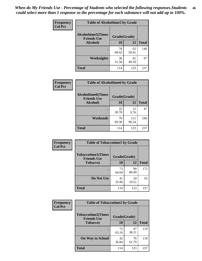*When do My Friends Use - Percentage of Students who selected the following responses.Students could select more than 1 response so the percentage for each substance will not add up to 100%.* **46**

| <b>Frequency</b> | <b>Table of Alcoholtime5 by Grade</b>           |              |             |              |
|------------------|-------------------------------------------------|--------------|-------------|--------------|
| <b>Col Pct</b>   | <b>Alcoholtime5(Times</b><br><b>Friends Use</b> | Grade(Grade) |             |              |
|                  | Alcohol)                                        | 10           | 12          | <b>Total</b> |
|                  |                                                 | 78<br>68.42  | 62<br>50.41 | 140          |
|                  | Weeknights                                      | 36<br>31.58  | 61<br>49.59 | 97           |
|                  | <b>Total</b>                                    | 114          | 123         | 237          |

| <b>Frequency</b> | <b>Table of Alcoholtime6 by Grade</b>           |              |              |              |
|------------------|-------------------------------------------------|--------------|--------------|--------------|
| <b>Col Pct</b>   | <b>Alcoholtime6(Times</b><br><b>Friends Use</b> | Grade(Grade) |              |              |
|                  | Alcohol)                                        | 10           | 12           | <b>Total</b> |
|                  |                                                 | 35<br>30.70  | 12<br>9.76   | 47           |
|                  | Weekends                                        | 79<br>69.30  | 111<br>90.24 | 190          |
|                  | <b>Total</b>                                    | 114          | 123          | 237          |

| Frequency      | <b>Table of Tobaccotime1 by Grade</b>           |              |             |              |
|----------------|-------------------------------------------------|--------------|-------------|--------------|
| <b>Col Pct</b> | <b>Tobaccotime1(Times</b><br><b>Friends Use</b> | Grade(Grade) |             |              |
|                | <b>Tobacco</b> )                                | 10           | 12          | <b>Total</b> |
|                | ٠                                               | 73<br>64.04  | 99<br>80.49 | 172          |
|                | Do Not Use                                      | 41<br>35.96  | 24<br>19.51 | 65           |
|                | <b>Total</b>                                    | 114          | 123         | 237          |

| <b>Frequency</b> | <b>Table of Tobaccotime2 by Grade</b>           |              |             |              |
|------------------|-------------------------------------------------|--------------|-------------|--------------|
| <b>Col Pct</b>   | <b>Tobaccotime2(Times</b><br><b>Friends Use</b> | Grade(Grade) |             |              |
|                  | <b>Tobacco</b> )                                | 10           | 12          | <b>Total</b> |
|                  |                                                 | 72<br>63.16  | 47<br>38.21 | 119          |
|                  | <b>On Way to School</b>                         | 42<br>36.84  | 76<br>61.79 | 118          |
|                  | <b>Total</b>                                    | 114          | 123         | 237          |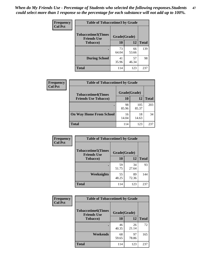*When do My Friends Use - Percentage of Students who selected the following responses.Students could select more than 1 response so the percentage for each substance will not add up to 100%.* **47**

| <b>Frequency</b> | <b>Table of Tobaccotime3 by Grade</b>           |             |              |              |  |
|------------------|-------------------------------------------------|-------------|--------------|--------------|--|
| <b>Col Pct</b>   | <b>Tobaccotime3(Times</b><br><b>Friends Use</b> |             | Grade(Grade) |              |  |
|                  | <b>Tobacco</b> )                                | 10          | 12           | <b>Total</b> |  |
|                  |                                                 | 73<br>64.04 | 66<br>53.66  | 139          |  |
|                  | <b>During School</b>                            | 41<br>35.96 | 57<br>46.34  | 98           |  |
|                  | <b>Total</b>                                    | 114         | 123          | 237          |  |

| Frequency<br><b>Col Pct</b> | <b>Table of Tobaccotime4 by Grade</b> |              |              |              |
|-----------------------------|---------------------------------------|--------------|--------------|--------------|
|                             | <b>Tobaccotime4(Times</b>             | Grade(Grade) |              |              |
|                             | <b>Friends Use Tobacco)</b>           | 10           | 12           | <b>Total</b> |
|                             |                                       | 98<br>85.96  | 105<br>85.37 | 203          |
|                             | <b>On Way Home From School</b>        | 16<br>14.04  | 18<br>14.63  | 34           |
|                             | Total                                 | 114          | 123          | 237          |

| Frequency      | <b>Table of Tobaccotime5 by Grade</b>           |              |             |              |
|----------------|-------------------------------------------------|--------------|-------------|--------------|
| <b>Col Pct</b> | <b>Tobaccotime5(Times</b><br><b>Friends Use</b> | Grade(Grade) |             |              |
|                | <b>Tobacco</b> )                                | 10           | 12          | <b>Total</b> |
|                |                                                 | 59<br>51.75  | 34<br>27.64 | 93           |
|                | Weeknights                                      | 55<br>48.25  | 89<br>72.36 | 144          |
|                | <b>Total</b>                                    | 114          | 123         | 237          |

| Frequency<br><b>Col Pct</b> | <b>Table of Tobaccotime6 by Grade</b>                           |             |             |              |
|-----------------------------|-----------------------------------------------------------------|-------------|-------------|--------------|
|                             | <b>Tobaccotime6(Times</b><br>Grade(Grade)<br><b>Friends Use</b> |             |             |              |
|                             | <b>Tobacco</b> )                                                | 10          | 12          | <b>Total</b> |
|                             | ٠                                                               | 46<br>40.35 | 26<br>21.14 | 72           |
|                             | Weekends                                                        | 68<br>59.65 | 97<br>78.86 | 165          |
|                             | <b>Total</b>                                                    | 114         | 123         | 237          |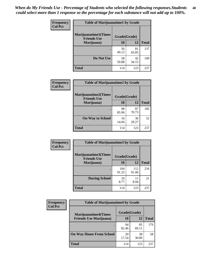| Frequency      | <b>Table of Marijuanatime1 by Grade</b>           |              |             |              |
|----------------|---------------------------------------------------|--------------|-------------|--------------|
| <b>Col Pct</b> | <b>Marijuanatime1(Times</b><br><b>Friends Use</b> | Grade(Grade) |             |              |
|                | Marijuana)                                        | 10           | 12          | <b>Total</b> |
|                |                                                   | 56<br>49.12  | 81<br>65.85 | 137          |
|                | Do Not Use                                        | 58<br>50.88  | 42<br>34.15 | 100          |
|                | <b>Total</b>                                      | 114          | 123         | 237          |

| Frequency      | <b>Table of Marijuanatime2 by Grade</b>           |              |             |              |
|----------------|---------------------------------------------------|--------------|-------------|--------------|
| <b>Col Pct</b> | <b>Marijuanatime2(Times</b><br><b>Friends Use</b> | Grade(Grade) |             |              |
|                | Marijuana)                                        | 10           | 12          | <b>Total</b> |
|                |                                                   | 98<br>85.96  | 87<br>70.73 | 185          |
|                | <b>On Way to School</b>                           | 16<br>14.04  | 36<br>29.27 | 52           |
|                | <b>Total</b>                                      | 114          | 123         | 237          |

| <b>Frequency</b> | <b>Table of Marijuanatime3 by Grade</b>    |              |              |              |
|------------------|--------------------------------------------|--------------|--------------|--------------|
| <b>Col Pct</b>   | Marijuanatime3(Times<br><b>Friends Use</b> | Grade(Grade) |              |              |
|                  | Marijuana)                                 | 10           | 12           | <b>Total</b> |
|                  |                                            | 104<br>91.23 | 112<br>91.06 | 216          |
|                  | <b>During School</b>                       | 10<br>8.77   | 11<br>8.94   | 21           |
|                  | <b>Total</b>                               | 114          | 123          | 237          |

| <b>Frequency</b> | <b>Table of Marijuanatime4 by Grade</b> |              |             |       |
|------------------|-----------------------------------------|--------------|-------------|-------|
| <b>Col Pct</b>   | <b>Marijuanatime4(Times</b>             | Grade(Grade) |             |       |
|                  | <b>Friends Use Marijuana</b> )          | 10           | 12          | Total |
|                  |                                         | 94<br>82.46  | 85<br>69.11 | 179   |
|                  | <b>On Way Home From School</b>          | 20<br>17.54  | 38<br>30.89 | 58    |
|                  | <b>Total</b>                            | 114          | 123         | 237   |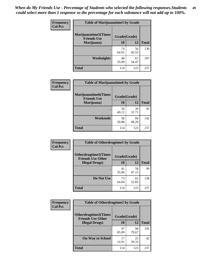| Frequency      | <b>Table of Marijuanatime5 by Grade</b>            |              |             |              |
|----------------|----------------------------------------------------|--------------|-------------|--------------|
| <b>Col Pct</b> | <b>Marijuanatime5</b> (Times<br><b>Friends Use</b> | Grade(Grade) |             |              |
|                | Marijuana)                                         | 10           | 12          | <b>Total</b> |
|                |                                                    | 74<br>64.91  | 56<br>45.53 | 130          |
|                | Weeknights                                         | 40<br>35.09  | 67<br>54.47 | 107          |
|                | <b>Total</b>                                       | 114          | 123         | 237          |

| Frequency      | <b>Table of Marijuanatime6 by Grade</b>           |              |             |              |
|----------------|---------------------------------------------------|--------------|-------------|--------------|
| <b>Col Pct</b> | <b>Marijuanatime6(Times</b><br><b>Friends Use</b> | Grade(Grade) |             |              |
|                | Marijuana)                                        | 10           | 12          | <b>Total</b> |
|                |                                                   | 56<br>49.12  | 39<br>31.71 | 95           |
|                | Weekends                                          | 58<br>50.88  | 84<br>68.29 | 142          |
|                | <b>Total</b>                                      | 114          | 123         | 237          |

| Frequency      | <b>Table of Otherdrugtime1 by Grade</b>                 |              |             |              |
|----------------|---------------------------------------------------------|--------------|-------------|--------------|
| <b>Col Pct</b> | <b>Otherdrugtime1(Times</b><br><b>Friends Use Other</b> | Grade(Grade) |             |              |
|                | <b>Illegal Drugs</b> )                                  | 10           | 12          | <b>Total</b> |
|                |                                                         | 41<br>35.96  | 58<br>47.15 | 99           |
|                | Do Not Use                                              | 73<br>64.04  | 65<br>52.85 | 138          |
|                | <b>Total</b>                                            | 114          | 123         | 237          |

| Frequency      | <b>Table of Otherdrugtime2 by Grade</b>                 |              |             |              |
|----------------|---------------------------------------------------------|--------------|-------------|--------------|
| <b>Col Pct</b> | <b>Otherdrugtime2(Times</b><br><b>Friends Use Other</b> | Grade(Grade) |             |              |
|                | <b>Illegal Drugs</b> )                                  | 10           | 12          | <b>Total</b> |
|                |                                                         | 97<br>85.09  | 98<br>79.67 | 195          |
|                | <b>On Way to School</b>                                 | 17<br>14.91  | 25<br>20.33 | 42           |
|                | Total                                                   | 114          | 123         | 237          |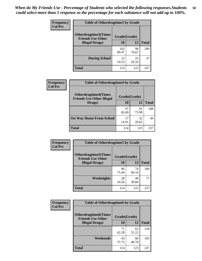| <b>Frequency</b> | <b>Table of Otherdrugtime3 by Grade</b>                                 |              |             |              |
|------------------|-------------------------------------------------------------------------|--------------|-------------|--------------|
| <b>Col Pct</b>   | <b>Otherdrugtime3(Times</b><br>Grade(Grade)<br><b>Friends Use Other</b> |              |             |              |
|                  | <b>Illegal Drugs</b> )                                                  | 10           | 12          | <b>Total</b> |
|                  |                                                                         | 102<br>89.47 | 98<br>79.67 | 200          |
|                  | <b>During School</b>                                                    | 12<br>10.53  | 25<br>20.33 | 37           |
|                  | <b>Total</b>                                                            | 114          | 123         | 237          |

| <b>Frequency</b> | <b>Table of Otherdrugtime4 by Grade</b>                         |              |             |              |
|------------------|-----------------------------------------------------------------|--------------|-------------|--------------|
| <b>Col Pct</b>   | <b>Otherdrugtime4(Times</b><br><b>Friends Use Other Illegal</b> | Grade(Grade) |             |              |
|                  | Drugs)                                                          | 10           | 12          | <b>Total</b> |
|                  | ٠                                                               | 97<br>85.09  | 91<br>73.98 | 188          |
|                  | <b>On Way Home From School</b>                                  | 17<br>14.91  | 32<br>26.02 | 49           |
|                  | <b>Total</b>                                                    | 114          | 123         | 237          |

| <b>Frequency</b><br><b>Col Pct</b> | <b>Table of Otherdrugtime5 by Grade</b>                                  |             |             |              |
|------------------------------------|--------------------------------------------------------------------------|-------------|-------------|--------------|
|                                    | <b>Otherdrugtime5</b> (Times<br>Grade(Grade)<br><b>Friends Use Other</b> |             |             |              |
|                                    | <b>Illegal Drugs</b> )                                                   | 10          | 12          | <b>Total</b> |
|                                    |                                                                          | 86<br>75.44 | 74<br>60.16 | 160          |
|                                    | Weeknights                                                               | 28<br>24.56 | 49<br>39.84 | 77           |
|                                    | Total                                                                    | 114         | 123         | 237          |

| Frequency      | <b>Table of Otherdrugtime6 by Grade</b>                                 |             |             |              |
|----------------|-------------------------------------------------------------------------|-------------|-------------|--------------|
| <b>Col Pct</b> | <b>Otherdrugtime6(Times</b><br>Grade(Grade)<br><b>Friends Use Other</b> |             |             |              |
|                | <b>Illegal Drugs</b> )                                                  | 10          | 12          | <b>Total</b> |
|                |                                                                         | 71<br>62.28 | 63<br>51.22 | 134          |
|                | Weekends                                                                | 43<br>37.72 | 60<br>48.78 | 103          |
|                | Total                                                                   | 114         | 123         | 237          |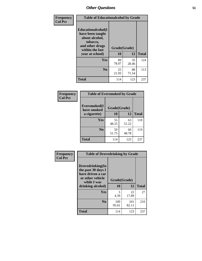| Frequency      | <b>Table of Educationalcohol by Grade</b>                                                                  |              |             |              |
|----------------|------------------------------------------------------------------------------------------------------------|--------------|-------------|--------------|
| <b>Col Pct</b> | Educationalcohol(I<br>have been taught<br>about alcohol,<br>tobacco,<br>and other drugs<br>within the last | Grade(Grade) |             |              |
|                | year at school)                                                                                            | 10           | 12          | <b>Total</b> |
|                | Yes                                                                                                        | 89<br>78.07  | 35<br>28.46 | 124          |
|                | N <sub>0</sub>                                                                                             | 25<br>21.93  | 88<br>71.54 | 113          |
|                | <b>Total</b>                                                                                               | 114          | 123         | 237          |

| Frequency      | <b>Table of Eversmoked by Grade</b> |              |             |              |
|----------------|-------------------------------------|--------------|-------------|--------------|
| <b>Col Pct</b> | Eversmoked(I<br>have smoked         | Grade(Grade) |             |              |
|                | a cigarette)                        | 10           | 12          | <b>Total</b> |
|                | Yes                                 | 55<br>48.25  | 63<br>51.22 | 118          |
|                | N <sub>0</sub>                      | 59<br>51.75  | 60<br>48.78 | 119          |
|                | <b>Total</b>                        | 114          | 123         | 237          |

| Frequency      | <b>Table of Drovedrinking by Grade</b>                                                                              |                    |              |              |
|----------------|---------------------------------------------------------------------------------------------------------------------|--------------------|--------------|--------------|
| <b>Col Pct</b> | Drovedrinking(In<br>the past 30 days I<br>have driven a car<br>or other vehicle<br>while I was<br>drinking alcohol) | Grade(Grade)<br>10 | 12           | <b>Total</b> |
|                | Yes                                                                                                                 | 5<br>4.39          | 22<br>17.89  | 27           |
|                | N <sub>0</sub>                                                                                                      | 109<br>95.61       | 101<br>82.11 | 210          |
|                | <b>Total</b>                                                                                                        | 114                | 123          | 237          |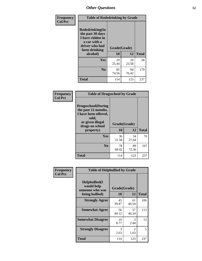| Frequency<br><b>Col Pct</b> | <b>Table of Rodedrinking by Grade</b>                                                                                  |                    |             |              |
|-----------------------------|------------------------------------------------------------------------------------------------------------------------|--------------------|-------------|--------------|
|                             | Rodedrinking(In<br>the past 30 days<br>I have ridden in<br>a car with a<br>driver who had<br>been drinking<br>alcohol) | Grade(Grade)<br>10 | 12          | <b>Total</b> |
|                             |                                                                                                                        |                    |             |              |
|                             | <b>Yes</b>                                                                                                             | 29<br>25.44        | 29<br>23.58 | 58           |
|                             | N <sub>0</sub>                                                                                                         | 85<br>74.56        | 94<br>76.42 | 179          |
|                             | <b>Total</b>                                                                                                           | 114                | 123         | 237          |

### **Frequency Col Pct**

| <b>Table of Drugsschool by Grade</b>                                                                                      |              |             |              |
|---------------------------------------------------------------------------------------------------------------------------|--------------|-------------|--------------|
| <b>Drugsschool</b> (During<br>the past 12 months,<br>I have been offered,<br>sold,<br>or given illegal<br>drugs on school | Grade(Grade) |             |              |
| property)                                                                                                                 | 10           | 12          | <b>Total</b> |
| Yes                                                                                                                       | 36<br>31.58  | 34<br>27.64 | 70           |
|                                                                                                                           |              |             |              |
| N <sub>0</sub>                                                                                                            | 78           | 89          | 167          |
|                                                                                                                           | 68.42        | 72.36       |              |
|                                                                                                                           |              |             |              |

| Frequency      | <b>Table of Helpbullied by Grade</b>           |              |                                     |              |
|----------------|------------------------------------------------|--------------|-------------------------------------|--------------|
| <b>Col Pct</b> | Helpbullied(I<br>would help<br>someone who was | Grade(Grade) |                                     |              |
|                | being bullied)                                 | 10           | 12                                  | <b>Total</b> |
|                | <b>Strongly Agree</b>                          | 45<br>39.47  | 61<br>49.59                         | 106          |
|                | <b>Somewhat Agree</b>                          | 56<br>49.12  | 57<br>46.34                         | 113          |
|                | <b>Somewhat Disagree</b>                       | 10<br>8.77   | 3<br>2.44                           | 13           |
|                | <b>Strongly Disagree</b>                       | 3<br>2.63    | $\mathcal{D}_{\mathcal{L}}$<br>1.63 | 5            |
|                | <b>Total</b>                                   | 114          | 123                                 | 237          |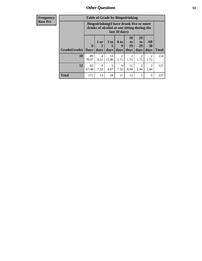| <b>Frequency</b><br>Row Pct |
|-----------------------------|
|                             |

| <b>Table of Grade by Bingedrinking</b> |                             |                                                                                                         |                              |                          |                                                                     |                        |                        |              |  |
|----------------------------------------|-----------------------------|---------------------------------------------------------------------------------------------------------|------------------------------|--------------------------|---------------------------------------------------------------------|------------------------|------------------------|--------------|--|
|                                        |                             | Bingedrinking(I have drunk five or more<br>drinks of alcohol at one sitting during the<br>last 30 days) |                              |                          |                                                                     |                        |                        |              |  |
| Grade(Grade)                           | $\mathbf{0}$<br><b>Days</b> | $1$ or<br>$\overline{2}$<br>days                                                                        | 3 <sub>to</sub><br>5<br>days | <b>6 to</b><br>9<br>days | 10<br>$\mathbf{t}$ <sup><math>\mathbf{0}</math></sup><br>19<br>days | 20<br>to<br>29<br>days | All<br>30<br>days      | <b>Total</b> |  |
| 10                                     | 89<br>78.07                 | 4<br>3.51                                                                                               | 13<br>11.40                  | 2<br>1.75                | 2<br>1.75                                                           | 2<br>1.75              | $\overline{2}$<br>1.75 | 114          |  |
| 12                                     | 83                          | 9                                                                                                       | 5                            | 9                        | 11                                                                  | 3                      | 3                      | 123          |  |
|                                        | 67.48                       | 7.32                                                                                                    | 4.07                         | 7.32                     | 8.94                                                                | 2.44                   | 2.44                   |              |  |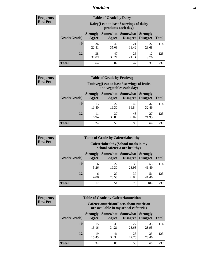## *Nutrition* **54**

| <b>Frequency</b><br>Row Pct |  |
|-----------------------------|--|
|                             |  |

| <b>Table of Grade by Dairy</b> |                          |                                                                 |                             |                                    |              |  |  |  |
|--------------------------------|--------------------------|-----------------------------------------------------------------|-----------------------------|------------------------------------|--------------|--|--|--|
|                                |                          | Dairy (I eat at least 3 servings of dairy<br>products each day) |                             |                                    |              |  |  |  |
| Grade(Grade)                   | <b>Strongly</b><br>Agree | <b>Somewhat</b><br>Agree                                        | <b>Somewhat</b><br>Disagree | <b>Strongly</b><br><b>Disagree</b> | <b>Total</b> |  |  |  |
| 10                             | 26<br>22.81              | 40<br>35.09                                                     | 21<br>18.42                 | 27<br>23.68                        | 114          |  |  |  |
| 12                             | 38<br>30.89              | 47<br>38.21                                                     | 26<br>21.14                 | 12<br>9.76                         | 123          |  |  |  |
| <b>Total</b>                   | 64                       | 87                                                              | 47                          | 39                                 | 237          |  |  |  |

| <b>Frequency</b> |
|------------------|
| <b>Row Pct</b>   |

| V | <b>Table of Grade by Fruitveg</b> |                          |                                                                          |                                      |                                    |              |  |  |
|---|-----------------------------------|--------------------------|--------------------------------------------------------------------------|--------------------------------------|------------------------------------|--------------|--|--|
|   |                                   |                          | Fruitveg(I eat at least 5 servings of fruits<br>and vegetables each day) |                                      |                                    |              |  |  |
|   | Grade(Grade)                      | <b>Strongly</b><br>Agree | Agree                                                                    | Somewhat Somewhat<br><b>Disagree</b> | <b>Strongly</b><br><b>Disagree</b> | <b>Total</b> |  |  |
|   | 10                                | 13<br>11.40              | 22<br>19.30                                                              | 42<br>36.84                          | 37<br>32.46                        | 114          |  |  |
|   | 12                                | 8.94                     | 37<br>30.08                                                              | 48<br>39.02                          | 27<br>21.95                        | 123          |  |  |
|   | <b>Total</b>                      | 24                       | 59                                                                       | 90                                   | 64                                 | 237          |  |  |

| <b>Frequency</b> | <b>Table of Grade by Cafeteriahealthy</b> |                          |                                                                       |                 |                                    |              |  |  |
|------------------|-------------------------------------------|--------------------------|-----------------------------------------------------------------------|-----------------|------------------------------------|--------------|--|--|
| <b>Row Pct</b>   |                                           |                          | Cafeteriahealthy (School meals in my<br>school cafeteria are healthy) |                 |                                    |              |  |  |
|                  | Grade(Grade)                              | <b>Strongly</b><br>Agree | Somewhat Somewhat<br>Agree                                            | <b>Disagree</b> | <b>Strongly</b><br><b>Disagree</b> | <b>Total</b> |  |  |
|                  | 10                                        | 6<br>5.26                | 22<br>19.30                                                           | 33<br>28.95     | 53<br>46.49                        | 114          |  |  |
|                  | 12                                        | 6<br>4.88                | 29<br>23.58                                                           | 37<br>30.08     | 51<br>41.46                        | 123          |  |  |
|                  | Total                                     | 12                       | 51                                                                    | 70              | 104                                | 237          |  |  |

| <b>Frequency</b> |
|------------------|
| <b>Row Pct</b>   |

| <b>Table of Grade by Cafeterianutrition</b>                                               |                          |                     |                                    |                                    |              |  |  |
|-------------------------------------------------------------------------------------------|--------------------------|---------------------|------------------------------------|------------------------------------|--------------|--|--|
| <b>Cafeterianutrition</b> (Facts about nutrition<br>are available in my school cafeteria) |                          |                     |                                    |                                    |              |  |  |
| Grade(Grade)                                                                              | <b>Strongly</b><br>Agree | Somewhat  <br>Agree | <b>Somewhat</b><br><b>Disagree</b> | <b>Strongly</b><br><b>Disagree</b> | <b>Total</b> |  |  |
| 10                                                                                        | 15<br>13.16              | 39<br>34.21         | 27<br>23.68                        | 33<br>28.95                        | 114          |  |  |
| 12                                                                                        | 19<br>15.45              | 41<br>33.33         | 28<br>22.76                        | 35<br>28.46                        | 123          |  |  |
| <b>Total</b>                                                                              | 34                       | 80                  | 55                                 | 68                                 | 237          |  |  |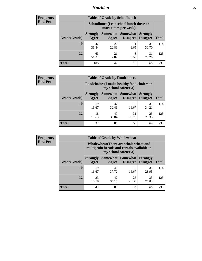## *Nutrition* **55**

| Frequency |
|-----------|
| Row Pct   |

| <b>Table of Grade by Schoollunch</b> |                          |                                                                 |                               |                                    |              |  |  |  |
|--------------------------------------|--------------------------|-----------------------------------------------------------------|-------------------------------|------------------------------------|--------------|--|--|--|
|                                      |                          | Schoollunch(I eat school lunch three or<br>more times per week) |                               |                                    |              |  |  |  |
| Grade(Grade)                         | <b>Strongly</b><br>Agree | Agree                                                           | Somewhat Somewhat<br>Disagree | <b>Strongly</b><br><b>Disagree</b> | <b>Total</b> |  |  |  |
| 10                                   | 42<br>36.84              | 26<br>22.81                                                     | 11<br>9.65                    | 35<br>30.70                        | 114          |  |  |  |
| 12                                   | 63<br>51.22              | 21<br>17.07                                                     | 8<br>6.50                     | 31<br>25.20                        | 123          |  |  |  |
| <b>Total</b>                         | 105                      | 47                                                              | 19                            | 66                                 | 237          |  |  |  |

| <b>Frequency</b> |  |
|------------------|--|
| <b>Row Pct</b>   |  |

| V | <b>Table of Grade by Foodchoices</b> |                                                                     |                     |                             |                                    |              |  |  |
|---|--------------------------------------|---------------------------------------------------------------------|---------------------|-----------------------------|------------------------------------|--------------|--|--|
|   |                                      | Foodchoices (I make healthy food choices in<br>my school cafeteria) |                     |                             |                                    |              |  |  |
|   | Grade(Grade)                         | <b>Strongly</b><br>Agree                                            | Somewhat  <br>Agree | <b>Somewhat</b><br>Disagree | <b>Strongly</b><br><b>Disagree</b> | <b>Total</b> |  |  |
|   | 10                                   | 19<br>16.67                                                         | 37<br>32.46         | 19<br>16.67                 | 39<br>34.21                        | 114          |  |  |
|   | 12                                   | 18<br>14.63                                                         | 49<br>39.84         | 31<br>25.20                 | 25<br>20.33                        | 123          |  |  |
|   | <b>Total</b>                         | 37                                                                  | 86                  | 50                          | 64                                 | 237          |  |  |

| Frequency      |              | <b>Table of Grade by Wholewheat</b>                                                                         |             |                                        |                                    |              |  |  |
|----------------|--------------|-------------------------------------------------------------------------------------------------------------|-------------|----------------------------------------|------------------------------------|--------------|--|--|
| <b>Row Pct</b> |              | Wholewheat (There are whole wheat and<br>multigrain breads and cereals available in<br>my school cafeteria) |             |                                        |                                    |              |  |  |
|                | Grade(Grade) | <b>Strongly</b><br>Agree                                                                                    | Agree       | Somewhat   Somewhat<br><b>Disagree</b> | <b>Strongly</b><br><b>Disagree</b> | <b>Total</b> |  |  |
|                | 10           | 19<br>16.67                                                                                                 | 43<br>37.72 | 19<br>16.67                            | 33<br>28.95                        | 114          |  |  |
|                | 12           | 23<br>18.70                                                                                                 | 42<br>34.15 | 25<br>20.33                            | 33<br>26.83                        | 123          |  |  |
|                | <b>Total</b> | 42                                                                                                          | 85          | 44                                     | 66                                 | 237          |  |  |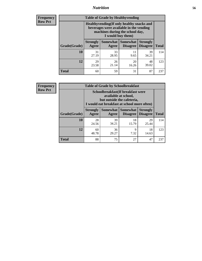## *Nutrition* **56**

**Frequency Row Pct**

| <b>Table of Grade by Healthyvending</b> |                                                                                                                                               |                          |                                    |                                    |              |  |
|-----------------------------------------|-----------------------------------------------------------------------------------------------------------------------------------------------|--------------------------|------------------------------------|------------------------------------|--------------|--|
|                                         | Healthyvending (If only healthy snacks and<br>beverages were available in the vending<br>machines during the school day,<br>I would buy them) |                          |                                    |                                    |              |  |
| Grade(Grade)                            | <b>Strongly</b><br>Agree                                                                                                                      | <b>Somewhat</b><br>Agree | <b>Somewhat</b><br><b>Disagree</b> | <b>Strongly</b><br><b>Disagree</b> | <b>Total</b> |  |
| 10                                      | 31<br>27.19                                                                                                                                   | 33<br>28.95              | 11<br>9.65                         | 39<br>34.21                        | 114          |  |
| 12                                      | 29<br>23.58                                                                                                                                   | 26<br>21.14              | 20<br>16.26                        | 48<br>39.02                        | 123          |  |
| <b>Total</b>                            | 60                                                                                                                                            | 59                       | 31                                 | 87                                 | 237          |  |

**Frequency Row Pct**

| <b>Table of Grade by Schoolbreakfast</b> |                                                                                                                                         |             |                                 |                                    |              |  |
|------------------------------------------|-----------------------------------------------------------------------------------------------------------------------------------------|-------------|---------------------------------|------------------------------------|--------------|--|
|                                          | Schoolbreakfast (If breakfast were<br>available at school,<br>but outside the cafeteria,<br>I would eat breakfast at school more often) |             |                                 |                                    |              |  |
| Grade(Grade)                             | <b>Strongly</b><br>Agree                                                                                                                | Agree       | Somewhat   Somewhat<br>Disagree | <b>Strongly</b><br><b>Disagree</b> | <b>Total</b> |  |
| <b>10</b>                                | 28<br>24.56                                                                                                                             | 39<br>34.21 | 18<br>15.79                     | 29<br>25.44                        | 114          |  |
| 12                                       | 60<br>48.78                                                                                                                             | 36<br>29.27 | 9<br>7.32                       | 18<br>14.63                        | 123          |  |
| <b>Total</b>                             | 88                                                                                                                                      | 75          | 27                              | 47                                 | 237          |  |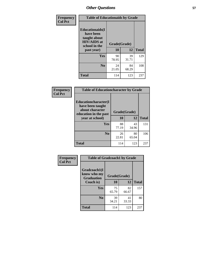| Frequency<br><b>Col Pct</b> | <b>Table of Educationaids by Grade</b>                                                                    |                    |             |              |
|-----------------------------|-----------------------------------------------------------------------------------------------------------|--------------------|-------------|--------------|
|                             | <b>Educationaids</b> (I<br>have been<br>taught about<br><b>HIV/AIDS</b> at<br>school in the<br>past year) | Grade(Grade)<br>10 | 12          | <b>Total</b> |
|                             | Yes                                                                                                       | 90<br>78.95        | 39<br>31.71 | 129          |
|                             | N <sub>0</sub>                                                                                            | 24<br>21.05        | 84<br>68.29 | 108          |
|                             | <b>Total</b>                                                                                              | 114                | 123         | 237          |

| <b>Frequency</b> | <b>Table of Educationcharacter by Grade</b>                                                             |              |             |              |
|------------------|---------------------------------------------------------------------------------------------------------|--------------|-------------|--------------|
| <b>Col Pct</b>   | Educationcharacter(I<br>have been taught<br>about character<br>education in the past<br>year at school) | Grade(Grade) |             |              |
|                  |                                                                                                         | 10           | 12          | <b>Total</b> |
|                  | Yes                                                                                                     | 88<br>77.19  | 43<br>34.96 | 131          |
|                  | N <sub>0</sub>                                                                                          | 26<br>22.81  | 80<br>65.04 | 106          |
|                  | <b>Total</b>                                                                                            | 114          | 123         | 237          |

| Frequency      | <b>Table of Gradcoach1 by Grade</b>              |              |             |              |  |
|----------------|--------------------------------------------------|--------------|-------------|--------------|--|
| <b>Col Pct</b> | Gradcoach1(I<br>know who my<br><b>Graduation</b> | Grade(Grade) |             |              |  |
|                | Coach is)                                        | 10           | 12          | <b>Total</b> |  |
|                | Yes                                              | 75<br>65.79  | 82<br>66.67 | 157          |  |
|                | N <sub>0</sub>                                   | 39<br>34.21  | 41<br>33.33 | 80           |  |
|                | <b>Total</b>                                     | 114          | 123         | 237          |  |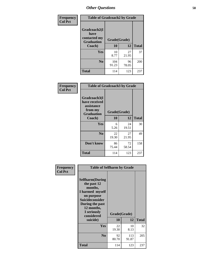| Frequency      | <b>Table of Gradcoach2 by Grade</b> |              |             |              |
|----------------|-------------------------------------|--------------|-------------|--------------|
| <b>Col Pct</b> |                                     |              |             |              |
|                | Gradcoach2(I<br>have                |              |             |              |
|                | contacted my<br><b>Graduation</b>   | Grade(Grade) |             |              |
|                | Coach)                              | 10           | 12          | <b>Total</b> |
|                | Yes                                 | 10<br>8.77   | 27<br>21.95 | 37           |
|                | N <sub>0</sub>                      | 104<br>91.23 | 96<br>78.05 | 200          |
|                | <b>Total</b>                        | 114          | 123         | 237          |

| Frequency<br><b>Col Pct</b> | <b>Table of Gradcoach3 by Grade</b>                                         |              |             |              |
|-----------------------------|-----------------------------------------------------------------------------|--------------|-------------|--------------|
|                             | Gradcoach3(I<br>have received<br>assistance<br>from my<br><b>Graduation</b> | Grade(Grade) |             |              |
|                             | Coach)                                                                      | 10           | 12          | <b>Total</b> |
|                             | Yes                                                                         | 6<br>5.26    | 24<br>19.51 | 30           |
|                             | N <sub>0</sub>                                                              | 22<br>19.30  | 27<br>21.95 | 49           |
|                             | Don't know                                                                  | 86<br>75.44  | 72<br>58.54 | 158          |
|                             | <b>Total</b>                                                                | 114          | 123         | 237          |

| Frequency      | <b>Table of Selfharm by Grade</b>                                                                                                                                                      |             |                    |              |
|----------------|----------------------------------------------------------------------------------------------------------------------------------------------------------------------------------------|-------------|--------------------|--------------|
| <b>Col Pct</b> | <b>Selfharm</b> (During<br>the past 12<br>months,<br>I harmed myself<br>on purpose<br><b>Suicideconsider</b><br>During the past<br>12 months,<br>I seriously<br>considered<br>suicide) | 10          | Grade(Grade)<br>12 | <b>Total</b> |
|                | Yes                                                                                                                                                                                    | 22<br>19.30 | 10<br>8.13         | 32           |
|                | N <sub>0</sub>                                                                                                                                                                         | 92<br>80.70 | 113<br>91.87       | 205          |
|                | Total                                                                                                                                                                                  | 114         | 123                | 237          |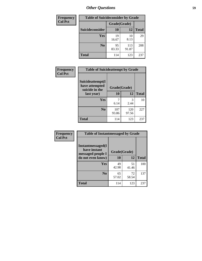| <b>Frequency</b> | <b>Table of Suicideconsider by Grade</b> |              |              |              |
|------------------|------------------------------------------|--------------|--------------|--------------|
| <b>Col Pct</b>   |                                          | Grade(Grade) |              |              |
|                  | Suicideconsider                          | <b>10</b>    | 12           | <b>Total</b> |
|                  | <b>Yes</b>                               | 19<br>16.67  | 10<br>8.13   | 29           |
|                  | N <sub>0</sub>                           | 95<br>83.33  | 113<br>91.87 | 208          |
|                  | <b>Total</b>                             | 114          | 123          | 237          |

| Frequency      | <b>Table of Suicideattempt by Grade</b>              |              |              |              |
|----------------|------------------------------------------------------|--------------|--------------|--------------|
| <b>Col Pct</b> | Suicideattempt(I<br>have attempted<br>suicide in the | Grade(Grade) |              |              |
|                | last year)                                           | 10           | 12           | <b>Total</b> |
|                | Yes                                                  | 7<br>6.14    | 3<br>2.44    | 10           |
|                | N <sub>0</sub>                                       | 107<br>93.86 | 120<br>97.56 | 227          |
|                | <b>Total</b>                                         | 114          | 123          | 237          |

| Frequency      | <b>Table of Instantmessaged by Grade</b>               |              |             |              |
|----------------|--------------------------------------------------------|--------------|-------------|--------------|
| <b>Col Pct</b> | Instantmessaged(I<br>have instant<br>messaged people I | Grade(Grade) |             |              |
|                | do not even know)                                      | 10           | 12          | <b>Total</b> |
|                | Yes                                                    | 49<br>42.98  | 51<br>41.46 | 100          |
|                | N <sub>0</sub>                                         | 65<br>57.02  | 72<br>58.54 | 137          |
|                | <b>Total</b>                                           | 114          | 123         | 237          |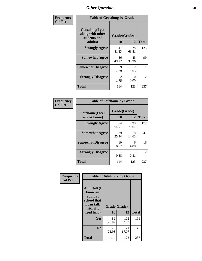| Frequency      | <b>Table of Getsalong by Grade</b>                          |                        |                        |                |  |  |  |
|----------------|-------------------------------------------------------------|------------------------|------------------------|----------------|--|--|--|
| <b>Col Pct</b> | <b>Getsalong</b> (I get<br>along with other<br>students and | Grade(Grade)           |                        |                |  |  |  |
|                | adults)                                                     | 10                     | 12                     | <b>Total</b>   |  |  |  |
|                | <b>Strongly Agree</b>                                       | 47<br>41.23            | 78<br>63.41            | 125            |  |  |  |
|                | <b>Somewhat Agree</b>                                       | 56<br>49.12            | 43<br>34.96            | 99             |  |  |  |
|                | <b>Somewhat Disagree</b>                                    | 9<br>7.89              | $\overline{2}$<br>1.63 | 11             |  |  |  |
|                | <b>Strongly Disagree</b>                                    | $\mathfrak{D}$<br>1.75 | 0<br>0.00              | $\mathfrak{D}$ |  |  |  |
|                | <b>Total</b>                                                | 114                    | 123                    | 237            |  |  |  |

| Frequency      | <b>Table of Safehome by Grade</b> |                    |             |                |  |  |
|----------------|-----------------------------------|--------------------|-------------|----------------|--|--|
| <b>Col Pct</b> | Safehome(I feel<br>safe at home)  | Grade(Grade)<br>10 | 12          | <b>Total</b>   |  |  |
|                | <b>Strongly Agree</b>             | 74<br>64.91        | 98<br>79.67 | 172            |  |  |
|                | <b>Somewhat Agree</b>             | 29<br>25.44        | 18<br>14.63 | 47             |  |  |
|                | <b>Somewhat Disagree</b>          | 10<br>8.77         | 6<br>4.88   | 16             |  |  |
|                | <b>Strongly Disagree</b>          | 0.88               | 0.81        | $\overline{2}$ |  |  |
|                | <b>Total</b>                      | 114                | 123         | 237            |  |  |

| Frequency      |                                                                                      | <b>Table of Adulttalk by Grade</b> |              |              |
|----------------|--------------------------------------------------------------------------------------|------------------------------------|--------------|--------------|
| <b>Col Pct</b> | <b>Adulttalk</b> (I<br>know an<br>adult at<br>school that<br>I can talk<br>with if I | Grade(Grade)                       |              |              |
|                | need help)                                                                           | 10                                 | 12           | <b>Total</b> |
|                | <b>Yes</b>                                                                           | 89<br>78.07                        | 102<br>82.93 | 191          |
|                | N <sub>0</sub>                                                                       | 25<br>21.93                        | 21<br>17.07  | 46           |
|                | <b>Total</b>                                                                         | 114                                | 123          | 237          |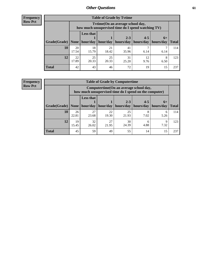**Frequency Row Pct**

| <b>Table of Grade by Tvtime</b> |             |                                                                                         |             |             |                       |           |              |  |  |
|---------------------------------|-------------|-----------------------------------------------------------------------------------------|-------------|-------------|-----------------------|-----------|--------------|--|--|
|                                 |             | Tvtime (On an average school day,<br>how much unsupervised time do I spend watching TV) |             |             |                       |           |              |  |  |
|                                 |             | <b>Less that</b>                                                                        |             | $2 - 3$     | $4 - 5$               | $6+$      |              |  |  |
| Grade(Grade)   None             |             | hour/day                                                                                | hour/day    | hours/day   | hours/day   hours/day |           | <b>Total</b> |  |  |
| 10                              | 20<br>17.54 | 18<br>15.79                                                                             | 21<br>18.42 | 41<br>35.96 | 6.14                  | 6.14      | 114          |  |  |
| 12                              | 22<br>17.89 | 25<br>20.33                                                                             | 25<br>20.33 | 31<br>25.20 | 12<br>9.76            | 8<br>6.50 | 123          |  |  |
| <b>Total</b>                    | 42          | 43                                                                                      | 46          | 72          | 19                    | 15        | 237          |  |  |

**Frequency Row Pct**

| <b>Table of Grade by Computertime</b> |             |                                                                                                   |                     |                      |                      |                   |              |  |  |  |  |
|---------------------------------------|-------------|---------------------------------------------------------------------------------------------------|---------------------|----------------------|----------------------|-------------------|--------------|--|--|--|--|
|                                       |             | Computertime (On an average school day,<br>how much unsupervised time do I spend on the computer) |                     |                      |                      |                   |              |  |  |  |  |
| Grade(Grade)                          | None $ $    | <b>Less that</b>                                                                                  | hour/day   hour/day | $2 - 3$<br>hours/day | $4 - 5$<br>hours/day | $6+$<br>hours/day | <b>Total</b> |  |  |  |  |
| 10                                    | 26<br>22.81 | 27<br>23.68                                                                                       | 22<br>19.30         | 25<br>21.93          | 7.02                 | 6<br>5.26         | 114          |  |  |  |  |
| 12                                    | 19<br>15.45 | 32<br>27<br>30<br>Q<br>6<br>24.39<br>4.88<br>7.32<br>21.95<br>26.02                               |                     |                      |                      |                   |              |  |  |  |  |
| <b>Total</b>                          | 45          | 59                                                                                                | 49                  | 55                   | 14                   | 15                | 237          |  |  |  |  |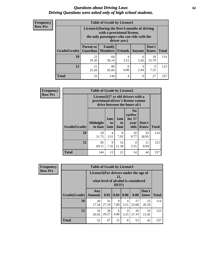## *Questions about Driving Laws* **62** *Driving Questions were asked only of high school students.*

| <b>Frequency</b> |
|------------------|
| <b>Row Pct</b>   |

| <b>Table of Grade by License1</b> |                              |                                                                                                                                           |                |               |               |              |  |  |  |  |
|-----------------------------------|------------------------------|-------------------------------------------------------------------------------------------------------------------------------------------|----------------|---------------|---------------|--------------|--|--|--|--|
|                                   |                              | License1(During the first 6 months of driving<br>with a provisional license,<br>the only passengers who can ride with the<br>driver are:) |                |               |               |              |  |  |  |  |
| Grade(Grade)                      | <b>Parent or</b><br>Guardian | <b>Family</b><br>  Members                                                                                                                | <b>Friends</b> | <b>Anyone</b> | Don't<br>Know | <b>Total</b> |  |  |  |  |
| 10                                | 22<br>19.30                  | 64<br>56.14                                                                                                                               | 4<br>3.51      | 6<br>5.26     | 18<br>15.79   | 114          |  |  |  |  |
| 12                                | 31<br>25.20                  | 80<br>3<br>9<br>0<br>2.44<br>7.32<br>0.00<br>65.04                                                                                        |                |               |               |              |  |  |  |  |
| Total                             | 53                           | 144                                                                                                                                       | 4              | 9             | 27            | 237          |  |  |  |  |

| <b>Frequency</b> |              | <b>Table of Grade by License2</b>                                                                        |                  |                         |                                                      |                      |              |  |  |
|------------------|--------------|----------------------------------------------------------------------------------------------------------|------------------|-------------------------|------------------------------------------------------|----------------------|--------------|--|--|
| <b>Row Pct</b>   |              | License2(17 yr old drivers with a<br>provisional driver's license cannot<br>drive between the hours of:) |                  |                         |                                                      |                      |              |  |  |
|                  | Grade(Grade) | <b>Midnight</b><br>to 6am                                                                                | 1am<br>to<br>5am | 1am<br>to<br><b>6am</b> | N <sub>0</sub><br>curfew<br>for $17$<br>year<br>olds | Don't<br><b>Know</b> | <b>Total</b> |  |  |
|                  | 10           | 59<br>51.75                                                                                              | 4<br>3.51        | 8<br>7.02               | 10<br>8.77                                           | 33<br>28.95          | 114          |  |  |
|                  | 12           | 85<br>69.11                                                                                              | 9<br>7.32        | 14<br>11.38             | 4<br>3.25                                            | 11<br>8.94           | 123          |  |  |
|                  | <b>Total</b> | 144                                                                                                      | 13               | 22                      | 14                                                   | 44                   | 237          |  |  |

| Frequency      |              | <b>Table of Grade by License3</b>     |             |              |                        |                                     |               |              |  |  |
|----------------|--------------|---------------------------------------|-------------|--------------|------------------------|-------------------------------------|---------------|--------------|--|--|
| <b>Row Pct</b> |              | License3(For drivers under the age of |             | 21,<br>DUI?) |                        | what level of alcohol is considered |               |              |  |  |
|                | Grade(Grade) | Any<br><b>Amount</b>                  | 0.02        | 0.04         | 0.06                   | 0.08                                | Don't<br>know | <b>Total</b> |  |  |
|                | 10           | 20<br>17.54                           | 31<br>27.19 | 9<br>7.89    | $\overline{4}$<br>3.51 | 27<br>23.68                         | 23<br>20.18   | 114          |  |  |
|                | 12           | 32<br>26.02                           | 36<br>29.27 | 6<br>4.88    | $\overline{4}$<br>3.25 | 26<br>21.14                         | 19<br>15.45   | 123          |  |  |
|                | <b>Total</b> | 52                                    | 67          | 15           | 8                      | 53                                  | 42            | 237          |  |  |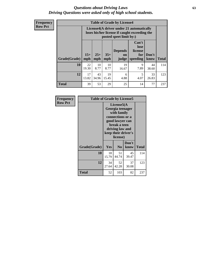## *Questions about Driving Laws* **63** *Driving Questions were asked only of high school students.*

**Frequency Row Pct**

| <b>Table of Grade by License4</b> |             |                                                                                                                                                                                                                                                                                       |            |             |           |             |     |  |  |
|-----------------------------------|-------------|---------------------------------------------------------------------------------------------------------------------------------------------------------------------------------------------------------------------------------------------------------------------------------------|------------|-------------|-----------|-------------|-----|--|--|
|                                   |             | License4(A driver under 21 automatically<br>loses his/her license if caught exceeding the<br>posted speet limit by:)<br>Can't<br>lose<br><b>Depends</b><br>license<br>$15+$<br>$25+$<br>$35+$<br>Don't<br>for<br><b>on</b><br>speeding<br><b>Total</b><br>mph<br>know<br>mph<br>judge |            |             |           |             |     |  |  |
| Grade(Grade)                      | mph         |                                                                                                                                                                                                                                                                                       |            |             |           |             |     |  |  |
| 10                                | 22<br>19.30 | 10<br>8.77                                                                                                                                                                                                                                                                            | 10<br>8.77 | 19<br>16.67 | 9<br>7.89 | 44<br>38.60 | 114 |  |  |
| 12                                | 17<br>13.82 | 43<br>19<br>5<br>33<br>6<br>4.88<br>34.96<br>15.45<br>4.07<br>26.83                                                                                                                                                                                                                   |            |             |           |             |     |  |  |
| <b>Total</b>                      | 39          | 53                                                                                                                                                                                                                                                                                    | 29         | 25          | 14        | 77          | 237 |  |  |

| Frequency      | <b>Table of Grade by License5</b> |                                                                                                                                                             |                |               |       |
|----------------|-----------------------------------|-------------------------------------------------------------------------------------------------------------------------------------------------------------|----------------|---------------|-------|
| <b>Row Pct</b> |                                   | License5(A)<br>Georgia teenager<br>with family<br>connections or a<br>good lawyer can<br>break a teen<br>driving law and<br>keep their driver's<br>license) |                |               |       |
|                | Grade(Grade)                      | Yes                                                                                                                                                         | N <sub>0</sub> | Don't<br>know | Total |
|                | 10                                | 18<br>15.79                                                                                                                                                 | 51<br>44.74    | 45<br>39.47   | 114   |
|                | 12                                | 34<br>27.64                                                                                                                                                 | 52<br>42.28    | 37<br>30.08   | 123   |
|                | <b>Total</b>                      | 52                                                                                                                                                          | 103            | 82            | 237   |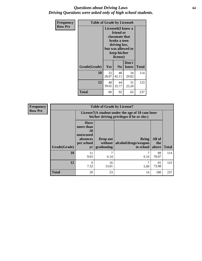## *Questions about Driving Laws* **64** *Driving Questions were asked only of high school students.*

| <b>Frequency</b> | <b>Table of Grade by License6</b> |                                                                                                                                                 |                |               |              |
|------------------|-----------------------------------|-------------------------------------------------------------------------------------------------------------------------------------------------|----------------|---------------|--------------|
| <b>Row Pct</b>   |                                   | License <sub>6</sub> (I know a<br>friend or<br>classmate that<br>broke a teen<br>driving law,<br>but was allowed to<br>keep his/her<br>license) |                |               |              |
|                  | Grade(Grade)                      | <b>Yes</b>                                                                                                                                      | N <sub>0</sub> | Don't<br>know | <b>Total</b> |
|                  | 10                                | 32<br>28.07                                                                                                                                     | 48<br>42.11    | 34<br>29.82   | 114          |
|                  | 12                                | 48<br>39.02                                                                                                                                     | 44<br>35.77    | 31<br>25.20   | 123          |
|                  | <b>Total</b>                      | 80                                                                                                                                              | 92             | 65            | 237          |

| <b>Frequency</b> | <b>Table of Grade by License7</b> |                                                                                               |                                     |                                                   |                        |              |
|------------------|-----------------------------------|-----------------------------------------------------------------------------------------------|-------------------------------------|---------------------------------------------------|------------------------|--------------|
| <b>Row Pct</b>   |                                   | License7(A student under the age of 18 cam loser<br>his/her driving privileges if he or she:) |                                     |                                                   |                        |              |
|                  | Grade(Grade)                      | <b>Have</b><br>more than<br>10<br>unexcused<br>absences<br>per school<br>yr                   | Drop out<br>without  <br>graduating | <b>Bring</b><br>alcohol/drugs/weapon<br>to school | All of<br>the<br>above | <b>Total</b> |
|                  | 10                                | 11<br>9.65                                                                                    | ┑<br>6.14                           | 6.14                                              | 89<br>78.07            | 114          |
|                  | 12                                | 9<br>7.32                                                                                     | 16<br>13.01                         | $\mathcal{L}$<br>5.69                             | 91<br>73.98            | 123          |
|                  | <b>Total</b>                      | 20                                                                                            | 23                                  | 14                                                | 180                    | 237          |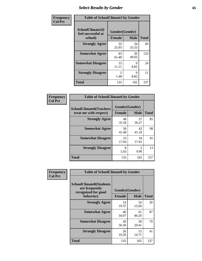# *Select Results by Gender* **65**

| Frequency      | <b>Table of SchoolClimate2 by Gender</b>          |                                 |             |              |
|----------------|---------------------------------------------------|---------------------------------|-------------|--------------|
| <b>Col Pct</b> | SchoolClimate2(I<br>feel successful at<br>school) | Gender(Gender)<br><b>Female</b> | <b>Male</b> | <b>Total</b> |
|                | <b>Strongly Agree</b>                             | 35<br>25.93                     | 34<br>33.33 | 69           |
|                | <b>Somewhat Agree</b>                             | 83<br>61.48                     | 50<br>49.02 | 133          |
|                | <b>Somewhat Disagree</b>                          | 15<br>11.11                     | 9<br>8.82   | 24           |
|                | <b>Strongly Disagree</b>                          | $\mathfrak{D}$<br>1.48          | 9<br>8.82   | 11           |
|                | <b>Total</b>                                      | 135                             | 102         | 237          |

| Frequency      | <b>Table of SchoolClimate6 by Gender</b>                 |                                 |             |              |
|----------------|----------------------------------------------------------|---------------------------------|-------------|--------------|
| <b>Col Pct</b> | <b>SchoolClimate6(Teachers</b><br>treat me with respect) | Gender(Gender)<br><b>Female</b> | <b>Male</b> | <b>Total</b> |
|                | <b>Strongly Agree</b>                                    | 48<br>35.56                     | 37<br>36.27 | 85           |
|                | <b>Somewhat Agree</b>                                    | 56<br>41.48                     | 42<br>41.18 | 98           |
|                | <b>Somewhat Disagree</b>                                 | 23<br>17.04                     | 18<br>17.65 | 41           |
|                | <b>Strongly Disagree</b>                                 | 8<br>5.93                       | 5<br>4.90   | 13           |
|                | <b>Total</b>                                             | 135                             | 102         | 237          |

| Frequency      | <b>Table of SchoolClimate8 by Gender</b>                                |                |             |              |
|----------------|-------------------------------------------------------------------------|----------------|-------------|--------------|
| <b>Col Pct</b> | <b>SchoolClimate8(Students</b><br>are frequently<br>recognized for good | Gender(Gender) |             |              |
|                | behavior)                                                               | <b>Female</b>  | <b>Male</b> | <b>Total</b> |
|                | <b>Strongly Agree</b>                                                   | 14<br>10.37    | 16<br>15.69 | 30           |
|                | <b>Somewhat Agree</b>                                                   | 46<br>34.07    | 41<br>40.20 | 87           |
|                | <b>Somewhat Disagree</b>                                                | 49<br>36.30    | 30<br>29.41 | 79           |
|                | <b>Strongly Disagree</b>                                                | 26<br>19.26    | 15<br>14.71 | 41           |
|                | Total                                                                   | 135            | 102         | 237          |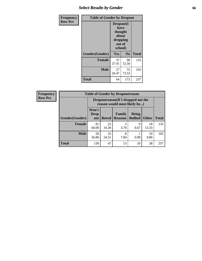# *Select Results by Gender* **66**

| Frequency      | <b>Table of Gender by Dropout</b> |                                                                        |                |              |
|----------------|-----------------------------------|------------------------------------------------------------------------|----------------|--------------|
| <b>Row Pct</b> |                                   | Dropout(I<br>have<br>thought<br>about<br>dropping<br>out of<br>school) |                |              |
|                | Gender(Gender)                    | Yes                                                                    | N <sub>0</sub> | <b>Total</b> |
|                | <b>Female</b>                     | 37<br>27.41                                                            | 98<br>72.59    | 135          |
|                | <b>Male</b>                       | 27<br>26.47                                                            | 75<br>73.53    | 102          |
|                | <b>Total</b>                      | 64                                                                     | 173            | 237          |

| <b>Frequency</b> | <b>Table of Gender by Dropoutreason</b> |                                                                    |              |                          |                                |              |              |
|------------------|-----------------------------------------|--------------------------------------------------------------------|--------------|--------------------------|--------------------------------|--------------|--------------|
| <b>Row Pct</b>   |                                         | Dropoutreason(If I dropped out the<br>reason would most likely be) |              |                          |                                |              |              |
|                  | Gender(Gender)                          | Won't<br><b>Drop</b><br>out                                        | <b>Bored</b> | Family<br><b>Reasons</b> | <b>Being</b><br><b>Bullied</b> | <b>Other</b> | <b>Total</b> |
|                  | <b>Female</b>                           | 81<br>60.00                                                        | 22<br>16.30  | 5<br>3.70                | q<br>6.67                      | 18<br>13.33  | 135          |
|                  | <b>Male</b>                             | 58<br>56.86                                                        | 25<br>24.51  | 8<br>7.84                | 0.98                           | 10<br>9.80   | 102          |
|                  | <b>Total</b>                            | 139                                                                | 47           | 13                       | 10                             | 28           | 237          |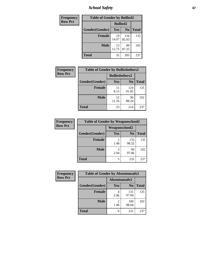*School Safety* **67**

| <b>Frequency</b> | <b>Table of Gender by Bullied2</b> |                 |                |              |  |
|------------------|------------------------------------|-----------------|----------------|--------------|--|
| <b>Row Pct</b>   |                                    | <b>Bullied2</b> |                |              |  |
|                  | Gender(Gender)                     | Yes             | N <sub>0</sub> | <b>Total</b> |  |
|                  | <b>Female</b>                      | 19<br>14.07     | 116<br>85.93   | 135          |  |
|                  | <b>Male</b>                        | 13<br>12.75     | 89<br>87.25    | 102          |  |
|                  | <b>Total</b>                       | 32              | 205            | 237          |  |

| Frequency      | <b>Table of Gender by Bulliedothers2</b> |                       |                |       |
|----------------|------------------------------------------|-----------------------|----------------|-------|
| <b>Row Pct</b> |                                          | <b>Bulliedothers2</b> |                |       |
|                | Gender(Gender)                           | <b>Yes</b>            | N <sub>0</sub> | Total |
|                | <b>Female</b>                            | 11<br>8.15            | 124<br>91.85   | 135   |
|                | <b>Male</b>                              | 12<br>11.76           | 90<br>88.24    | 102   |
|                | <b>Total</b>                             | 23                    | 214            | 237   |

| Frequency      | <b>Table of Gender by Weaponschool2</b> |                      |                |       |
|----------------|-----------------------------------------|----------------------|----------------|-------|
| <b>Row Pct</b> |                                         | <b>Weaponschool2</b> |                |       |
|                | Gender(Gender)                          | Yes                  | N <sub>0</sub> | Total |
|                | <b>Female</b>                           | 1.48                 | 133<br>98.52   | 135   |
|                | <b>Male</b>                             | 3<br>2.94            | 99<br>97.06    | 102   |
|                | <b>Total</b>                            | 5                    | 232            | 237   |

| Frequency      | <b>Table of Gender by Absentunsafe2</b> |               |                |              |
|----------------|-----------------------------------------|---------------|----------------|--------------|
| <b>Row Pct</b> |                                         | Absentunsafe2 |                |              |
|                | Gender(Gender)                          | Yes           | N <sub>0</sub> | <b>Total</b> |
|                | <b>Female</b>                           | 2.96          | 131<br>97.04   | 135          |
|                | <b>Male</b>                             | 1.96          | 100<br>98.04   | 102          |
|                | <b>Total</b>                            | 6             | 231            | 237          |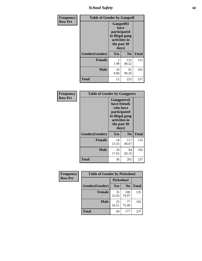*School Safety* **68**

| Frequency      | <b>Table of Gender by Gangself</b> |                                                                                                |                |              |
|----------------|------------------------------------|------------------------------------------------------------------------------------------------|----------------|--------------|
| <b>Row Pct</b> |                                    | Gangself(I<br>have<br>participated<br>in illegal gang<br>activities in<br>the past 30<br>days) |                |              |
|                | Gender(Gender)                     | Yes                                                                                            | N <sub>0</sub> | <b>Total</b> |
|                | <b>Female</b>                      | 2<br>1.48                                                                                      | 133<br>98.52   | 135          |
|                | <b>Male</b>                        | 10<br>9.80                                                                                     | 92<br>90.20    | 102          |
|                | <b>Total</b>                       | 12                                                                                             | 225            | 237          |

| Frequency      | <b>Table of Gender by Gangpeers</b> |                                                                                                                             |                |              |
|----------------|-------------------------------------|-----------------------------------------------------------------------------------------------------------------------------|----------------|--------------|
| <b>Row Pct</b> |                                     | <b>Gangpeers</b> (I<br>have friends<br>who have<br>participated<br>in illegal gang<br>activities in<br>the past 30<br>days) |                |              |
|                | Gender(Gender)                      | <b>Yes</b>                                                                                                                  | N <sub>0</sub> | <b>Total</b> |
|                | <b>Female</b>                       | 18<br>13.33                                                                                                                 | 117<br>86.67   | 135          |
|                | <b>Male</b>                         | 18<br>17.65                                                                                                                 | 84<br>82.35    | 102          |
|                | <b>Total</b>                        | 36                                                                                                                          | 201            | 237          |

| Frequency      | <b>Table of Gender by Pickedon2</b> |             |                |              |
|----------------|-------------------------------------|-------------|----------------|--------------|
| <b>Row Pct</b> |                                     | Pickedon2   |                |              |
|                | Gender(Gender)                      | <b>Yes</b>  | N <sub>0</sub> | <b>Total</b> |
|                | <b>Female</b>                       | 35<br>25.93 | 100<br>74.07   | 135          |
|                | <b>Male</b>                         | 25<br>24.51 | 77<br>75.49    | 102          |
|                | <b>Total</b>                        | 60          | 177            | 237          |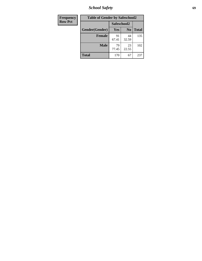*School Safety* **69**

| Frequency      | <b>Table of Gender by Safeschool2</b> |             |                |              |
|----------------|---------------------------------------|-------------|----------------|--------------|
| <b>Row Pct</b> |                                       | Safeschool2 |                |              |
|                | Gender(Gender)                        | Yes         | N <sub>0</sub> | <b>Total</b> |
|                | <b>Female</b>                         | 91<br>67.41 | 44<br>32.59    | 135          |
|                | Male                                  | 79<br>77.45 | 23<br>22.55    | 102          |
|                | <b>Total</b>                          | 170         | 67             | 237          |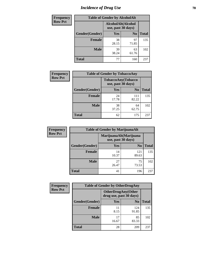# *Incidence of Drug Use* **70**

| <b>Frequency</b> | <b>Table of Gender by AlcoholAlt</b> |                                          |                |              |
|------------------|--------------------------------------|------------------------------------------|----------------|--------------|
| <b>Row Pct</b>   |                                      | AlcoholAlt(Alcohol<br>use, past 30 days) |                |              |
|                  | Gender(Gender)                       | Yes                                      | N <sub>0</sub> | <b>Total</b> |
|                  | <b>Female</b>                        | 38<br>28.15                              | 97<br>71.85    | 135          |
|                  | <b>Male</b>                          | 39<br>38.24                              | 63<br>61.76    | 102          |
|                  | <b>Total</b>                         | 77                                       | 160            | 237          |

| Frequency      | <b>Table of Gender by TobaccoAny</b> |                                          |                |              |  |
|----------------|--------------------------------------|------------------------------------------|----------------|--------------|--|
| <b>Row Pct</b> |                                      | TobaccoAny(Tobacco<br>use, past 30 days) |                |              |  |
|                | Gender(Gender)                       | Yes                                      | N <sub>0</sub> | <b>Total</b> |  |
|                | <b>Female</b>                        | 24<br>17.78                              | 111<br>82.22   | 135          |  |
|                | <b>Male</b>                          | 38<br>37.25                              | 64<br>62.75    | 102          |  |
|                | <b>Total</b>                         | 62                                       | 175            | 237          |  |

| <b>Frequency</b> | <b>Table of Gender by MarijuanaAlt</b> |                    |                        |              |
|------------------|----------------------------------------|--------------------|------------------------|--------------|
| <b>Row Pct</b>   |                                        | use, past 30 days) | MarijuanaAlt(Marijuana |              |
|                  | Gender(Gender)                         | <b>Yes</b>         | N <sub>0</sub>         | <b>Total</b> |
|                  | Female                                 | 14<br>10.37        | 121<br>89.63           | 135          |
|                  | <b>Male</b>                            | 27<br>26.47        | 75<br>73.53            | 102          |
|                  | <b>Total</b>                           | 41                 | 196                    | 237          |

| <b>Frequency</b> | <b>Table of Gender by OtherDrugAny</b> |                                                       |                |              |
|------------------|----------------------------------------|-------------------------------------------------------|----------------|--------------|
| <b>Row Pct</b>   |                                        | <b>OtherDrugAny</b> (Other<br>drug use, past 30 days) |                |              |
|                  | Gender(Gender)                         | <b>Yes</b>                                            | N <sub>0</sub> | <b>Total</b> |
|                  | <b>Female</b>                          | 11<br>8.15                                            | 124<br>91.85   | 135          |
|                  | <b>Male</b>                            | 17<br>16.67                                           | 85<br>83.33    | 102          |
|                  | <b>Total</b>                           | 28                                                    | 209            | 237          |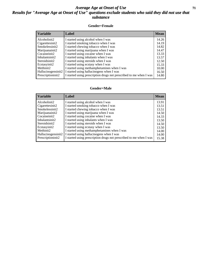## *Average Age at Onset of Use* **71** *Results for "Average Age at Onset of Use" questions exclude students who said they did not use that substance*

## **Gender=Female**

| <b>Variable</b>    | <b>Label</b>                                                       | <b>Mean</b> |
|--------------------|--------------------------------------------------------------------|-------------|
| Alcoholinit2       | I started using alcohol when I was                                 | 14.26       |
| Cigarettesinit2    | I started smoking tobacco when I was                               | 14.19       |
| Smokelessinit2     | I started chewing tobacco when I was                               | 14.82       |
| Marijuanainit2     | I started using marijuana when I was                               | 14.47       |
| Cocaineinit2       | I started using cocaine when I was                                 | 13.33       |
| Inhalantsinit2     | I started using inhalants when I was                               | 13.57       |
| Steroidsinit2      | I started using steroids when I was                                | 12.50       |
| Ecstasyinit2       | I started using ecstasy when I was                                 | 15.33       |
| Methinit2          | I started using methamphetamines when I was                        | 10.00       |
| Hallucinogensinit2 | I started using hallucinogens when I was                           | 16.50       |
| Prescription in t2 | I started using prescription drugs not prescribed to me when I was | 14.80       |

### **Gender=Male**

| <b>Variable</b>    | Label                                                              | <b>Mean</b> |
|--------------------|--------------------------------------------------------------------|-------------|
| Alcoholinit2       | I started using alcohol when I was                                 | 13.91       |
| Cigarettesinit2    | I started smoking tobacco when I was                               | 13.51       |
| Smokelessinit2     | I started chewing tobacco when I was                               | 13.51       |
| Marijuanainit2     | I started using marijuana when I was                               | 14.50       |
| Cocaineinit2       | I started using cocaine when I was                                 | 14.33       |
| Inhalantsinit2     | I started using inhalants when I was                               | 13.50       |
| Steroidsinit2      | I started using steroids when I was                                | 14.50       |
| Ecstasyinit2       | I started using ecstasy when I was                                 | 13.50       |
| Methinit2          | I started using methamphetamines when I was                        | 14.00       |
| Hallucinogensinit2 | I started using hallucinogens when I was                           | 14.00       |
| Prescriptioninit2  | I started using prescription drugs not prescribed to me when I was | 15.38       |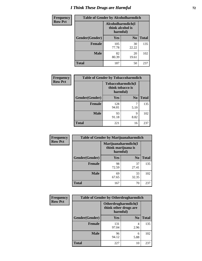# *I Think These Drugs are Harmful* **72**

| <b>Frequency</b> | <b>Table of Gender by Alcoholharmdich</b> |                                                   |                |              |
|------------------|-------------------------------------------|---------------------------------------------------|----------------|--------------|
| <b>Row Pct</b>   |                                           | Alcoholharmdich(I<br>think alcohol is<br>harmful) |                |              |
|                  | Gender(Gender)                            | <b>Yes</b>                                        | N <sub>0</sub> | <b>Total</b> |
|                  | <b>Female</b>                             | 105<br>77.78                                      | 30<br>22.22    | 135          |
|                  | <b>Male</b>                               | 82<br>80.39                                       | 20<br>19.61    | 102          |
|                  | <b>Total</b>                              | 187                                               | 50             | 237          |

| Frequency      | <b>Table of Gender by Tobaccoharmdich</b> |                  |                               |              |
|----------------|-------------------------------------------|------------------|-------------------------------|--------------|
| <b>Row Pct</b> |                                           | think tobacco is | Tobaccoharmdich(I<br>harmful) |              |
|                | Gender(Gender)                            | Yes              | N <sub>0</sub>                | <b>Total</b> |
|                | <b>Female</b>                             | 128<br>94.81     | 7<br>5.19                     | 135          |
|                | <b>Male</b>                               | 93<br>91.18      | 9<br>8.82                     | 102          |
|                | Total                                     | 221              | 16                            | 237          |

| Frequency      | <b>Table of Gender by Marijuanaharmdich</b> |                                                       |                |              |  |
|----------------|---------------------------------------------|-------------------------------------------------------|----------------|--------------|--|
| <b>Row Pct</b> |                                             | Marijuanaharmdich(I<br>think marijuana is<br>harmful) |                |              |  |
|                | Gender(Gender)                              | <b>Yes</b>                                            | N <sub>0</sub> | <b>Total</b> |  |
|                | <b>Female</b>                               | 98<br>72.59                                           | 37<br>27.41    | 135          |  |
|                | <b>Male</b>                                 | 69<br>67.65                                           | 33<br>32.35    | 102          |  |
|                | <b>Total</b>                                | 167                                                   | 70             | 237          |  |

| Frequency      | <b>Table of Gender by Otherdrugharmdich</b> |                                   |                     |              |  |
|----------------|---------------------------------------------|-----------------------------------|---------------------|--------------|--|
| <b>Row Pct</b> |                                             | think other drugs are<br>harmful) | Otherdrugharmdich(I |              |  |
|                | Gender(Gender)                              | <b>Yes</b>                        | N <sub>0</sub>      | <b>Total</b> |  |
|                | <b>Female</b>                               | 131<br>97.04                      | 4<br>2.96           | 135          |  |
|                | <b>Male</b>                                 | 96<br>94.12                       | 6<br>5.88           | 102          |  |
|                | <b>Total</b>                                | 227                               | 10                  | 237          |  |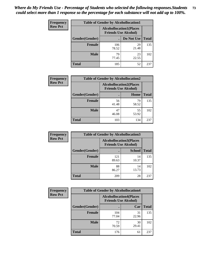| <b>Frequency</b> | <b>Table of Gender by Alcohollocation1</b> |                                                               |             |              |
|------------------|--------------------------------------------|---------------------------------------------------------------|-------------|--------------|
| <b>Row Pct</b>   |                                            | <b>Alcohollocation1(Places</b><br><b>Friends Use Alcohol)</b> |             |              |
|                  | Gender(Gender)                             |                                                               | Do Not Use  | <b>Total</b> |
|                  | <b>Female</b>                              | 106<br>78.52                                                  | 29<br>21.48 | 135          |
|                  | <b>Male</b>                                | 79<br>77.45                                                   | 23<br>22.55 | 102          |
|                  | <b>Total</b>                               | 185                                                           | 52          | 237          |

| <b>Frequency</b> | <b>Table of Gender by Alcohollocation2</b> |                                                               |             |              |
|------------------|--------------------------------------------|---------------------------------------------------------------|-------------|--------------|
| <b>Row Pct</b>   |                                            | <b>Alcohollocation2(Places</b><br><b>Friends Use Alcohol)</b> |             |              |
|                  | Gender(Gender)                             |                                                               | Home        | <b>Total</b> |
|                  | <b>Female</b>                              | 56<br>41.48                                                   | 79<br>58.52 | 135          |
|                  | <b>Male</b>                                | 47<br>46.08                                                   | 55<br>53.92 | 102          |
|                  | <b>Total</b>                               | 103                                                           | 134         | 237          |

| Frequency      | <b>Table of Gender by Alcohollocation3</b> |                                                               |               |              |
|----------------|--------------------------------------------|---------------------------------------------------------------|---------------|--------------|
| <b>Row Pct</b> |                                            | <b>Alcohollocation3(Places</b><br><b>Friends Use Alcohol)</b> |               |              |
|                | Gender(Gender)                             |                                                               | <b>School</b> | <b>Total</b> |
|                | <b>Female</b>                              | 121<br>89.63                                                  | 14<br>10.37   | 135          |
|                | <b>Male</b>                                | 88<br>86.27                                                   | 14<br>13.73   | 102          |
|                | <b>Total</b>                               | 209                                                           | 28            | 237          |

| Frequency      | <b>Table of Gender by Alcohollocation4</b> |                                                               |             |              |
|----------------|--------------------------------------------|---------------------------------------------------------------|-------------|--------------|
| <b>Row Pct</b> |                                            | <b>Alcohollocation4(Places</b><br><b>Friends Use Alcohol)</b> |             |              |
|                | Gender(Gender)                             |                                                               | Car         | <b>Total</b> |
|                | <b>Female</b>                              | 104<br>77.04                                                  | 31<br>22.96 | 135          |
|                | <b>Male</b>                                | 72<br>70.59                                                   | 30<br>29.41 | 102          |
|                | <b>Total</b>                               | 176                                                           | 61          | 237          |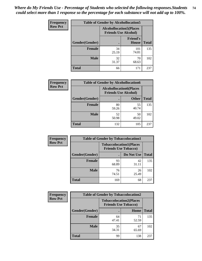| <b>Frequency</b> | <b>Table of Gender by Alcohollocation5</b> |                                                                |                                 |              |
|------------------|--------------------------------------------|----------------------------------------------------------------|---------------------------------|--------------|
| <b>Row Pct</b>   |                                            | <b>Alcohollocation5</b> (Places<br><b>Friends Use Alcohol)</b> |                                 |              |
|                  | Gender(Gender)                             |                                                                | <b>Friend's</b><br><b>House</b> | <b>Total</b> |
|                  | <b>Female</b>                              | 34<br>25.19                                                    | 101<br>74.81                    | 135          |
|                  | <b>Male</b>                                | 32<br>31.37                                                    | 70<br>68.63                     | 102          |
|                  | <b>Total</b>                               | 66                                                             | 171                             | 237          |

| Frequency      | <b>Table of Gender by Alcohollocation6</b> |                                                               |              |              |  |
|----------------|--------------------------------------------|---------------------------------------------------------------|--------------|--------------|--|
| <b>Row Pct</b> |                                            | <b>Alcohollocation6(Places</b><br><b>Friends Use Alcohol)</b> |              |              |  |
|                | <b>Gender</b> (Gender)                     |                                                               | <b>Other</b> | <b>Total</b> |  |
|                | Female                                     | 80<br>59.26                                                   | 55<br>40.74  | 135          |  |
|                | <b>Male</b>                                | 52<br>50.98                                                   | 50<br>49.02  | 102          |  |
|                | <b>Total</b>                               | 132                                                           | 105          | 237          |  |

| Frequency      | <b>Table of Gender by Tobaccolocation1</b> |                                                               |             |              |  |
|----------------|--------------------------------------------|---------------------------------------------------------------|-------------|--------------|--|
| <b>Row Pct</b> |                                            | <b>Tobaccolocation1(Places</b><br><b>Friends Use Tobacco)</b> |             |              |  |
|                | Gender(Gender)                             |                                                               | Do Not Use  | <b>Total</b> |  |
|                | Female                                     | 93<br>68.89                                                   | 42<br>31.11 | 135          |  |
|                | <b>Male</b>                                | 76<br>74.51                                                   | 26<br>25.49 | 102          |  |
|                | <b>Total</b>                               | 169                                                           | 68          | 237          |  |

| <b>Frequency</b> |                | <b>Table of Gender by Tobaccolocation2</b>                    |             |              |
|------------------|----------------|---------------------------------------------------------------|-------------|--------------|
| <b>Row Pct</b>   |                | <b>Tobaccolocation2(Places</b><br><b>Friends Use Tobacco)</b> |             |              |
|                  | Gender(Gender) |                                                               | Home        | <b>Total</b> |
|                  | Female         | 64<br>47.41                                                   | 71<br>52.59 | 135          |
|                  | <b>Male</b>    | 35<br>34.31                                                   | 67<br>65.69 | 102          |
|                  | <b>Total</b>   | 99                                                            | 138         | 237          |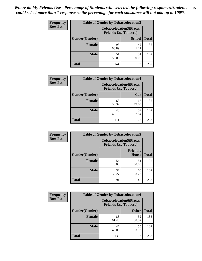| <b>Frequency</b> | <b>Table of Gender by Tobaccolocation3</b> |                                                               |               |              |
|------------------|--------------------------------------------|---------------------------------------------------------------|---------------|--------------|
| <b>Row Pct</b>   |                                            | <b>Tobaccolocation3(Places</b><br><b>Friends Use Tobacco)</b> |               |              |
|                  | <b>Gender</b> (Gender)                     |                                                               | <b>School</b> | <b>Total</b> |
|                  | <b>Female</b>                              | 93<br>68.89                                                   | 42<br>31.11   | 135          |
|                  | <b>Male</b>                                | 51<br>50.00                                                   | 51<br>50.00   | 102          |
|                  | <b>Total</b>                               | 144                                                           | 93            | 237          |

| <b>Frequency</b> | <b>Table of Gender by Tobaccolocation4</b> |             |                                                               |              |
|------------------|--------------------------------------------|-------------|---------------------------------------------------------------|--------------|
| <b>Row Pct</b>   |                                            |             | <b>Tobaccolocation4(Places</b><br><b>Friends Use Tobacco)</b> |              |
|                  | Gender(Gender)                             |             | Car                                                           | <b>Total</b> |
|                  | <b>Female</b>                              | 68<br>50.37 | 67<br>49.63                                                   | 135          |
|                  | <b>Male</b>                                | 43<br>42.16 | 59<br>57.84                                                   | 102          |
|                  | <b>Total</b>                               | 111         | 126                                                           | 237          |

| <b>Frequency</b> | <b>Table of Gender by Tobaccolocation5</b> |                                                               |                                 |              |
|------------------|--------------------------------------------|---------------------------------------------------------------|---------------------------------|--------------|
| <b>Row Pct</b>   |                                            | <b>Tobaccolocation5(Places</b><br><b>Friends Use Tobacco)</b> |                                 |              |
|                  | Gender(Gender)                             |                                                               | <b>Friend's</b><br><b>House</b> | <b>Total</b> |
|                  | <b>Female</b>                              | 54<br>40.00                                                   | 81<br>60.00                     | 135          |
|                  | <b>Male</b>                                | 37<br>36.27                                                   | 65<br>63.73                     | 102          |
|                  | <b>Total</b>                               | 91                                                            | 146                             | 237          |

| <b>Frequency</b> |                | <b>Table of Gender by Tobaccolocation6</b>                    |              |              |
|------------------|----------------|---------------------------------------------------------------|--------------|--------------|
| <b>Row Pct</b>   |                | <b>Tobaccolocation6(Places</b><br><b>Friends Use Tobacco)</b> |              |              |
|                  | Gender(Gender) |                                                               | <b>Other</b> | <b>Total</b> |
|                  | Female         | 83<br>61.48                                                   | 52<br>38.52  | 135          |
|                  | <b>Male</b>    | 47<br>46.08                                                   | 55<br>53.92  | 102          |
|                  | <b>Total</b>   | 130                                                           | 107          | 237          |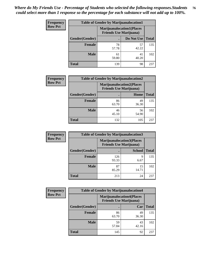| <b>Frequency</b> | <b>Table of Gender by Marijuanalocation1</b> |                                                                    |             |              |
|------------------|----------------------------------------------|--------------------------------------------------------------------|-------------|--------------|
| <b>Row Pct</b>   |                                              | <b>Marijuanalocation1(Places</b><br><b>Friends Use Marijuana</b> ) |             |              |
|                  | Gender(Gender)                               |                                                                    | Do Not Use  | <b>Total</b> |
|                  | <b>Female</b>                                | 78<br>57.78                                                        | 57<br>42.22 | 135          |
|                  | <b>Male</b>                                  | 61<br>59.80                                                        | 41<br>40.20 | 102          |
|                  | <b>Total</b>                                 | 139                                                                | 98          | 237          |

| <b>Frequency</b> | <b>Table of Gender by Marijuanalocation2</b> |                                                                    |             |              |  |
|------------------|----------------------------------------------|--------------------------------------------------------------------|-------------|--------------|--|
| <b>Row Pct</b>   |                                              | <b>Marijuanalocation2(Places</b><br><b>Friends Use Marijuana</b> ) |             |              |  |
|                  | Gender(Gender)                               |                                                                    | Home        | <b>Total</b> |  |
|                  | <b>Female</b>                                | 86<br>63.70                                                        | 49<br>36.30 | 135          |  |
|                  | <b>Male</b>                                  | 46<br>45.10                                                        | 56<br>54.90 | 102          |  |
|                  | <b>Total</b>                                 | 132                                                                | 105         | 237          |  |

| <b>Frequency</b> | <b>Table of Gender by Marijuanalocation3</b> |                                                                    |               |              |
|------------------|----------------------------------------------|--------------------------------------------------------------------|---------------|--------------|
| <b>Row Pct</b>   |                                              | <b>Marijuanalocation3(Places</b><br><b>Friends Use Marijuana</b> ) |               |              |
|                  | Gender(Gender)                               |                                                                    | <b>School</b> | <b>Total</b> |
|                  | Female                                       | 126<br>93.33                                                       | 9<br>6.67     | 135          |
|                  | <b>Male</b>                                  | 87<br>85.29                                                        | 15<br>14.71   | 102          |
|                  | <b>Total</b>                                 | 213                                                                | 24            | 237          |

| <b>Frequency</b> | <b>Table of Gender by Marijuanalocation4</b> |                                                                    |             |              |
|------------------|----------------------------------------------|--------------------------------------------------------------------|-------------|--------------|
| <b>Row Pct</b>   |                                              | <b>Marijuanalocation4(Places</b><br><b>Friends Use Marijuana</b> ) |             |              |
|                  | Gender(Gender)                               |                                                                    | Car         | <b>Total</b> |
|                  | <b>Female</b>                                | 86<br>63.70                                                        | 49<br>36.30 | 135          |
|                  | <b>Male</b>                                  | 59<br>57.84                                                        | 43<br>42.16 | 102          |
|                  | <b>Total</b>                                 | 145                                                                | 92          | 237          |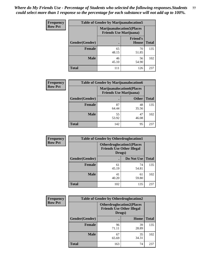| <b>Frequency</b> | <b>Table of Gender by Marijuanalocation5</b> |                                                                     |                                 |              |
|------------------|----------------------------------------------|---------------------------------------------------------------------|---------------------------------|--------------|
| <b>Row Pct</b>   |                                              | <b>Marijuanalocation5</b> (Places<br><b>Friends Use Marijuana</b> ) |                                 |              |
|                  | Gender(Gender)                               |                                                                     | <b>Friend's</b><br><b>House</b> | <b>Total</b> |
|                  | <b>Female</b>                                | 65<br>48.15                                                         | 70<br>51.85                     | 135          |
|                  | <b>Male</b>                                  | 46<br>45.10                                                         | 56<br>54.90                     | 102          |
|                  | <b>Total</b>                                 | 111                                                                 | 126                             | 237          |

| <b>Frequency</b> | <b>Table of Gender by Marijuanalocation6</b> |                                                                    |              |              |
|------------------|----------------------------------------------|--------------------------------------------------------------------|--------------|--------------|
| <b>Row Pct</b>   |                                              | <b>Marijuanalocation6(Places</b><br><b>Friends Use Marijuana</b> ) |              |              |
|                  | <b>Gender</b> (Gender)                       |                                                                    | <b>Other</b> | <b>Total</b> |
|                  | Female                                       | 87<br>64.44                                                        | 48<br>35.56  | 135          |
|                  | <b>Male</b>                                  | 55<br>53.92                                                        | 47<br>46.08  | 102          |
|                  | Total                                        | 142                                                                | 95           | 237          |

| Frequency      | <b>Table of Gender by Otherdruglocation1</b> |                                                                                |             |              |
|----------------|----------------------------------------------|--------------------------------------------------------------------------------|-------------|--------------|
| <b>Row Pct</b> |                                              | <b>Otherdruglocation1(Places</b><br><b>Friends Use Other Illegal</b><br>Drugs) |             |              |
|                | Gender(Gender)                               |                                                                                | Do Not Use  | <b>Total</b> |
|                | <b>Female</b>                                | 61<br>45.19                                                                    | 74<br>54.81 | 135          |
|                | <b>Male</b>                                  | 41<br>40.20                                                                    | 61<br>59.80 | 102          |
|                | <b>Total</b>                                 | 102                                                                            | 135         | 237          |

| <b>Frequency</b> | <b>Table of Gender by Otherdruglocation2</b> |                                                                                |             |              |
|------------------|----------------------------------------------|--------------------------------------------------------------------------------|-------------|--------------|
| <b>Row Pct</b>   |                                              | <b>Otherdruglocation2(Places</b><br><b>Friends Use Other Illegal</b><br>Drugs) |             |              |
|                  | Gender(Gender)                               |                                                                                | Home        | <b>Total</b> |
|                  | Female                                       | 96<br>71.11                                                                    | 39<br>28.89 | 135          |
|                  | <b>Male</b>                                  | 67<br>65.69                                                                    | 35<br>34.31 | 102          |
|                  | <b>Total</b>                                 | 163                                                                            | 74          | 237          |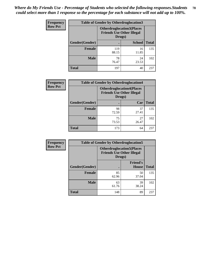| <b>Frequency</b> | <b>Table of Gender by Otherdruglocation3</b> |                                                                                |               |              |
|------------------|----------------------------------------------|--------------------------------------------------------------------------------|---------------|--------------|
| <b>Row Pct</b>   |                                              | <b>Otherdruglocation3(Places</b><br><b>Friends Use Other Illegal</b><br>Drugs) |               |              |
|                  | Gender(Gender)                               |                                                                                | <b>School</b> | <b>Total</b> |
|                  | <b>Female</b>                                | 119<br>88.15                                                                   | 16<br>11.85   | 135          |
|                  | <b>Male</b>                                  | 78<br>76.47                                                                    | 24<br>23.53   | 102          |
|                  | <b>Total</b>                                 | 197                                                                            | 40            | 237          |

| Frequency      | <b>Table of Gender by Otherdruglocation4</b> |                                                                                |             |              |
|----------------|----------------------------------------------|--------------------------------------------------------------------------------|-------------|--------------|
| <b>Row Pct</b> |                                              | <b>Otherdruglocation4(Places</b><br><b>Friends Use Other Illegal</b><br>Drugs) |             |              |
|                | Gender(Gender)                               |                                                                                | Car         | <b>Total</b> |
|                | <b>Female</b>                                | 98<br>72.59                                                                    | 37<br>27.41 | 135          |
|                | <b>Male</b>                                  | 75<br>73.53                                                                    | 27<br>26.47 | 102          |
|                | <b>Total</b>                                 | 173                                                                            | 64          | 237          |

| Frequency      | <b>Table of Gender by Otherdruglocation5</b> |                                                                                |                                 |              |
|----------------|----------------------------------------------|--------------------------------------------------------------------------------|---------------------------------|--------------|
| <b>Row Pct</b> |                                              | <b>Otherdruglocation5(Places</b><br><b>Friends Use Other Illegal</b><br>Drugs) |                                 |              |
|                | Gender(Gender)                               |                                                                                | <b>Friend's</b><br><b>House</b> | <b>Total</b> |
|                | <b>Female</b>                                | 85<br>62.96                                                                    | 50<br>37.04                     | 135          |
|                | <b>Male</b>                                  | 63<br>61.76                                                                    | 39<br>38.24                     | 102          |
|                | <b>Total</b>                                 | 148                                                                            | 89                              | 237          |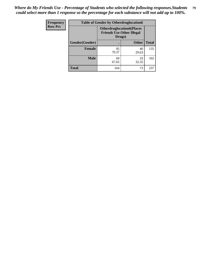| <b>Frequency</b> |                | <b>Table of Gender by Otherdruglocation6</b>                                   |              |              |
|------------------|----------------|--------------------------------------------------------------------------------|--------------|--------------|
| <b>Row Pct</b>   |                | <b>Otherdruglocation6(Places</b><br><b>Friends Use Other Illegal</b><br>Drugs) |              |              |
|                  | Gender(Gender) |                                                                                | <b>Other</b> | <b>Total</b> |
|                  | <b>Female</b>  | 95<br>70.37                                                                    | 40<br>29.63  | 135          |
|                  | <b>Male</b>    | 69<br>67.65                                                                    | 33<br>32.35  | 102          |
|                  | <b>Total</b>   | 164                                                                            | 73           | 237          |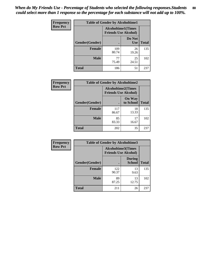| Frequency      | <b>Table of Gender by Alcoholtime1</b> |                                                          |                      |              |
|----------------|----------------------------------------|----------------------------------------------------------|----------------------|--------------|
| <b>Row Pct</b> |                                        | <b>Alcoholtime1(Times</b><br><b>Friends Use Alcohol)</b> |                      |              |
|                | Gender(Gender)                         | $\bullet$                                                | Do Not<br><b>Use</b> | <b>Total</b> |
|                | <b>Female</b>                          | 109<br>80.74                                             | 26<br>19.26          | 135          |
|                | <b>Male</b>                            | 77<br>75.49                                              | 25<br>24.51          | 102          |
|                | <b>Total</b>                           | 186                                                      | 51                   | 237          |

| <b>Frequency</b> | <b>Table of Gender by Alcoholtime2</b> |                                                          |                            |              |
|------------------|----------------------------------------|----------------------------------------------------------|----------------------------|--------------|
| <b>Row Pct</b>   |                                        | <b>Alcoholtime2(Times</b><br><b>Friends Use Alcohol)</b> |                            |              |
|                  | Gender(Gender)                         |                                                          | <b>On Way</b><br>to School | <b>Total</b> |
|                  | <b>Female</b>                          | 117<br>86.67                                             | 18<br>13.33                | 135          |
|                  | <b>Male</b>                            | 85<br>83.33                                              | 17<br>16.67                | 102          |
|                  | <b>Total</b>                           | 202                                                      | 35                         | 237          |

| Frequency      | <b>Table of Gender by Alcoholtime3</b> |                                                   |                                |              |
|----------------|----------------------------------------|---------------------------------------------------|--------------------------------|--------------|
| <b>Row Pct</b> |                                        | Alcoholtime3(Times<br><b>Friends Use Alcohol)</b> |                                |              |
|                | Gender(Gender)                         |                                                   | <b>During</b><br><b>School</b> | <b>Total</b> |
|                | Female                                 | 122<br>90.37                                      | 13<br>9.63                     | 135          |
|                | <b>Male</b>                            | 89<br>87.25                                       | 13<br>12.75                    | 102          |
|                | <b>Total</b>                           | 211                                               | 26                             | 237          |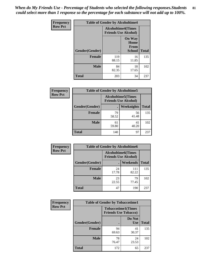*When do My Friends Use - Percentage of Students who selected the following responses.Students could select more than 1 response so the percentage for each substance will not add up to 100%.* **81**

| <b>Frequency</b> | <b>Table of Gender by Alcoholtime4</b> |              |                                                          |              |
|------------------|----------------------------------------|--------------|----------------------------------------------------------|--------------|
| <b>Row Pct</b>   |                                        |              | <b>Alcoholtime4(Times</b><br><b>Friends Use Alcohol)</b> |              |
|                  | Gender(Gender)                         |              | <b>On Way</b><br>Home<br>From<br><b>School</b>           | <b>Total</b> |
|                  | <b>Female</b>                          | 119<br>88.15 | 16<br>11.85                                              | 135          |
|                  | <b>Male</b>                            | 84<br>82.35  | 18<br>17.65                                              | 102          |
|                  | <b>Total</b>                           | 203          | 34                                                       | 237          |

| <b>Frequency</b> | <b>Table of Gender by Alcoholtime5</b> |                                                           |             |              |
|------------------|----------------------------------------|-----------------------------------------------------------|-------------|--------------|
| <b>Row Pct</b>   |                                        | <b>Alcoholtime5</b> (Times<br><b>Friends Use Alcohol)</b> |             |              |
|                  | Gender(Gender)                         |                                                           | Weeknights  | <b>Total</b> |
|                  | <b>Female</b>                          | 79<br>58.52                                               | 56<br>41.48 | 135          |
|                  | <b>Male</b>                            | 61<br>59.80                                               | 41<br>40.20 | 102          |
|                  | <b>Total</b>                           | 140                                                       | 97          | 237          |

| <b>Frequency</b> | <b>Table of Gender by Alcoholtime6</b> |                                                           |                 |              |  |
|------------------|----------------------------------------|-----------------------------------------------------------|-----------------|--------------|--|
| <b>Row Pct</b>   |                                        | <b>Alcoholtime6</b> (Times<br><b>Friends Use Alcohol)</b> |                 |              |  |
|                  | Gender(Gender)                         |                                                           | <b>Weekends</b> | <b>Total</b> |  |
|                  | Female                                 | 24<br>17.78                                               | 111<br>82.22    | 135          |  |
|                  | <b>Male</b>                            | 23<br>22.55                                               | 79<br>77.45     | 102          |  |
|                  | Total                                  | 47                                                        | 190             | 237          |  |

| <b>Frequency</b> | <b>Table of Gender by Tobaccotime1</b> |                             |                           |              |
|------------------|----------------------------------------|-----------------------------|---------------------------|--------------|
| <b>Row Pct</b>   |                                        | <b>Friends Use Tobacco)</b> | <b>Tobaccotime1(Times</b> |              |
|                  | Gender(Gender)                         |                             | Do Not<br><b>Use</b>      | <b>Total</b> |
|                  | <b>Female</b>                          | 94<br>69.63                 | 41<br>30.37               | 135          |
|                  | <b>Male</b>                            | 78<br>76.47                 | 24<br>23.53               | 102          |
|                  | <b>Total</b>                           | 172                         | 65                        | 237          |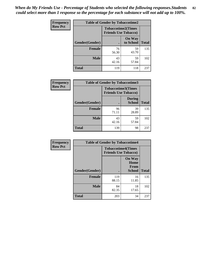| <b>Frequency</b> | <b>Table of Gender by Tobaccotime2</b> |                             |                            |              |
|------------------|----------------------------------------|-----------------------------|----------------------------|--------------|
| <b>Row Pct</b>   |                                        | <b>Friends Use Tobacco)</b> | <b>Tobaccotime2(Times</b>  |              |
|                  | Gender(Gender)                         |                             | <b>On Way</b><br>to School | <b>Total</b> |
|                  | <b>Female</b>                          | 76<br>56.30                 | 59<br>43.70                | 135          |
|                  | <b>Male</b>                            | 43<br>42.16                 | 59<br>57.84                | 102          |
|                  | <b>Total</b>                           | 119                         | 118                        | 237          |

| Frequency      | <b>Table of Gender by Tobaccotime3</b> |                                                          |                                |              |
|----------------|----------------------------------------|----------------------------------------------------------|--------------------------------|--------------|
| <b>Row Pct</b> |                                        | <b>Tobaccotime3(Times</b><br><b>Friends Use Tobacco)</b> |                                |              |
|                | Gender(Gender)                         |                                                          | <b>During</b><br><b>School</b> | <b>Total</b> |
|                | <b>Female</b>                          | 96<br>71.11                                              | 39<br>28.89                    | 135          |
|                | <b>Male</b>                            | 43<br>42.16                                              | 59<br>57.84                    | 102          |
|                | <b>Total</b>                           | 139                                                      | 98                             | 237          |

| <b>Frequency</b> | <b>Table of Gender by Tobaccotime4</b> |                                                          |                                         |              |
|------------------|----------------------------------------|----------------------------------------------------------|-----------------------------------------|--------------|
| <b>Row Pct</b>   |                                        | <b>Tobaccotime4(Times</b><br><b>Friends Use Tobacco)</b> |                                         |              |
|                  | Gender(Gender)                         |                                                          | <b>On Way</b><br>Home<br>From<br>School | <b>Total</b> |
|                  | <b>Female</b>                          | 119<br>88.15                                             | 16<br>11.85                             | 135          |
|                  | <b>Male</b>                            | 84<br>82.35                                              | 18<br>17.65                             | 102          |
|                  | <b>Total</b>                           | 203                                                      | 34                                      | 237          |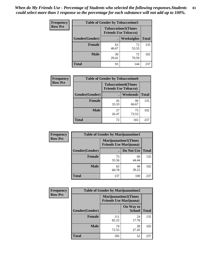| Frequency      | <b>Table of Gender by Tobaccotime5</b> |             |                                                          |              |  |
|----------------|----------------------------------------|-------------|----------------------------------------------------------|--------------|--|
| <b>Row Pct</b> |                                        |             | <b>Tobaccotime5(Times</b><br><b>Friends Use Tobacco)</b> |              |  |
|                | Gender(Gender)                         |             | Weeknights                                               | <b>Total</b> |  |
|                | <b>Female</b>                          | 63<br>46.67 | 72<br>53.33                                              | 135          |  |
|                | <b>Male</b>                            | 30<br>29.41 | 72<br>70.59                                              | 102          |  |
|                | <b>Total</b>                           | 93          | 144                                                      | 237          |  |

| <b>Frequency</b> | <b>Table of Gender by Tobaccotime6</b> |                                                          |                 |              |
|------------------|----------------------------------------|----------------------------------------------------------|-----------------|--------------|
| <b>Row Pct</b>   |                                        | <b>Tobaccotime6(Times</b><br><b>Friends Use Tobacco)</b> |                 |              |
|                  | Gender(Gender)                         |                                                          | <b>Weekends</b> | <b>Total</b> |
|                  | Female                                 | 45<br>33.33                                              | 90<br>66.67     | 135          |
|                  | <b>Male</b>                            | 27<br>26.47                                              | 75<br>73.53     | 102          |
|                  | <b>Total</b>                           | 72                                                       | 165             | 237          |

| <b>Frequency</b> | <b>Table of Gender by Marijuanatime1</b> |                                |                             |              |
|------------------|------------------------------------------|--------------------------------|-----------------------------|--------------|
| <b>Row Pct</b>   |                                          | <b>Friends Use Marijuana</b> ) | <b>Marijuanatime1(Times</b> |              |
|                  | Gender(Gender)                           |                                | Do Not Use                  | <b>Total</b> |
|                  | <b>Female</b>                            | 75<br>55.56                    | 60<br>44.44                 | 135          |
|                  | <b>Male</b>                              | 62<br>60.78                    | 40<br>39.22                 | 102          |
|                  | <b>Total</b>                             | 137                            | 100                         | 237          |

| <b>Frequency</b> | <b>Table of Gender by Marijuanatime2</b> |                                                               |                            |              |
|------------------|------------------------------------------|---------------------------------------------------------------|----------------------------|--------------|
| <b>Row Pct</b>   |                                          | <b>Marijuanatime2(Times</b><br><b>Friends Use Marijuana</b> ) |                            |              |
|                  | Gender(Gender)                           |                                                               | On Way to<br><b>School</b> | <b>Total</b> |
|                  | Female                                   | 111<br>82.22                                                  | 24<br>17.78                | 135          |
|                  | <b>Male</b>                              | 74<br>72.55                                                   | 28<br>27.45                | 102          |
|                  | <b>Total</b>                             | 185                                                           | 52                         | 237          |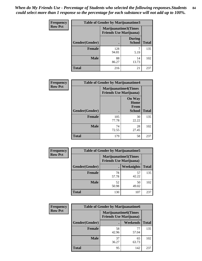| Frequency      | Table of Gender by Marijuanatime3 |                                                        |                                |              |
|----------------|-----------------------------------|--------------------------------------------------------|--------------------------------|--------------|
| <b>Row Pct</b> |                                   | Marijuanatime3(Times<br><b>Friends Use Marijuana</b> ) |                                |              |
|                | Gender(Gender)                    |                                                        | <b>During</b><br><b>School</b> | <b>Total</b> |
|                | <b>Female</b>                     | 128<br>94.81                                           | 5.19                           | 135          |
|                | <b>Male</b>                       | 88<br>86.27                                            | 14<br>13.73                    | 102          |
|                | <b>Total</b>                      | 216                                                    | 21                             | 237          |

| Frequency      | <b>Table of Gender by Marijuanatime4</b> |                                                               |                                                |              |
|----------------|------------------------------------------|---------------------------------------------------------------|------------------------------------------------|--------------|
| <b>Row Pct</b> |                                          | <b>Marijuanatime4(Times</b><br><b>Friends Use Marijuana</b> ) |                                                |              |
|                | Gender(Gender)                           |                                                               | <b>On Way</b><br>Home<br>From<br><b>School</b> | <b>Total</b> |
|                | <b>Female</b>                            | 105<br>77.78                                                  | 30<br>22.22                                    | 135          |
|                | <b>Male</b>                              | 74<br>72.55                                                   | 28<br>27.45                                    | 102          |
|                | <b>Total</b>                             | 179                                                           | 58                                             | 237          |

| Frequency      | <b>Table of Gender by Marijuanatime5</b> |             |                                                                |              |  |
|----------------|------------------------------------------|-------------|----------------------------------------------------------------|--------------|--|
| <b>Row Pct</b> |                                          |             | <b>Marijuanatime5</b> (Times<br><b>Friends Use Marijuana</b> ) |              |  |
|                | Gender(Gender)                           | ٠           | Weeknights                                                     | <b>Total</b> |  |
|                | <b>Female</b>                            | 78<br>57.78 | 57<br>42.22                                                    | 135          |  |
|                | <b>Male</b>                              | 52<br>50.98 | 50<br>49.02                                                    | 102          |  |
|                | <b>Total</b>                             | 130         | 107                                                            | 237          |  |

| Frequency      | <b>Table of Gender by Marijuanatime6</b> |                                                               |                 |              |  |
|----------------|------------------------------------------|---------------------------------------------------------------|-----------------|--------------|--|
| <b>Row Pct</b> |                                          | <b>Marijuanatime6(Times</b><br><b>Friends Use Marijuana</b> ) |                 |              |  |
|                | Gender(Gender)                           |                                                               | <b>Weekends</b> | <b>Total</b> |  |
|                | <b>Female</b>                            | 58<br>42.96                                                   | 77<br>57.04     | 135          |  |
|                | <b>Male</b>                              | 37<br>36.27                                                   | 65<br>63.73     | 102          |  |
|                | <b>Total</b>                             | 95                                                            | 142             | 237          |  |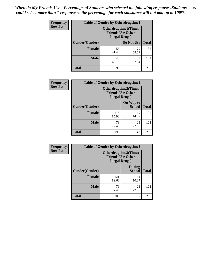*When do My Friends Use - Percentage of Students who selected the following responses.Students could select more than 1 response so the percentage for each substance will not add up to 100%.* **85**

| <b>Frequency</b> | <b>Table of Gender by Otherdrugtime1</b> |                                                    |                              |              |
|------------------|------------------------------------------|----------------------------------------------------|------------------------------|--------------|
| <b>Row Pct</b>   |                                          | <b>Friends Use Other</b><br><b>Illegal Drugs</b> ) | <b>Otherdrugtime1</b> (Times |              |
|                  | Gender(Gender)                           |                                                    | Do Not Use                   | <b>Total</b> |
|                  | <b>Female</b>                            | 56<br>41.48                                        | 79<br>58.52                  | 135          |
|                  | <b>Male</b>                              | 43<br>42.16                                        | 59<br>57.84                  | 102          |
|                  | <b>Total</b>                             | 99                                                 | 138                          | 237          |

| Frequency      | <b>Table of Gender by Otherdrugtime2</b> |                                                    |                             |              |
|----------------|------------------------------------------|----------------------------------------------------|-----------------------------|--------------|
| <b>Row Pct</b> |                                          | <b>Friends Use Other</b><br><b>Illegal Drugs</b> ) | <b>Otherdrugtime2(Times</b> |              |
|                | Gender(Gender)                           |                                                    | On Way to<br><b>School</b>  | <b>Total</b> |
|                | <b>Female</b>                            | 116<br>85.93                                       | 19<br>14.07                 | 135          |
|                | <b>Male</b>                              | 79<br>77.45                                        | 23<br>22.55                 | 102          |
|                | <b>Total</b>                             | 195                                                | 42                          | 237          |

| Frequency      | <b>Table of Gender by Otherdrugtime3</b> |                        |                                                         |              |
|----------------|------------------------------------------|------------------------|---------------------------------------------------------|--------------|
| <b>Row Pct</b> |                                          | <b>Illegal Drugs</b> ) | <b>Otherdrugtime3(Times</b><br><b>Friends Use Other</b> |              |
|                | Gender(Gender)                           |                        | <b>During</b><br><b>School</b>                          | <b>Total</b> |
|                | <b>Female</b>                            | 121<br>89.63           | 14<br>10.37                                             | 135          |
|                | <b>Male</b>                              | 79<br>77.45            | 23<br>22.55                                             | 102          |
|                | <b>Total</b>                             | 200                    | 37                                                      | 237          |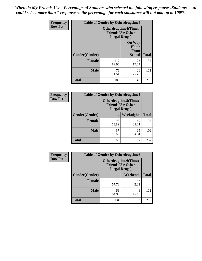*When do My Friends Use - Percentage of Students who selected the following responses.Students could select more than 1 response so the percentage for each substance will not add up to 100%.* **86**

| <b>Frequency</b> | <b>Table of Gender by Otherdrugtime4</b> |                                                    |                                                       |              |
|------------------|------------------------------------------|----------------------------------------------------|-------------------------------------------------------|--------------|
| <b>Row Pct</b>   |                                          | <b>Friends Use Other</b><br><b>Illegal Drugs</b> ) | <b>Otherdrugtime4(Times</b>                           |              |
|                  | Gender(Gender)                           |                                                    | <b>On Way</b><br>Home<br><b>From</b><br><b>School</b> | <b>Total</b> |
|                  | Female                                   | 112<br>82.96                                       | 23<br>17.04                                           | 135          |
|                  | <b>Male</b>                              | 76<br>74.51                                        | 26<br>25.49                                           | 102          |
|                  | <b>Total</b>                             | 188                                                | 49                                                    | 237          |

| Frequency      | <b>Table of Gender by Otherdrugtime5</b> |                                                                                    |             |              |
|----------------|------------------------------------------|------------------------------------------------------------------------------------|-------------|--------------|
| <b>Row Pct</b> |                                          | <b>Otherdrugtime5</b> (Times<br><b>Friends Use Other</b><br><b>Illegal Drugs</b> ) |             |              |
|                | Gender(Gender)                           |                                                                                    | Weeknights  | <b>Total</b> |
|                | <b>Female</b>                            | 93<br>68.89                                                                        | 42<br>31.11 | 135          |
|                | <b>Male</b>                              | 67<br>65.69                                                                        | 35<br>34.31 | 102          |
|                | <b>Total</b>                             | 160                                                                                | 77          | 237          |

| Frequency      | <b>Table of Gender by Otherdrugtime6</b> |                                                                                   |             |              |
|----------------|------------------------------------------|-----------------------------------------------------------------------------------|-------------|--------------|
| <b>Row Pct</b> |                                          | <b>Otherdrugtime6(Times</b><br><b>Friends Use Other</b><br><b>Illegal Drugs</b> ) |             |              |
|                | Gender(Gender)                           |                                                                                   | Weekends    | <b>Total</b> |
|                | <b>Female</b>                            | 78<br>57.78                                                                       | 57<br>42.22 | 135          |
|                | <b>Male</b>                              | 56<br>54.90                                                                       | 46<br>45.10 | 102          |
|                | <b>Total</b>                             | 134                                                                               | 103         | 237          |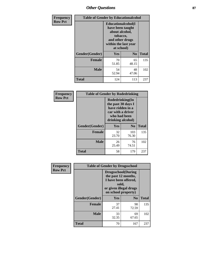# *Other Questions* **87**

| <b>Frequency</b> | <b>Table of Gender by Educationalcohol</b> |                                                                                                                                       |                |              |
|------------------|--------------------------------------------|---------------------------------------------------------------------------------------------------------------------------------------|----------------|--------------|
| <b>Row Pct</b>   |                                            | <b>Educationalcohol</b> (I<br>have been taught<br>about alcohol,<br>tobacco,<br>and other drugs<br>within the last year<br>at school) |                |              |
|                  | Gender(Gender)                             | <b>Yes</b>                                                                                                                            | N <sub>0</sub> | <b>Total</b> |
|                  | <b>Female</b>                              | 70<br>51.85                                                                                                                           | 65<br>48.15    | 135          |
|                  | <b>Male</b>                                | 54<br>52.94                                                                                                                           | 48<br>47.06    | 102          |
|                  | <b>Total</b>                               | 124                                                                                                                                   | 113            | 237          |

| Frequency      | <b>Table of Gender by Rodedrinking</b> |                                                                                                                     |              |              |  |
|----------------|----------------------------------------|---------------------------------------------------------------------------------------------------------------------|--------------|--------------|--|
| <b>Row Pct</b> |                                        | Rodedrinking(In<br>the past 30 days I<br>have ridden in a<br>car with a driver<br>who had been<br>drinking alcohol) |              |              |  |
|                | Gender(Gender)                         | Yes                                                                                                                 | $\bf N_0$    | <b>Total</b> |  |
|                | <b>Female</b>                          | 32<br>23.70                                                                                                         | 103<br>76.30 | 135          |  |
|                | <b>Male</b>                            | 26<br>25.49                                                                                                         | 76<br>74.51  | 102          |  |
|                | <b>Total</b>                           | 58                                                                                                                  | 179          | 237          |  |

| Frequency      | <b>Table of Gender by Drugsschool</b> |                                                                                                                                     |                |              |  |
|----------------|---------------------------------------|-------------------------------------------------------------------------------------------------------------------------------------|----------------|--------------|--|
| <b>Row Pct</b> |                                       | <b>Drugsschool</b> (During<br>the past 12 months,<br>I have been offered,<br>sold,<br>or given illegal drugs<br>on school property) |                |              |  |
|                | Gender(Gender)                        | <b>Yes</b>                                                                                                                          | N <sub>0</sub> | <b>Total</b> |  |
|                | <b>Female</b>                         | 37<br>27.41                                                                                                                         | 98<br>72.59    | 135          |  |
|                | <b>Male</b>                           | 33<br>32.35                                                                                                                         | 69<br>67.65    | 102          |  |
|                | <b>Total</b>                          | 70                                                                                                                                  | 167            | 237          |  |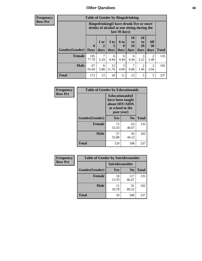# *Other Questions* **88**

**Frequency Row Pct**

| <b>Table of Gender by Bingedrinking</b> |                            |                                                                                                         |                   |                   |                        |                               |                   |              |
|-----------------------------------------|----------------------------|---------------------------------------------------------------------------------------------------------|-------------------|-------------------|------------------------|-------------------------------|-------------------|--------------|
|                                         |                            | Bingedrinking(I have drunk five or more<br>drinks of alcohol at one sitting during the<br>last 30 days) |                   |                   |                        |                               |                   |              |
| <b>Gender</b> (Gender)                  | $\mathbf 0$<br><b>Days</b> | $1$ or<br>2<br>days                                                                                     | 3 to<br>5<br>days | 6 to<br>q<br>days | 10<br>to<br>19<br>days | <b>20</b><br>to<br>29<br>days | All<br>30<br>days | <b>Total</b> |
| Female                                  | 105                        |                                                                                                         | 6                 | 6                 | 6                      | 3                             | $\mathfrak{D}$    | 135          |
|                                         | 77.78                      | 5.19                                                                                                    | 4.44              | 4.44              | 4.44                   | 2.22                          | 1.48              |              |
| <b>Male</b>                             | 67<br>65.69                | 6<br>5.88                                                                                               | 12<br>11.76       | 5<br>4.90         | 7<br>6.86              | 2<br>1.96                     | 3<br>2.94         | 102          |

| Frequency      | <b>Table of Gender by Educationaids</b> |                                                                                                 |                |              |  |
|----------------|-----------------------------------------|-------------------------------------------------------------------------------------------------|----------------|--------------|--|
| <b>Row Pct</b> |                                         | <b>Educationaids</b> (I<br>have been taught<br>about HIV/AIDS<br>at school in the<br>past year) |                |              |  |
|                | Gender(Gender)                          | Yes                                                                                             | $\mathbf{N_0}$ | <b>Total</b> |  |
|                | <b>Female</b>                           | 72<br>53.33                                                                                     | 63<br>46.67    | 135          |  |
|                | <b>Male</b>                             | 57<br>55.88                                                                                     | 45<br>44.12    | 102          |  |
|                | <b>Total</b>                            | 129                                                                                             | 108            | 237          |  |

| <b>Frequency</b> | <b>Table of Gender by Suicideconsider</b> |                 |                |              |
|------------------|-------------------------------------------|-----------------|----------------|--------------|
| <b>Row Pct</b>   |                                           | Suicideconsider |                |              |
|                  | Gender(Gender)                            | Yes             | N <sub>0</sub> | <b>Total</b> |
|                  | <b>Female</b>                             | 18<br>13.33     | 117<br>86.67   | 135          |
|                  | <b>Male</b>                               | 11<br>10.78     | 91<br>89.22    | 102          |
|                  | <b>Total</b>                              | 29              | 208            | 237          |